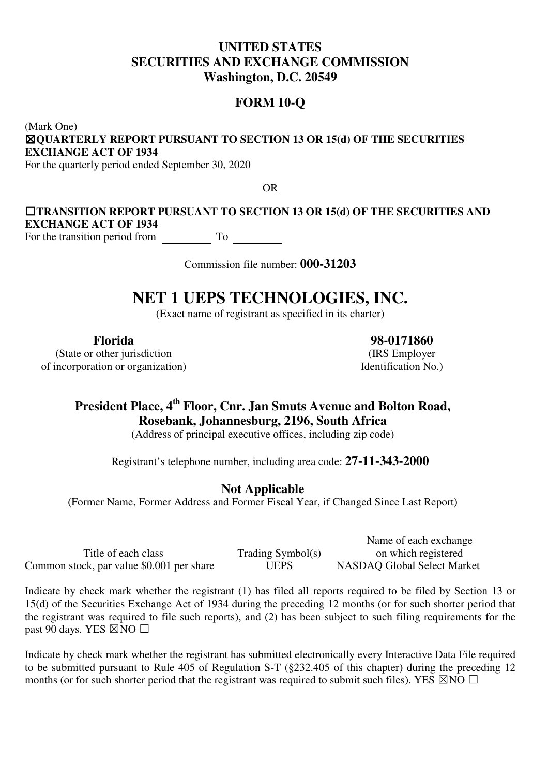# **UNITED STATES SECURITIES AND EXCHANGE COMMISSION Washington, D.C. 20549**

# **FORM 10-Q**

(Mark One) ☒ **QUARTERLY REPORT PURSUANT TO SECTION 13 OR 15(d) OF THE SECURITIES EXCHANGE ACT OF 1934** 

For the quarterly period ended September 30, 2020

OR

## **□TRANSITION REPORT PURSUANT TO SECTION 13 OR 15(d) OF THE SECURITIES AND EXCHANGE ACT OF 1934**  For the transition period from To

Commission file number: **000-31203**

# **NET 1 UEPS TECHNOLOGIES, INC.**

(Exact name of registrant as specified in its charter)

(State or other jurisdiction (IRS Employer of incorporation or organization) Identification No.)

**Florida 98-0171860** 

# **President Place, 4th Floor, Cnr. Jan Smuts Avenue and Bolton Road, Rosebank, Johannesburg, 2196, South Africa**

(Address of principal executive offices, including zip code)

Registrant's telephone number, including area code: **27-11-343-2000**

# **Not Applicable**

(Former Name, Former Address and Former Fiscal Year, if Changed Since Last Report)

Title of each class Trading Symbol(s) Common stock, par value \$0.001 per share UEPS NASDAQ Global Select Market

Name of each exchange on which registered

Indicate by check mark whether the registrant (1) has filed all reports required to be filed by Section 13 or 15(d) of the Securities Exchange Act of 1934 during the preceding 12 months (or for such shorter period that the registrant was required to file such reports), and (2) has been subject to such filing requirements for the past 90 days. YES  $\boxtimes$  NO  $\Box$ 

Indicate by check mark whether the registrant has submitted electronically every Interactive Data File required to be submitted pursuant to Rule 405 of Regulation S-T (§232.405 of this chapter) during the preceding 12 months (or for such shorter period that the registrant was required to submit such files). YES  $\boxtimes$  NO  $\Box$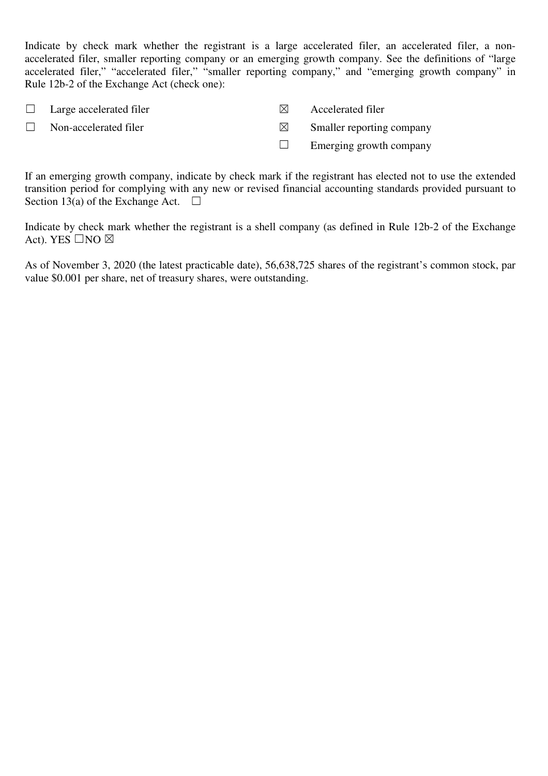Indicate by check mark whether the registrant is a large accelerated filer, an accelerated filer, a nonaccelerated filer, smaller reporting company or an emerging growth company. See the definitions of "large accelerated filer," "accelerated filer," "smaller reporting company," and "emerging growth company" in Rule 12b-2 of the Exchange Act (check one):

| $\Box$ Large accelerated filer | IXI.      | <b>Accelerated filer</b>  |
|--------------------------------|-----------|---------------------------|
| $\Box$ Non-accelerated filer   | $\bowtie$ | Smaller reporting company |
|                                |           | Emerging growth company   |

If an emerging growth company, indicate by check mark if the registrant has elected not to use the extended transition period for complying with any new or revised financial accounting standards provided pursuant to Section 13(a) of the Exchange Act.  $\Box$ 

Indicate by check mark whether the registrant is a shell company (as defined in Rule 12b-2 of the Exchange Act). YES  $\square$ NO  $\boxtimes$ 

As of November 3, 2020 (the latest practicable date), 56,638,725 shares of the registrant's common stock, par value \$0.001 per share, net of treasury shares, were outstanding.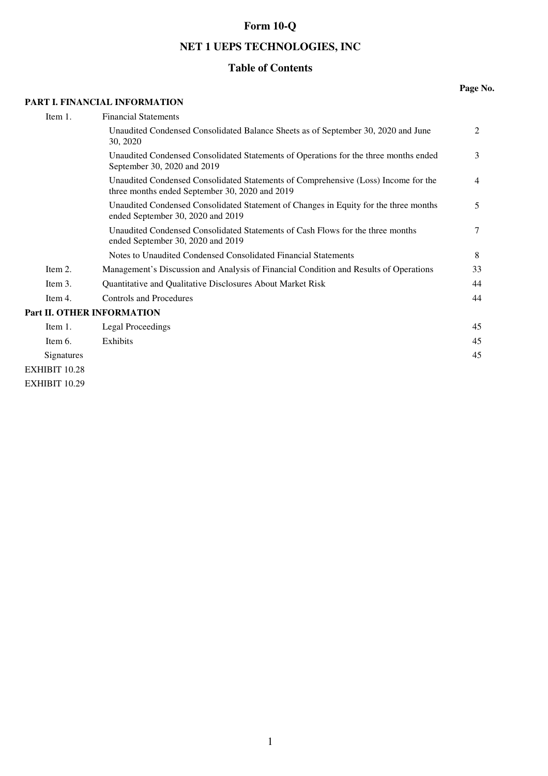# **Form 10-Q**

# **NET 1 UEPS TECHNOLOGIES, INC**

# **Table of Contents**

### **PART I. FINANCIAL INFORMATION**

#### **Page No.**

| Item 1.                    | <b>Financial Statements</b>                                                                                                          |                |
|----------------------------|--------------------------------------------------------------------------------------------------------------------------------------|----------------|
|                            | Unaudited Condensed Consolidated Balance Sheets as of September 30, 2020 and June<br>30, 2020                                        | 2              |
|                            | Unaudited Condensed Consolidated Statements of Operations for the three months ended<br>September 30, 2020 and 2019                  | 3              |
|                            | Unaudited Condensed Consolidated Statements of Comprehensive (Loss) Income for the<br>three months ended September 30, 2020 and 2019 | $\overline{4}$ |
|                            | Unaudited Condensed Consolidated Statement of Changes in Equity for the three months<br>ended September 30, 2020 and 2019            | 5              |
|                            | Unaudited Condensed Consolidated Statements of Cash Flows for the three months<br>ended September 30, 2020 and 2019                  | 7              |
|                            | Notes to Unaudited Condensed Consolidated Financial Statements                                                                       | 8              |
| Item 2.                    | Management's Discussion and Analysis of Financial Condition and Results of Operations                                                | 33             |
| Item 3.                    | Quantitative and Qualitative Disclosures About Market Risk                                                                           | 44             |
| Item 4.                    | <b>Controls and Procedures</b>                                                                                                       | 44             |
| Part II. OTHER INFORMATION |                                                                                                                                      |                |
| Item 1.                    | Legal Proceedings                                                                                                                    | 45             |
| Item 6.                    | Exhibits                                                                                                                             | 45             |
| Signatures                 |                                                                                                                                      | 45             |
| <b>EXHIBIT 10.28</b>       |                                                                                                                                      |                |

EXHIBIT 10.29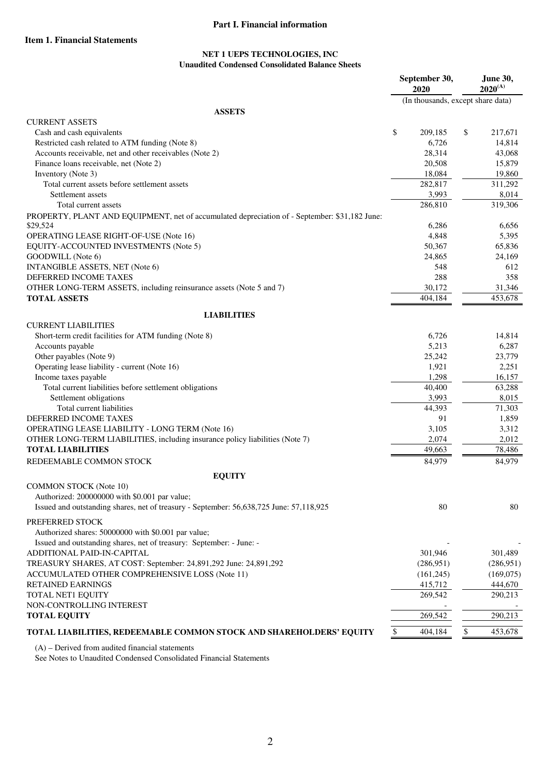### **Part I. Financial information**

### **Item 1. Financial Statements**

#### **NET 1 UEPS TECHNOLOGIES, INC Unaudited Condensed Consolidated Balance Sheets**

|                                                                                                           | September 30,<br>2020 | <b>June 30,</b><br>$2020^{(A)}$   |
|-----------------------------------------------------------------------------------------------------------|-----------------------|-----------------------------------|
|                                                                                                           |                       | (In thousands, except share data) |
| <b>ASSETS</b>                                                                                             |                       |                                   |
| <b>CURRENT ASSETS</b>                                                                                     |                       |                                   |
| Cash and cash equivalents                                                                                 | \$<br>209,185         | \$<br>217,671                     |
| Restricted cash related to ATM funding (Note 8)                                                           | 6,726                 | 14,814                            |
| Accounts receivable, net and other receivables (Note 2)                                                   | 28,314                | 43,068                            |
| Finance loans receivable, net (Note 2)                                                                    | 20,508                | 15,879                            |
| Inventory (Note 3)                                                                                        | 18,084                | 19,860                            |
| Total current assets before settlement assets                                                             | 282,817               | 311,292                           |
| Settlement assets                                                                                         | 3,993                 | 8,014                             |
| Total current assets                                                                                      | 286,810               | 319,306                           |
| PROPERTY, PLANT AND EQUIPMENT, net of accumulated depreciation of - September: \$31,182 June:<br>\$29,524 | 6,286                 | 6,656                             |
| OPERATING LEASE RIGHT-OF-USE (Note 16)                                                                    | 4,848                 | 5,395                             |
| EQUITY-ACCOUNTED INVESTMENTS (Note 5)                                                                     | 50,367                | 65,836                            |
| GOODWILL (Note 6)                                                                                         | 24,865                | 24,169                            |
| INTANGIBLE ASSETS, NET (Note 6)                                                                           | 548                   | 612                               |
| DEFERRED INCOME TAXES                                                                                     | 288                   | 358                               |
| OTHER LONG-TERM ASSETS, including reinsurance assets (Note 5 and 7)                                       | 30,172                | 31,346                            |
| <b>TOTAL ASSETS</b>                                                                                       | 404,184               | 453,678                           |
|                                                                                                           |                       |                                   |
| <b>LIABILITIES</b><br><b>CURRENT LIABILITIES</b>                                                          |                       |                                   |
| Short-term credit facilities for ATM funding (Note 8)                                                     | 6,726                 | 14,814                            |
| Accounts payable                                                                                          | 5,213                 | 6,287                             |
| Other payables (Note 9)                                                                                   | 25,242                | 23,779                            |
| Operating lease liability - current (Note 16)                                                             | 1,921                 | 2,251                             |
| Income taxes payable                                                                                      | 1,298                 | 16,157                            |
| Total current liabilities before settlement obligations                                                   | 40,400                | 63,288                            |
| Settlement obligations                                                                                    | 3,993                 | 8,015                             |
| Total current liabilities                                                                                 | 44,393                | 71,303                            |
| DEFERRED INCOME TAXES                                                                                     | 91                    | 1,859                             |
| OPERATING LEASE LIABILITY - LONG TERM (Note 16)                                                           | 3,105                 | 3,312                             |
| OTHER LONG-TERM LIABILITIES, including insurance policy liabilities (Note 7)                              | 2,074                 | 2,012                             |
| <b>TOTAL LIABILITIES</b>                                                                                  | 49,663                | 78,486                            |
| REDEEMABLE COMMON STOCK                                                                                   | 84,979                | 84,979                            |
|                                                                                                           |                       |                                   |
| <b>EQUITY</b><br><b>COMMON STOCK (Note 10)</b>                                                            |                       |                                   |
| Authorized: 200000000 with \$0.001 par value;                                                             |                       |                                   |
| Issued and outstanding shares, net of treasury - September: 56,638,725 June: 57,118,925                   | 80                    | 80                                |
|                                                                                                           |                       |                                   |
| PREFERRED STOCK                                                                                           |                       |                                   |
| Authorized shares: 50000000 with \$0.001 par value;                                                       |                       |                                   |
| Issued and outstanding shares, net of treasury: September: - June: -                                      |                       |                                   |
| ADDITIONAL PAID-IN-CAPITAL                                                                                | 301,946               | 301,489                           |
| TREASURY SHARES, AT COST: September: 24,891,292 June: 24,891,292                                          | (286,951)             | (286,951)                         |
| ACCUMULATED OTHER COMPREHENSIVE LOSS (Note 11)                                                            | (161,245)             | (169,075)                         |
| <b>RETAINED EARNINGS</b>                                                                                  | 415,712               | 444,670                           |
| TOTAL NET1 EQUITY                                                                                         | 269,542               | 290,213                           |
| NON-CONTROLLING INTEREST                                                                                  |                       |                                   |
| <b>TOTAL EQUITY</b>                                                                                       | 269,542               | 290,213                           |
| TOTAL LIABILITIES, REDEEMABLE COMMON STOCK AND SHAREHOLDERS' EQUITY                                       | 404,184<br>\$         | \$<br>453,678                     |
|                                                                                                           |                       |                                   |

(A) – Derived from audited financial statements

See Notes to Unaudited Condensed Consolidated Financial Statements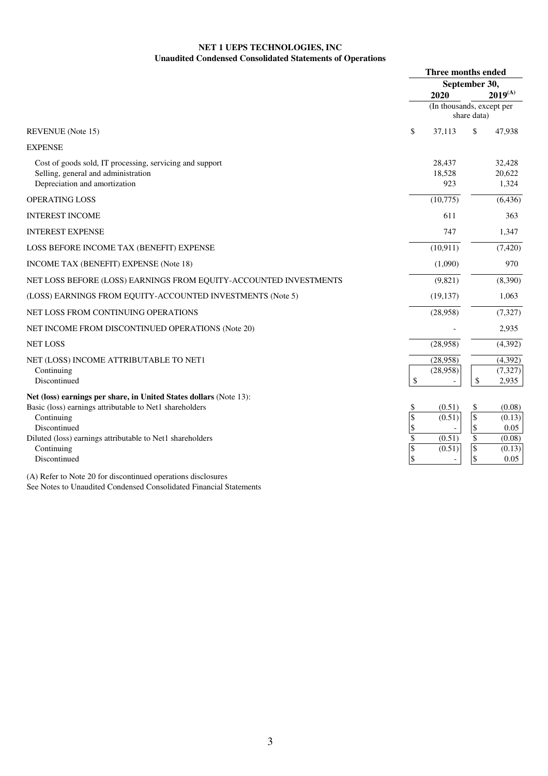### **NET 1 UEPS TECHNOLOGIES, INC Unaudited Condensed Consolidated Statements of Operations**

|                                                                                                                                                                                                                                                                                                                         | Three months ended |                           |                                 |                |  |
|-------------------------------------------------------------------------------------------------------------------------------------------------------------------------------------------------------------------------------------------------------------------------------------------------------------------------|--------------------|---------------------------|---------------------------------|----------------|--|
|                                                                                                                                                                                                                                                                                                                         | September 30,      |                           |                                 |                |  |
|                                                                                                                                                                                                                                                                                                                         |                    | 2020                      |                                 | $2019^{(A)}$   |  |
|                                                                                                                                                                                                                                                                                                                         |                    | (In thousands, except per | share data)                     |                |  |
| <b>REVENUE</b> (Note 15)                                                                                                                                                                                                                                                                                                | \$                 | 37,113                    | \$                              | 47,938         |  |
| <b>EXPENSE</b>                                                                                                                                                                                                                                                                                                          |                    |                           |                                 |                |  |
| Cost of goods sold, IT processing, servicing and support                                                                                                                                                                                                                                                                |                    | 28,437                    |                                 | 32,428         |  |
| Selling, general and administration                                                                                                                                                                                                                                                                                     |                    | 18,528                    |                                 | 20,622         |  |
| Depreciation and amortization                                                                                                                                                                                                                                                                                           |                    | 923                       |                                 | 1,324          |  |
| OPERATING LOSS                                                                                                                                                                                                                                                                                                          |                    | (10,775)                  |                                 | (6, 436)       |  |
| <b>INTEREST INCOME</b>                                                                                                                                                                                                                                                                                                  |                    | 611                       |                                 | 363            |  |
| <b>INTEREST EXPENSE</b>                                                                                                                                                                                                                                                                                                 |                    | 747                       |                                 | 1,347          |  |
| LOSS BEFORE INCOME TAX (BENEFIT) EXPENSE                                                                                                                                                                                                                                                                                |                    | (10, 911)                 |                                 | (7,420)        |  |
| <b>INCOME TAX (BENEFIT) EXPENSE (Note 18)</b>                                                                                                                                                                                                                                                                           |                    | (1,090)                   |                                 | 970            |  |
| NET LOSS BEFORE (LOSS) EARNINGS FROM EQUITY-ACCOUNTED INVESTMENTS                                                                                                                                                                                                                                                       |                    | (9,821)                   |                                 | (8,390)        |  |
| (LOSS) EARNINGS FROM EQUITY-ACCOUNTED INVESTMENTS (Note 5)                                                                                                                                                                                                                                                              |                    | (19, 137)                 |                                 | 1,063          |  |
| NET LOSS FROM CONTINUING OPERATIONS                                                                                                                                                                                                                                                                                     |                    | (28,958)                  |                                 | (7, 327)       |  |
| NET INCOME FROM DISCONTINUED OPERATIONS (Note 20)                                                                                                                                                                                                                                                                       |                    |                           |                                 | 2,935          |  |
| <b>NET LOSS</b>                                                                                                                                                                                                                                                                                                         |                    | (28,958)                  |                                 | (4,392)        |  |
| NET (LOSS) INCOME ATTRIBUTABLE TO NET1                                                                                                                                                                                                                                                                                  |                    | (28,958)                  |                                 | (4,392)        |  |
| Continuing                                                                                                                                                                                                                                                                                                              |                    | (28,958)                  |                                 | (7, 327)       |  |
| Discontinued                                                                                                                                                                                                                                                                                                            | \$                 | $\overline{\phantom{a}}$  | \$                              | 2,935          |  |
| Net (loss) earnings per share, in United States dollars (Note 13):                                                                                                                                                                                                                                                      |                    |                           |                                 |                |  |
| Basic (loss) earnings attributable to Net1 shareholders                                                                                                                                                                                                                                                                 | \$                 | (0.51)                    | \$                              | (0.08)         |  |
| Continuing                                                                                                                                                                                                                                                                                                              | \$                 | (0.51)                    | $\mathcal{S}$                   | (0.13)         |  |
| Discontinued<br>Diluted (loss) earnings attributable to Net1 shareholders                                                                                                                                                                                                                                               | \$<br>\$           | (0.51)                    | $\boldsymbol{\mathsf{S}}$<br>\$ | 0.05<br>(0.08) |  |
| Continuing                                                                                                                                                                                                                                                                                                              | \$                 | (0.51)                    | $\mathbb S$                     | (0.13)         |  |
| Discontinued                                                                                                                                                                                                                                                                                                            | \$                 |                           | \$                              | 0.05           |  |
| $\mathbf{A} \setminus \mathbf{D}$ . $\mathbf{C}$ , $\mathbf{A} \mathbf{I}$ , $\mathbf{A} \mathbf{O}$ , $\mathbf{C}$ , $\mathbf{I}^*$ , $\mathbf{C}$ , $\mathbf{A}^*$ , $\mathbf{C}$ , $\mathbf{A}^*$ , $\mathbf{C}$ , $\mathbf{A}^*$ , $\mathbf{C}$ , $\mathbf{A}^*$ , $\mathbf{A}^*$ , $\mathbf{A}^*$ , $\mathbf{A}^*$ |                    |                           |                                 |                |  |

(A) Refer to Note 20 for discontinued operations disclosures See Notes to Unaudited Condensed Consolidated Financial Statements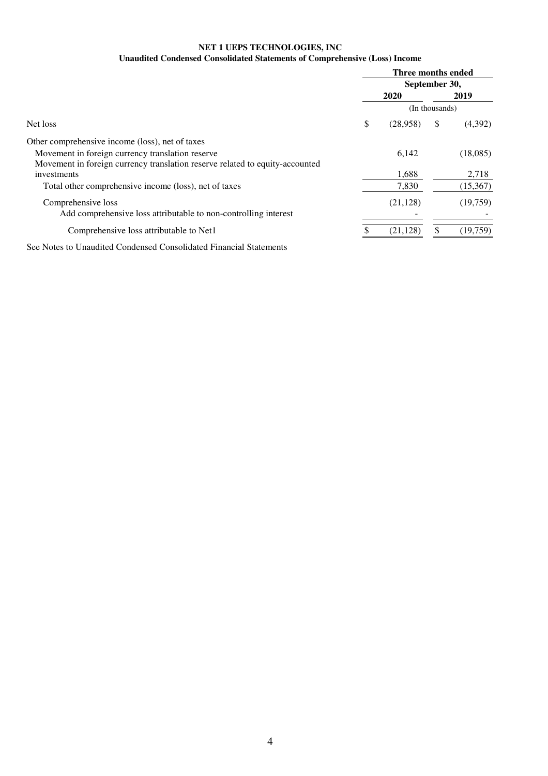### **NET 1 UEPS TECHNOLOGIES, INC Unaudited Condensed Consolidated Statements of Comprehensive (Loss) Income**

|                                                                              | Three months ended |           |                |           |
|------------------------------------------------------------------------------|--------------------|-----------|----------------|-----------|
|                                                                              | September 30,      |           |                |           |
|                                                                              |                    | 2020      |                | 2019      |
|                                                                              |                    |           | (In thousands) |           |
| Net loss                                                                     | \$                 | (28,958)  | \$             | (4,392)   |
| Other comprehensive income (loss), net of taxes                              |                    |           |                |           |
| Movement in foreign currency translation reserve                             |                    | 6,142     |                | (18,085)  |
| Movement in foreign currency translation reserve related to equity-accounted |                    |           |                |           |
| investments                                                                  |                    | 1,688     |                | 2,718     |
| Total other comprehensive income (loss), net of taxes                        |                    | 7,830     |                | (15, 367) |
| Comprehensive loss                                                           |                    | (21, 128) |                | (19,759)  |
| Add comprehensive loss attributable to non-controlling interest              |                    |           |                |           |
| Comprehensive loss attributable to Net1                                      |                    | (21, 128) |                | (19,759)  |

See Notes to Unaudited Condensed Consolidated Financial Statements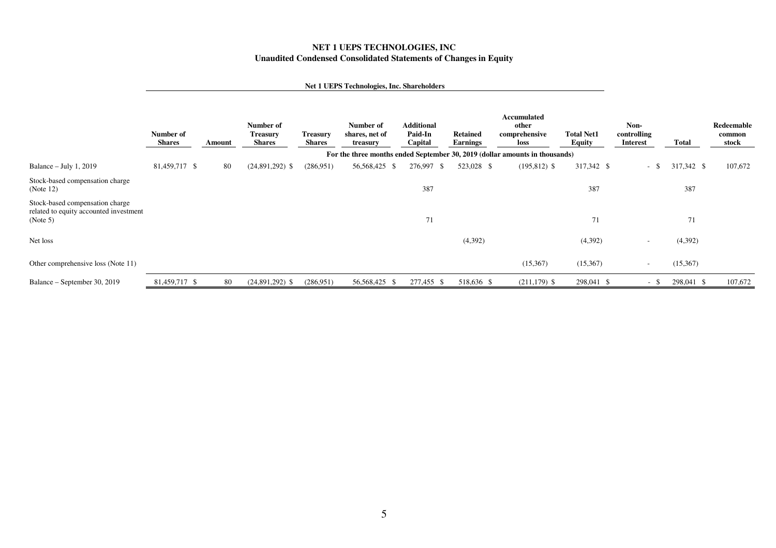### **NET 1 UEPS TECHNOLOGIES, INC Unaudited Condensed Consolidated Statements of Changes in Equity**

#### **Net 1 UEPS Technologies, Inc. Shareholders**

|                                                                                       | Number of<br><b>Shares</b> | Amount | Number of<br><b>Treasury</b><br><b>Shares</b> | <b>Treasury</b><br><b>Shares</b> | Number of<br>shares, net of<br>treasury | <b>Additional</b><br>Paid-In<br>Capital | <b>Retained</b><br><b>Earnings</b> | <b>Accumulated</b><br>other<br>comprehensive<br>loss                        | <b>Total Net1</b><br><b>Equity</b> | Non-<br>controlling<br><b>Interest</b> | <b>Total</b> | <b>Redeemable</b><br>common<br>stock |
|---------------------------------------------------------------------------------------|----------------------------|--------|-----------------------------------------------|----------------------------------|-----------------------------------------|-----------------------------------------|------------------------------------|-----------------------------------------------------------------------------|------------------------------------|----------------------------------------|--------------|--------------------------------------|
|                                                                                       |                            |        |                                               |                                  |                                         |                                         |                                    | For the three months ended September 30, 2019 (dollar amounts in thousands) |                                    |                                        |              |                                      |
| Balance $-$ July 1, 2019                                                              | 81,459,717 \$              | 80     | $(24,891,292)$ \$                             | (286, 951)                       | 56,568,425 \$                           | 276,997 \$                              | 523,028 \$                         | $(195, 812)$ \$                                                             | 317,342 \$                         | $-$ \$                                 | 317,342 \$   | 107,672                              |
| Stock-based compensation charge<br>(Note $12$ )                                       |                            |        |                                               |                                  |                                         | 387                                     |                                    |                                                                             | 387                                |                                        | 387          |                                      |
| Stock-based compensation charge<br>related to equity accounted investment<br>(Note 5) |                            |        |                                               |                                  |                                         | 71                                      |                                    |                                                                             | 71                                 |                                        | 71           |                                      |
| Net loss                                                                              |                            |        |                                               |                                  |                                         |                                         | (4, 392)                           |                                                                             | (4,392)                            | $\overline{\phantom{a}}$               | (4,392)      |                                      |
| Other comprehensive loss (Note 11)                                                    |                            |        |                                               |                                  |                                         |                                         |                                    | (15,367)                                                                    | (15,367)                           | $\overline{\phantom{a}}$               | (15,367)     |                                      |
| Balance – September 30, 2019                                                          | 81,459,717 \$              | 80     | $(24,891,292)$ \$                             | (286, 951)                       | 56,568,425 \$                           | 277,455<br>- \$                         | 518,636 \$                         | $(211, 179)$ \$                                                             | 298,041 \$                         | $-$ \$                                 | 298,041 \$   | 107,672                              |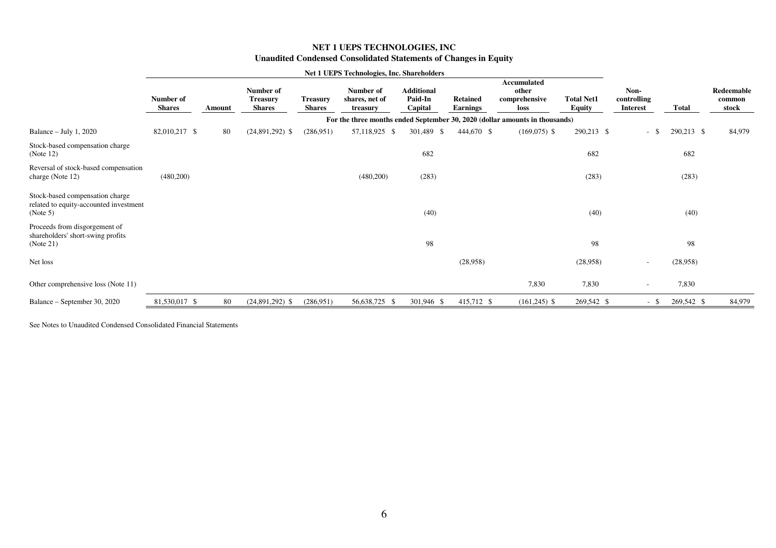### **NET 1 UEPS TECHNOLOGIES, INC Unaudited Condensed Consolidated Statements of Changes in Equity**

|                                                                                       |                            |        |                                               |                                  | <b>Net 1 UEPS Technologies, Inc. Shareholders</b> |                                         |                                    |                                                                             |                                    |                                        |              |                               |
|---------------------------------------------------------------------------------------|----------------------------|--------|-----------------------------------------------|----------------------------------|---------------------------------------------------|-----------------------------------------|------------------------------------|-----------------------------------------------------------------------------|------------------------------------|----------------------------------------|--------------|-------------------------------|
|                                                                                       | Number of<br><b>Shares</b> | Amount | Number of<br><b>Treasury</b><br><b>Shares</b> | <b>Treasury</b><br><b>Shares</b> | Number of<br>shares, net of<br>treasury           | <b>Additional</b><br>Paid-In<br>Capital | <b>Retained</b><br><b>Earnings</b> | <b>Accumulated</b><br>other<br>comprehensive<br>loss                        | <b>Total Net1</b><br><b>Equity</b> | Non-<br>controlling<br><b>Interest</b> | <b>Total</b> | Redeemable<br>common<br>stock |
|                                                                                       |                            |        |                                               |                                  |                                                   |                                         |                                    | For the three months ended September 30, 2020 (dollar amounts in thousands) |                                    |                                        |              |                               |
| Balance $-$ July 1, 2020                                                              | 82,010,217 \$              | 80     | $(24,891,292)$ \$                             | (286,951)                        | 57,118,925 \$                                     | 301,489 \$                              | 444,670 \$                         | $(169,075)$ \$                                                              | 290,213 \$                         | $-5$                                   | 290,213 \$   | 84,979                        |
| Stock-based compensation charge<br>(Note 12)                                          |                            |        |                                               |                                  |                                                   | 682                                     |                                    |                                                                             | 682                                |                                        | 682          |                               |
| Reversal of stock-based compensation<br>charge (Note 12)                              | (480,200)                  |        |                                               |                                  | (480,200)                                         | (283)                                   |                                    |                                                                             | (283)                              |                                        | (283)        |                               |
| Stock-based compensation charge<br>related to equity-accounted investment<br>(Note 5) |                            |        |                                               |                                  |                                                   | (40)                                    |                                    |                                                                             | (40)                               |                                        | (40)         |                               |
| Proceeds from disgorgement of<br>shareholders' short-swing profits<br>(Note 21)       |                            |        |                                               |                                  |                                                   | 98                                      |                                    |                                                                             | 98                                 |                                        | 98           |                               |
| Net loss                                                                              |                            |        |                                               |                                  |                                                   |                                         | (28,958)                           |                                                                             | (28,958)                           |                                        | (28,958)     |                               |
| Other comprehensive loss (Note 11)                                                    |                            |        |                                               |                                  |                                                   |                                         |                                    | 7,830                                                                       | 7,830                              | $\sim$                                 | 7,830        |                               |
| Balance – September 30, 2020                                                          | 81,530,017 \$              | 80     | $(24,891,292)$ \$                             | (286,951)                        | 56,638,725 \$                                     | 301,946 \$                              | 415,712 \$                         | $(161,245)$ \$                                                              | 269,542 \$                         | $-$ \$                                 | 269,542 \$   | 84,979                        |
|                                                                                       |                            |        |                                               |                                  |                                                   |                                         |                                    |                                                                             |                                    |                                        |              |                               |

See Notes to Unaudited Condensed Consolidated Financial Statements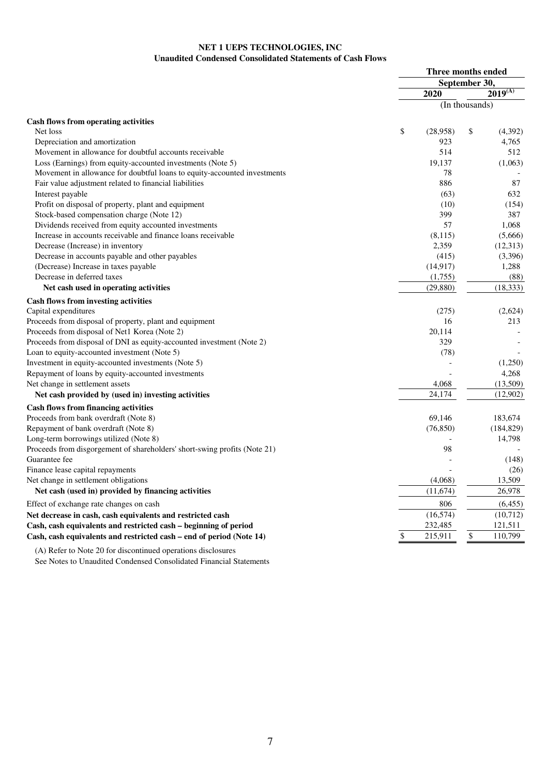### **NET 1 UEPS TECHNOLOGIES, INC Unaudited Condensed Consolidated Statements of Cash Flows**

|                                                                           | Three months ended |                    |  |
|---------------------------------------------------------------------------|--------------------|--------------------|--|
|                                                                           | September 30,      |                    |  |
|                                                                           | 2020               | $2019^{(A)}$       |  |
|                                                                           |                    | (In thousands)     |  |
| <b>Cash flows from operating activities</b>                               |                    |                    |  |
| Net loss                                                                  | \$<br>(28,958)     | \$<br>(4,392)      |  |
| Depreciation and amortization                                             |                    | 923<br>4,765       |  |
| Movement in allowance for doubtful accounts receivable                    |                    | 514<br>512         |  |
| Loss (Earnings) from equity-accounted investments (Note 5)                | 19,137             | (1,063)            |  |
| Movement in allowance for doubtful loans to equity-accounted investments  |                    | 78                 |  |
| Fair value adjustment related to financial liabilities                    |                    | 886<br>87          |  |
| Interest payable                                                          |                    | (63)<br>632        |  |
| Profit on disposal of property, plant and equipment                       |                    | (10)<br>(154)      |  |
| Stock-based compensation charge (Note 12)                                 |                    | 399<br>387         |  |
| Dividends received from equity accounted investments                      |                    | 57<br>1,068        |  |
| Increase in accounts receivable and finance loans receivable              |                    | (8,115)<br>(5,666) |  |
| Decrease (Increase) in inventory                                          |                    | 2,359<br>(12,313)  |  |
| Decrease in accounts payable and other payables                           |                    | (415)<br>(3,396)   |  |
| (Decrease) Increase in taxes payable                                      | (14, 917)          | 1,288              |  |
| Decrease in deferred taxes                                                | (1,755)            | (88)               |  |
| Net cash used in operating activities                                     | (29, 880)          | (18, 333)          |  |
| Cash flows from investing activities                                      |                    |                    |  |
| Capital expenditures                                                      |                    | (275)<br>(2,624)   |  |
| Proceeds from disposal of property, plant and equipment                   |                    | 16<br>213          |  |
| Proceeds from disposal of Net1 Korea (Note 2)                             | 20,114             |                    |  |
| Proceeds from disposal of DNI as equity-accounted investment (Note 2)     |                    | 329                |  |
| Loan to equity-accounted investment (Note 5)                              |                    | (78)               |  |
| Investment in equity-accounted investments (Note 5)                       |                    | (1,250)            |  |
| Repayment of loans by equity-accounted investments                        |                    | 4,268              |  |
| Net change in settlement assets                                           |                    | (13,509)<br>4,068  |  |
| Net cash provided by (used in) investing activities                       | 24,174             | (12,902)           |  |
| <b>Cash flows from financing activities</b>                               |                    |                    |  |
| Proceeds from bank overdraft (Note 8)                                     | 69.146             | 183,674            |  |
| Repayment of bank overdraft (Note 8)                                      | (76, 850)          | (184, 829)         |  |
| Long-term borrowings utilized (Note 8)                                    |                    | 14,798             |  |
| Proceeds from disgorgement of shareholders' short-swing profits (Note 21) |                    | 98                 |  |
| Guarantee fee                                                             |                    | (148)              |  |
| Finance lease capital repayments                                          |                    | (26)               |  |
| Net change in settlement obligations                                      | (4,068)            | 13,509             |  |
| Net cash (used in) provided by financing activities                       | (11, 674)          | 26,978             |  |
| Effect of exchange rate changes on cash                                   |                    | 806<br>(6, 455)    |  |
| Net decrease in cash, cash equivalents and restricted cash                | (16, 574)          | (10,712)           |  |
| Cash, cash equivalents and restricted cash – beginning of period          | 232,485            | 121,511            |  |
| Cash, cash equivalents and restricted cash – end of period (Note 14)      | \$<br>215,911      | \$<br>110,799      |  |
|                                                                           |                    |                    |  |

(A) Refer to Note 20 for discontinued operations disclosures

See Notes to Unaudited Condensed Consolidated Financial Statements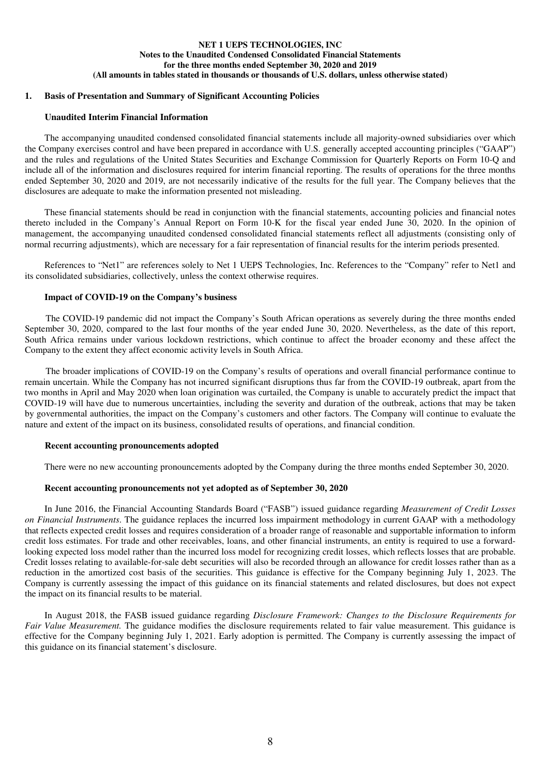### **NET 1 UEPS TECHNOLOGIES, INC Notes to the Unaudited Condensed Consolidated Financial Statements for the three months ended September 30, 2020 and 2019 (All amounts in tables stated in thousands or thousands of U.S. dollars, unless otherwise stated)**

### **1. Basis of Presentation and Summary of Significant Accounting Policies**

#### **Unaudited Interim Financial Information**

The accompanying unaudited condensed consolidated financial statements include all majority-owned subsidiaries over which the Company exercises control and have been prepared in accordance with U.S. generally accepted accounting principles ("GAAP") and the rules and regulations of the United States Securities and Exchange Commission for Quarterly Reports on Form 10-Q and include all of the information and disclosures required for interim financial reporting. The results of operations for the three months ended September 30, 2020 and 2019, are not necessarily indicative of the results for the full year. The Company believes that the disclosures are adequate to make the information presented not misleading.

These financial statements should be read in conjunction with the financial statements, accounting policies and financial notes thereto included in the Company's Annual Report on Form 10-K for the fiscal year ended June 30, 2020. In the opinion of management, the accompanying unaudited condensed consolidated financial statements reflect all adjustments (consisting only of normal recurring adjustments), which are necessary for a fair representation of financial results for the interim periods presented.

References to "Net1" are references solely to Net 1 UEPS Technologies, Inc. References to the "Company" refer to Net1 and its consolidated subsidiaries, collectively, unless the context otherwise requires.

#### **Impact of COVID-19 on the Company's business**

The COVID-19 pandemic did not impact the Company's South African operations as severely during the three months ended September 30, 2020, compared to the last four months of the year ended June 30, 2020. Nevertheless, as the date of this report, South Africa remains under various lockdown restrictions, which continue to affect the broader economy and these affect the Company to the extent they affect economic activity levels in South Africa.

The broader implications of COVID-19 on the Company's results of operations and overall financial performance continue to remain uncertain. While the Company has not incurred significant disruptions thus far from the COVID-19 outbreak, apart from the two months in April and May 2020 when loan origination was curtailed, the Company is unable to accurately predict the impact that COVID-19 will have due to numerous uncertainties, including the severity and duration of the outbreak, actions that may be taken by governmental authorities, the impact on the Company's customers and other factors. The Company will continue to evaluate the nature and extent of the impact on its business, consolidated results of operations, and financial condition.

#### **Recent accounting pronouncements adopted**

There were no new accounting pronouncements adopted by the Company during the three months ended September 30, 2020.

### **Recent accounting pronouncements not yet adopted as of September 30, 2020**

In June 2016, the Financial Accounting Standards Board ("FASB") issued guidance regarding *Measurement of Credit Losses on Financial Instruments*. The guidance replaces the incurred loss impairment methodology in current GAAP with a methodology that reflects expected credit losses and requires consideration of a broader range of reasonable and supportable information to inform credit loss estimates. For trade and other receivables, loans, and other financial instruments, an entity is required to use a forwardlooking expected loss model rather than the incurred loss model for recognizing credit losses, which reflects losses that are probable. Credit losses relating to available-for-sale debt securities will also be recorded through an allowance for credit losses rather than as a reduction in the amortized cost basis of the securities. This guidance is effective for the Company beginning July 1, 2023. The Company is currently assessing the impact of this guidance on its financial statements and related disclosures, but does not expect the impact on its financial results to be material.

In August 2018, the FASB issued guidance regarding *Disclosure Framework: Changes to the Disclosure Requirements for Fair Value Measurement.* The guidance modifies the disclosure requirements related to fair value measurement. This guidance is effective for the Company beginning July 1, 2021. Early adoption is permitted. The Company is currently assessing the impact of this guidance on its financial statement's disclosure.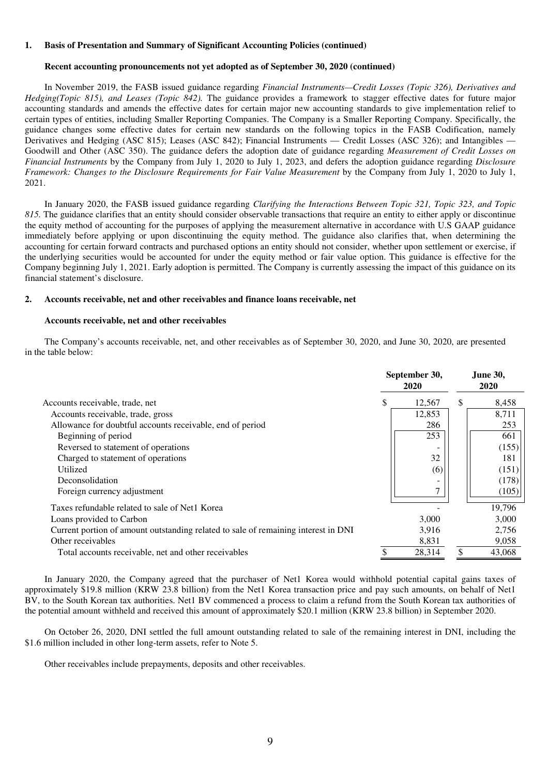#### **1. Basis of Presentation and Summary of Significant Accounting Policies (continued)**

#### **Recent accounting pronouncements not yet adopted as of September 30, 2020 (continued)**

In November 2019, the FASB issued guidance regarding *Financial Instruments—Credit Losses (Topic 326), Derivatives and Hedging(Topic 815), and Leases (Topic 842).* The guidance provides a framework to stagger effective dates for future major accounting standards and amends the effective dates for certain major new accounting standards to give implementation relief to certain types of entities, including Smaller Reporting Companies. The Company is a Smaller Reporting Company. Specifically, the guidance changes some effective dates for certain new standards on the following topics in the FASB Codification, namely Derivatives and Hedging (ASC 815); Leases (ASC 842); Financial Instruments — Credit Losses (ASC 326); and Intangibles — Goodwill and Other (ASC 350). The guidance defers the adoption date of guidance regarding *Measurement of Credit Losses on Financial Instruments* by the Company from July 1, 2020 to July 1, 2023, and defers the adoption guidance regarding *Disclosure Framework: Changes to the Disclosure Requirements for Fair Value Measurement* by the Company from July 1, 2020 to July 1, 2021.

In January 2020, the FASB issued guidance regarding *Clarifying the Interactions Between Topic 321, Topic 323, and Topic 815.* The guidance clarifies that an entity should consider observable transactions that require an entity to either apply or discontinue the equity method of accounting for the purposes of applying the measurement alternative in accordance with U.S GAAP guidance immediately before applying or upon discontinuing the equity method. The guidance also clarifies that, when determining the accounting for certain forward contracts and purchased options an entity should not consider, whether upon settlement or exercise, if the underlying securities would be accounted for under the equity method or fair value option. This guidance is effective for the Company beginning July 1, 2021. Early adoption is permitted. The Company is currently assessing the impact of this guidance on its financial statement's disclosure.

#### **2. Accounts receivable, net and other receivables and finance loans receivable, net**

#### **Accounts receivable, net and other receivables**

The Company's accounts receivable, net, and other receivables as of September 30, 2020, and June 30, 2020, are presented in the table below:

|                                                                                    |   | September 30,<br>2020 |   | <b>June 30,</b><br>2020 |
|------------------------------------------------------------------------------------|---|-----------------------|---|-------------------------|
| Accounts receivable, trade, net                                                    | S | 12,567                | S | 8,458                   |
| Accounts receivable, trade, gross                                                  |   | 12,853                |   | 8,711                   |
| Allowance for doubtful accounts receivable, end of period                          |   | 286                   |   | 253                     |
| Beginning of period                                                                |   | 253                   |   | 661                     |
| Reversed to statement of operations                                                |   |                       |   | (155)                   |
| Charged to statement of operations                                                 |   | 32                    |   | 181                     |
| Utilized                                                                           |   | (6)                   |   | (151)                   |
| Deconsolidation                                                                    |   |                       |   | (178)                   |
| Foreign currency adjustment                                                        |   | ⇁                     |   | (105)                   |
| Taxes refundable related to sale of Net1 Korea                                     |   |                       |   | 19,796                  |
| Loans provided to Carbon                                                           |   | 3,000                 |   | 3,000                   |
| Current portion of amount outstanding related to sale of remaining interest in DNI |   | 3,916                 |   | 2,756                   |
| Other receivables                                                                  |   | 8,831                 |   | 9,058                   |
| Total accounts receivable, net and other receivables                               |   | 28,314                |   | 43,068                  |

In January 2020, the Company agreed that the purchaser of Net1 Korea would withhold potential capital gains taxes of approximately \$19.8 million (KRW 23.8 billion) from the Net1 Korea transaction price and pay such amounts, on behalf of Net1 BV, to the South Korean tax authorities. Net1 BV commenced a process to claim a refund from the South Korean tax authorities of the potential amount withheld and received this amount of approximately \$20.1 million (KRW 23.8 billion) in September 2020.

On October 26, 2020, DNI settled the full amount outstanding related to sale of the remaining interest in DNI, including the \$1.6 million included in other long-term assets, refer to Note 5.

Other receivables include prepayments, deposits and other receivables.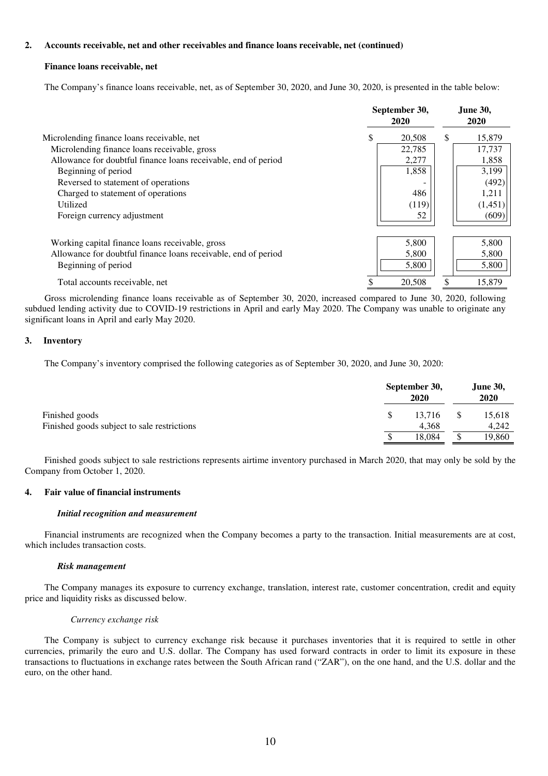### **2. Accounts receivable, net and other receivables and finance loans receivable, net (continued)**

#### **Finance loans receivable, net**

The Company's finance loans receivable, net, as of September 30, 2020, and June 30, 2020, is presented in the table below:

|                                                                | September 30,<br>2020 |     | <b>June 30,</b><br>2020 |
|----------------------------------------------------------------|-----------------------|-----|-------------------------|
| Microlending finance loans receivable, net                     | 20,508                | \$. | 15,879                  |
| Microlending finance loans receivable, gross                   | 22,785                |     | 17,737                  |
| Allowance for doubtful finance loans receivable, end of period | 2,277                 |     | 1,858                   |
| Beginning of period                                            | 1,858                 |     | 3,199                   |
| Reversed to statement of operations                            |                       |     | (492)                   |
| Charged to statement of operations                             | 486                   |     | 1,211                   |
| Utilized                                                       | (119)                 |     | (1,451)                 |
| Foreign currency adjustment                                    | 52                    |     | (609)                   |
| Working capital finance loans receivable, gross                | 5,800                 |     | 5,800                   |
| Allowance for doubtful finance loans receivable, end of period | 5,800                 |     | 5,800                   |
| Beginning of period                                            | 5,800                 |     | 5,800                   |
| Total accounts receivable, net                                 | 20,508                |     | 15,879                  |

Gross microlending finance loans receivable as of September 30, 2020, increased compared to June 30, 2020, following subdued lending activity due to COVID-19 restrictions in April and early May 2020. The Company was unable to originate any significant loans in April and early May 2020.

#### **3. Inventory**

The Company's inventory comprised the following categories as of September 30, 2020, and June 30, 2020:

|                                             |     | September 30,<br>2020 |   |        |
|---------------------------------------------|-----|-----------------------|---|--------|
| Finished goods                              | -SS | 13.716                |   | 15,618 |
| Finished goods subject to sale restrictions |     | 4.368                 |   | 4.242  |
|                                             |     | 18.084                | S | 19,860 |

Finished goods subject to sale restrictions represents airtime inventory purchased in March 2020, that may only be sold by the Company from October 1, 2020.

### **4. Fair value of financial instruments**

#### *Initial recognition and measurement*

Financial instruments are recognized when the Company becomes a party to the transaction. Initial measurements are at cost, which includes transaction costs.

#### *Risk management*

The Company manages its exposure to currency exchange, translation, interest rate, customer concentration, credit and equity price and liquidity risks as discussed below.

#### *Currency exchange risk*

The Company is subject to currency exchange risk because it purchases inventories that it is required to settle in other currencies, primarily the euro and U.S. dollar. The Company has used forward contracts in order to limit its exposure in these transactions to fluctuations in exchange rates between the South African rand ("ZAR"), on the one hand, and the U.S. dollar and the euro, on the other hand.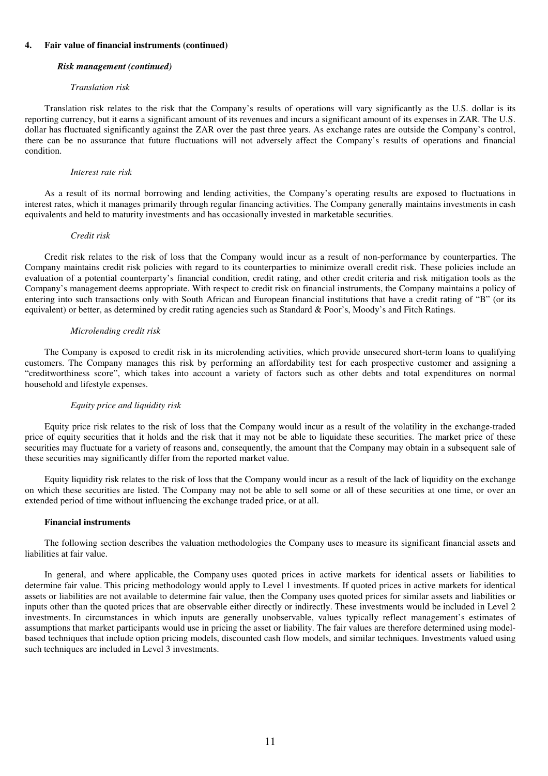#### *Risk management (continued)*

#### *Translation risk*

Translation risk relates to the risk that the Company's results of operations will vary significantly as the U.S. dollar is its reporting currency, but it earns a significant amount of its revenues and incurs a significant amount of its expenses in ZAR. The U.S. dollar has fluctuated significantly against the ZAR over the past three years. As exchange rates are outside the Company's control, there can be no assurance that future fluctuations will not adversely affect the Company's results of operations and financial condition.

#### *Interest rate risk*

As a result of its normal borrowing and lending activities, the Company's operating results are exposed to fluctuations in interest rates, which it manages primarily through regular financing activities. The Company generally maintains investments in cash equivalents and held to maturity investments and has occasionally invested in marketable securities.

#### *Credit risk*

Credit risk relates to the risk of loss that the Company would incur as a result of non-performance by counterparties. The Company maintains credit risk policies with regard to its counterparties to minimize overall credit risk. These policies include an evaluation of a potential counterparty's financial condition, credit rating, and other credit criteria and risk mitigation tools as the Company's management deems appropriate. With respect to credit risk on financial instruments, the Company maintains a policy of entering into such transactions only with South African and European financial institutions that have a credit rating of "B" (or its equivalent) or better, as determined by credit rating agencies such as Standard & Poor's, Moody's and Fitch Ratings.

#### *Microlending credit risk*

The Company is exposed to credit risk in its microlending activities, which provide unsecured short-term loans to qualifying customers. The Company manages this risk by performing an affordability test for each prospective customer and assigning a "creditworthiness score", which takes into account a variety of factors such as other debts and total expenditures on normal household and lifestyle expenses.

#### *Equity price and liquidity risk*

Equity price risk relates to the risk of loss that the Company would incur as a result of the volatility in the exchange-traded price of equity securities that it holds and the risk that it may not be able to liquidate these securities. The market price of these securities may fluctuate for a variety of reasons and, consequently, the amount that the Company may obtain in a subsequent sale of these securities may significantly differ from the reported market value.

Equity liquidity risk relates to the risk of loss that the Company would incur as a result of the lack of liquidity on the exchange on which these securities are listed. The Company may not be able to sell some or all of these securities at one time, or over an extended period of time without influencing the exchange traded price, or at all.

#### **Financial instruments**

The following section describes the valuation methodologies the Company uses to measure its significant financial assets and liabilities at fair value.

In general, and where applicable, the Company uses quoted prices in active markets for identical assets or liabilities to determine fair value. This pricing methodology would apply to Level 1 investments. If quoted prices in active markets for identical assets or liabilities are not available to determine fair value, then the Company uses quoted prices for similar assets and liabilities or inputs other than the quoted prices that are observable either directly or indirectly. These investments would be included in Level 2 investments. In circumstances in which inputs are generally unobservable, values typically reflect management's estimates of assumptions that market participants would use in pricing the asset or liability. The fair values are therefore determined using modelbased techniques that include option pricing models, discounted cash flow models, and similar techniques. Investments valued using such techniques are included in Level 3 investments.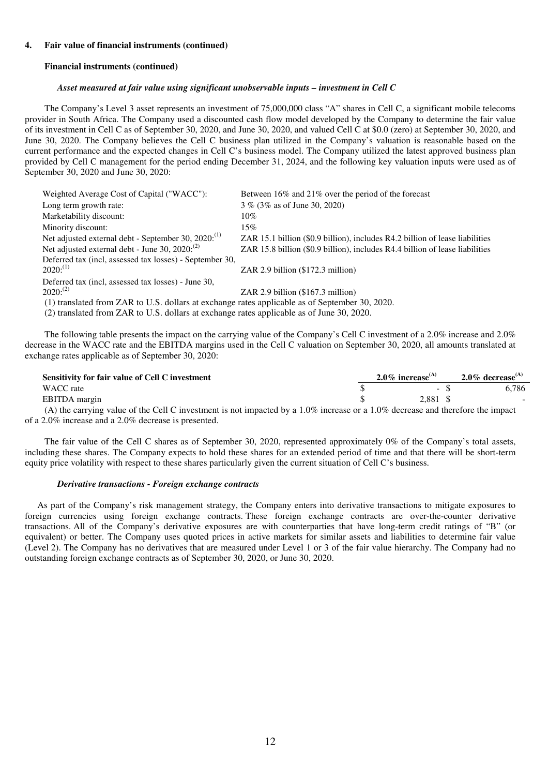#### **Financial instruments (continued)**

#### *Asset measured at fair value using significant unobservable inputs – investment in Cell C*

The Company's Level 3 asset represents an investment of 75,000,000 class "A" shares in Cell C, a significant mobile telecoms provider in South Africa. The Company used a discounted cash flow model developed by the Company to determine the fair value of its investment in Cell C as of September 30, 2020, and June 30, 2020, and valued Cell C at \$0.0 (zero) at September 30, 2020, and June 30, 2020. The Company believes the Cell C business plan utilized in the Company's valuation is reasonable based on the current performance and the expected changes in Cell C's business model. The Company utilized the latest approved business plan provided by Cell C management for the period ending December 31, 2024, and the following key valuation inputs were used as of September 30, 2020 and June 30, 2020:

| Weighted Average Cost of Capital ("WACC"):                                                     | Between 16% and 21% over the period of the forecast                          |
|------------------------------------------------------------------------------------------------|------------------------------------------------------------------------------|
| Long term growth rate:                                                                         | 3 % (3% as of June 30, 2020)                                                 |
| Marketability discount:                                                                        | $10\%$                                                                       |
| Minority discount:                                                                             | 15%                                                                          |
| Net adjusted external debt - September 30, 2020: <sup>(1)</sup>                                | ZAR 15.1 billion (\$0.9 billion), includes R4.2 billion of lease liabilities |
| Net adjusted external debt - June 30, $2020$ : <sup>(2)</sup>                                  | ZAR 15.8 billion (\$0.9 billion), includes R4.4 billion of lease liabilities |
| Deferred tax (incl, assessed tax losses) - September 30,                                       |                                                                              |
| $2020$ <sup>(1)</sup>                                                                          | ZAR $2.9$ billion $(\$172.3$ million)                                        |
| Deferred tax (incl. assessed tax losses) - June 30,                                            |                                                                              |
| $2020$ <sup>(2)</sup>                                                                          | ZAR $2.9$ billion $(\$167.3$ million)                                        |
| (1) translated from ZAR to U.S. dollars at exchange rates applicable as of September 30, 2020. |                                                                              |

(2) translated from ZAR to U.S. dollars at exchange rates applicable as of June 30, 2020.

The following table presents the impact on the carrying value of the Company's Cell C investment of a 2.0% increase and 2.0% decrease in the WACC rate and the EBITDA margins used in the Cell C valuation on September 30, 2020, all amounts translated at exchange rates applicable as of September 30, 2020:

| Sensitivity for fair value of Cell C investment                                                                                      | $2.0\%$ increase <sup>(A)</sup> | $2.0\%$ decrease <sup>(A)</sup> |
|--------------------------------------------------------------------------------------------------------------------------------------|---------------------------------|---------------------------------|
| WACC rate                                                                                                                            | - 35                            | 6.786                           |
| EBITDA margin                                                                                                                        | 2.881 \$                        |                                 |
| (A) the carrying value of the Cell C investment is not impacted by a $1.0\%$ increase or a $1.0\%$ decrease and therefore the impact |                                 |                                 |

of a 2.0% increase and a 2.0% decrease is presented.

The fair value of the Cell C shares as of September 30, 2020, represented approximately 0% of the Company's total assets, including these shares. The Company expects to hold these shares for an extended period of time and that there will be short-term equity price volatility with respect to these shares particularly given the current situation of Cell C's business.

#### *Derivative transactions - Foreign exchange contracts*

As part of the Company's risk management strategy, the Company enters into derivative transactions to mitigate exposures to foreign currencies using foreign exchange contracts. These foreign exchange contracts are over-the-counter derivative transactions. All of the Company's derivative exposures are with counterparties that have long-term credit ratings of "B" (or equivalent) or better. The Company uses quoted prices in active markets for similar assets and liabilities to determine fair value (Level 2). The Company has no derivatives that are measured under Level 1 or 3 of the fair value hierarchy. The Company had no outstanding foreign exchange contracts as of September 30, 2020, or June 30, 2020.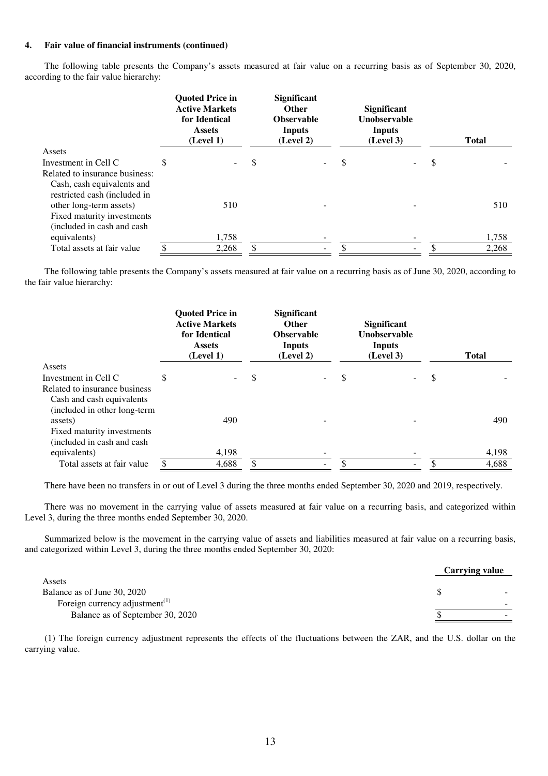The following table presents the Company's assets measured at fair value on a recurring basis as of September 30, 2020, according to the fair value hierarchy:

|                                |   | <b>Quoted Price in</b><br><b>Active Markets</b><br>for Identical<br><b>Assets</b><br>(Level 1) | <b>Significant</b><br><b>Other</b><br><b>Observable</b><br>Inputs<br>(Level 2) |   | <b>Significant</b><br><b>Unobservable</b><br><b>Inputs</b><br>(Level 3) |   | <b>Total</b> |
|--------------------------------|---|------------------------------------------------------------------------------------------------|--------------------------------------------------------------------------------|---|-------------------------------------------------------------------------|---|--------------|
| Assets                         |   |                                                                                                |                                                                                |   |                                                                         |   |              |
| Investment in Cell C           | S | ۰.                                                                                             | \$                                                                             | S |                                                                         | S |              |
| Related to insurance business: |   |                                                                                                |                                                                                |   |                                                                         |   |              |
| Cash, cash equivalents and     |   |                                                                                                |                                                                                |   |                                                                         |   |              |
| restricted cash (included in   |   |                                                                                                |                                                                                |   |                                                                         |   |              |
| other long-term assets)        |   | 510                                                                                            |                                                                                |   |                                                                         |   | 510          |
| Fixed maturity investments     |   |                                                                                                |                                                                                |   |                                                                         |   |              |
| (included in cash and cash     |   |                                                                                                |                                                                                |   |                                                                         |   |              |
| equivalents)                   |   | 1,758                                                                                          |                                                                                |   |                                                                         |   | 1,758        |
| Total assets at fair value     |   | 2.268                                                                                          | Ξ.                                                                             |   |                                                                         |   | 2.268        |

The following table presents the Company's assets measured at fair value on a recurring basis as of June 30, 2020, according to the fair value hierarchy:

|                               | <b>Quoted Price in</b><br><b>Active Markets</b><br>for Identical<br><b>Assets</b><br>(Level 1) |   | <b>Significant</b><br><b>Other</b><br><b>Observable</b><br><b>Inputs</b><br>(Level 2) |    | <b>Significant</b><br>Unobservable<br><b>Inputs</b><br>(Level 3) | <b>Total</b> |
|-------------------------------|------------------------------------------------------------------------------------------------|---|---------------------------------------------------------------------------------------|----|------------------------------------------------------------------|--------------|
| Assets                        |                                                                                                |   |                                                                                       |    |                                                                  |              |
| Investment in Cell C          | \$                                                                                             | S |                                                                                       | \$ |                                                                  | \$           |
| Related to insurance business |                                                                                                |   |                                                                                       |    |                                                                  |              |
| Cash and cash equivalents     |                                                                                                |   |                                                                                       |    |                                                                  |              |
| (included in other long-term  |                                                                                                |   |                                                                                       |    |                                                                  |              |
| assets)                       | 490                                                                                            |   |                                                                                       |    |                                                                  | 490          |
| Fixed maturity investments    |                                                                                                |   |                                                                                       |    |                                                                  |              |
| (included in cash and cash    |                                                                                                |   |                                                                                       |    |                                                                  |              |
| equivalents)                  | 4,198                                                                                          |   |                                                                                       |    |                                                                  | 4,198        |
| Total assets at fair value    | 4,688                                                                                          |   |                                                                                       | Φ  | -                                                                | 4.688        |

There have been no transfers in or out of Level 3 during the three months ended September 30, 2020 and 2019, respectively.

There was no movement in the carrying value of assets measured at fair value on a recurring basis, and categorized within Level 3, during the three months ended September 30, 2020.

Summarized below is the movement in the carrying value of assets and liabilities measured at fair value on a recurring basis, and categorized within Level 3, during the three months ended September 30, 2020:

|                                                         | <b>Carrying value</b> |                          |
|---------------------------------------------------------|-----------------------|--------------------------|
| Assets                                                  |                       |                          |
| Balance as of June 30, 2020                             |                       | $\sim$                   |
| Foreign currency adjustment <sup><math>(1)</math></sup> |                       | -                        |
| Balance as of September 30, 2020                        |                       | $\overline{\phantom{0}}$ |

(1) The foreign currency adjustment represents the effects of the fluctuations between the ZAR, and the U.S. dollar on the carrying value.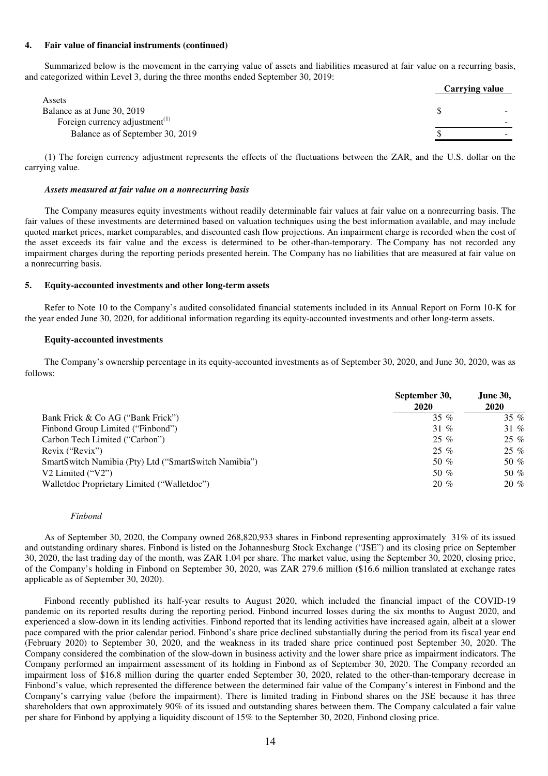Summarized below is the movement in the carrying value of assets and liabilities measured at fair value on a recurring basis, and categorized within Level 3, during the three months ended September 30, 2019:

|                                                         | <b>Carrying value</b>    |
|---------------------------------------------------------|--------------------------|
| Assets                                                  |                          |
| Balance as at June 30, 2019                             | $\overline{\phantom{a}}$ |
| Foreign currency adjustment <sup><math>(1)</math></sup> | $\overline{\phantom{0}}$ |
| Balance as of September 30, 2019                        |                          |

(1) The foreign currency adjustment represents the effects of the fluctuations between the ZAR, and the U.S. dollar on the carrying value.

### *Assets measured at fair value on a nonrecurring basis*

The Company measures equity investments without readily determinable fair values at fair value on a nonrecurring basis. The fair values of these investments are determined based on valuation techniques using the best information available, and may include quoted market prices, market comparables, and discounted cash flow projections. An impairment charge is recorded when the cost of the asset exceeds its fair value and the excess is determined to be other-than-temporary. The Company has not recorded any impairment charges during the reporting periods presented herein. The Company has no liabilities that are measured at fair value on a nonrecurring basis.

#### **5. Equity-accounted investments and other long-term assets**

Refer to Note 10 to the Company's audited consolidated financial statements included in its Annual Report on Form 10-K for the year ended June 30, 2020, for additional information regarding its equity-accounted investments and other long-term assets.

#### **Equity-accounted investments**

The Company's ownership percentage in its equity-accounted investments as of September 30, 2020, and June 30, 2020, was as follows:

|                                                       | September 30,<br>2020 | <b>June 30,</b><br>2020 |
|-------------------------------------------------------|-----------------------|-------------------------|
| Bank Frick & Co AG ("Bank Frick")                     | 35 $%$                | 35 $%$                  |
| Finbond Group Limited ("Finbond")                     | 31 %                  | 31 %                    |
| Carbon Tech Limited ("Carbon")                        | $25\%$                | $25\%$                  |
| Revix ("Revix")                                       | $25\%$                | $25\%$                  |
| SmartSwitch Namibia (Pty) Ltd ("SmartSwitch Namibia") | 50 %                  | 50 %                    |
| V2 Limited $("V2")$                                   | 50 $%$                | 50 %                    |
| Walletdoc Proprietary Limited ("Walletdoc")           | $20 \%$               | $20 \%$                 |

#### *Finbond*

As of September 30, 2020, the Company owned 268,820,933 shares in Finbond representing approximately 31% of its issued and outstanding ordinary shares. Finbond is listed on the Johannesburg Stock Exchange ("JSE") and its closing price on September 30, 2020, the last trading day of the month, was ZAR 1.04 per share. The market value, using the September 30, 2020, closing price, of the Company's holding in Finbond on September 30, 2020, was ZAR 279.6 million (\$16.6 million translated at exchange rates applicable as of September 30, 2020).

Finbond recently published its half-year results to August 2020, which included the financial impact of the COVID-19 pandemic on its reported results during the reporting period. Finbond incurred losses during the six months to August 2020, and experienced a slow-down in its lending activities. Finbond reported that its lending activities have increased again, albeit at a slower pace compared with the prior calendar period. Finbond's share price declined substantially during the period from its fiscal year end (February 2020) to September 30, 2020, and the weakness in its traded share price continued post September 30, 2020. The Company considered the combination of the slow-down in business activity and the lower share price as impairment indicators. The Company performed an impairment assessment of its holding in Finbond as of September 30, 2020. The Company recorded an impairment loss of \$16.8 million during the quarter ended September 30, 2020, related to the other-than-temporary decrease in Finbond's value, which represented the difference between the determined fair value of the Company's interest in Finbond and the Company's carrying value (before the impairment). There is limited trading in Finbond shares on the JSE because it has three shareholders that own approximately 90% of its issued and outstanding shares between them. The Company calculated a fair value per share for Finbond by applying a liquidity discount of 15% to the September 30, 2020, Finbond closing price.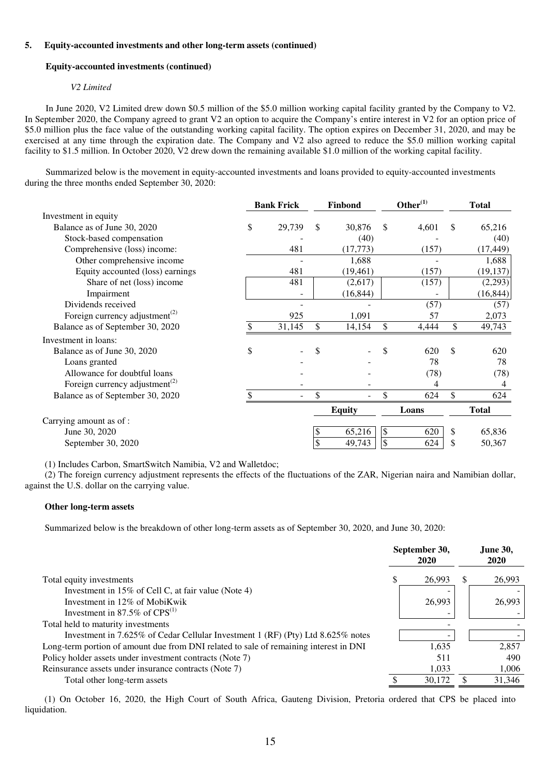#### **5. Equity-accounted investments and other long-term assets (continued)**

#### **Equity-accounted investments (continued)**

#### *V2 Limited*

In June 2020, V2 Limited drew down \$0.5 million of the \$5.0 million working capital facility granted by the Company to V2. In September 2020, the Company agreed to grant V2 an option to acquire the Company's entire interest in V2 for an option price of \$5.0 million plus the face value of the outstanding working capital facility. The option expires on December 31, 2020, and may be exercised at any time through the expiration date. The Company and V2 also agreed to reduce the \$5.0 million working capital facility to \$1.5 million. In October 2020, V2 drew down the remaining available \$1.0 million of the working capital facility.

Summarized below is the movement in equity-accounted investments and loans provided to equity-accounted investments during the three months ended September 30, 2020:

|                                                         | <b>Bank Frick</b><br>Finbond |        |              |               | Other <sup>(1)</sup> |       | <b>Total</b> |              |
|---------------------------------------------------------|------------------------------|--------|--------------|---------------|----------------------|-------|--------------|--------------|
| Investment in equity                                    |                              |        |              |               |                      |       |              |              |
| Balance as of June 30, 2020                             | \$                           | 29,739 | \$           | 30,876        | $\mathbb{S}$         | 4,601 | $\mathbb{S}$ | 65,216       |
| Stock-based compensation                                |                              |        |              | (40)          |                      |       |              | (40)         |
| Comprehensive (loss) income:                            |                              | 481    |              | (17, 773)     |                      | (157) |              | (17, 449)    |
| Other comprehensive income                              |                              |        |              | 1,688         |                      |       |              | 1,688        |
| Equity accounted (loss) earnings                        |                              | 481    |              | (19, 461)     |                      | (157) |              | (19, 137)    |
| Share of net (loss) income                              |                              | 481    |              | (2,617)       |                      | (157) |              | (2,293)      |
| Impairment                                              |                              |        |              | (16, 844)     |                      |       |              | (16, 844)    |
| Dividends received                                      |                              |        |              |               |                      | (57)  |              | (57)         |
| Foreign currency adjustment <sup><math>(2)</math></sup> |                              | 925    |              | 1,091         |                      | 57    |              | 2,073        |
| Balance as of September 30, 2020                        |                              | 31,145 | $\mathbb{S}$ | 14,154        | $\mathbb{S}$         | 4,444 | \$           | 49,743       |
| Investment in loans:                                    |                              |        |              |               |                      |       |              |              |
| Balance as of June 30, 2020                             | \$                           |        | \$           |               |                      | 620   | \$.          | 620          |
| Loans granted                                           |                              |        |              |               |                      | 78    |              | 78           |
| Allowance for doubtful loans                            |                              |        |              |               |                      | (78)  |              | (78)         |
| Foreign currency adjustment <sup><math>(2)</math></sup> |                              |        |              |               |                      | 4     |              | 4            |
| Balance as of September 30, 2020                        |                              |        | \$           |               |                      | 624   | \$           | 624          |
|                                                         |                              |        |              | <b>Equity</b> |                      | Loans |              | <b>Total</b> |
| Carrying amount as of :                                 |                              |        |              |               |                      |       |              |              |
| June 30, 2020                                           |                              |        |              | 65,216        | \$                   | 620   | \$           | 65,836       |
| September 30, 2020                                      |                              |        | \$           | 49,743        | \$                   | 624   | \$           | 50,367       |

(1) Includes Carbon, SmartSwitch Namibia, V2 and Walletdoc;

(2) The foreign currency adjustment represents the effects of the fluctuations of the ZAR, Nigerian naira and Namibian dollar, against the U.S. dollar on the carrying value.

#### **Other long-term assets**

Summarized below is the breakdown of other long-term assets as of September 30, 2020, and June 30, 2020:

|                                                                                       | September 30,<br>2020 |     | <b>June 30,</b><br>2020 |
|---------------------------------------------------------------------------------------|-----------------------|-----|-------------------------|
| Total equity investments                                                              | 26,993                | \$. | 26,993                  |
| Investment in 15% of Cell C, at fair value (Note 4)                                   |                       |     |                         |
| Investment in 12% of MobiKwik                                                         | 26,993                |     | 26,993                  |
| Investment in 87.5% of $CPS^{(1)}$                                                    |                       |     |                         |
| Total held to maturity investments                                                    |                       |     |                         |
| Investment in 7.625% of Cedar Cellular Investment 1 (RF) (Pty) Ltd $8.625\%$ notes    |                       |     |                         |
| Long-term portion of amount due from DNI related to sale of remaining interest in DNI | 1.635                 |     | 2,857                   |
| Policy holder assets under investment contracts (Note 7)                              | 511                   |     | 490                     |
| Reinsurance assets under insurance contracts (Note 7)                                 | 1.033                 |     | 1.006                   |
| Total other long-term assets                                                          | 30,172                |     | 31,346                  |

(1) On October 16, 2020, the High Court of South Africa, Gauteng Division, Pretoria ordered that CPS be placed into liquidation.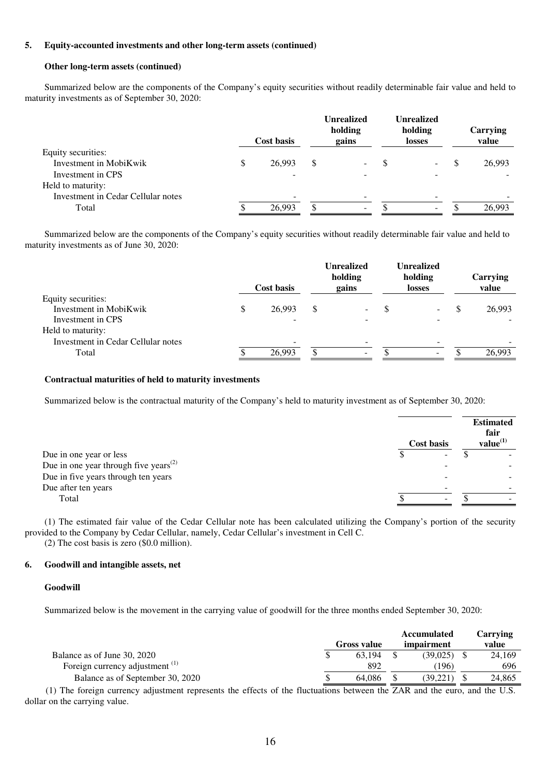#### **5. Equity-accounted investments and other long-term assets (continued)**

#### **Other long-term assets (continued)**

Summarized below are the components of the Company's equity securities without readily determinable fair value and held to maturity investments as of September 30, 2020:

|        |            | holding<br>gains |                   | <b>Unrealized</b><br>holding<br>losses |     | Carrying<br>value |
|--------|------------|------------------|-------------------|----------------------------------------|-----|-------------------|
|        |            |                  |                   |                                        |     |                   |
| 26.993 | \$         | ۰.               | S                 | $\sim$                                 | \$. | 26,993            |
|        |            |                  |                   |                                        |     |                   |
|        |            |                  |                   |                                        |     |                   |
|        |            |                  |                   |                                        |     |                   |
| 26.993 | ۸.         | $\sim$           |                   | $\overline{\phantom{0}}$               |     | 26.993            |
|        | Cost basis |                  | <b>Unrealized</b> |                                        |     |                   |

Summarized below are the components of the Company's equity securities without readily determinable fair value and held to maturity investments as of June 30, 2020:

|                                    | Cost basis | <b>Unrealized</b><br>holding<br>gains | <b>Unrealized</b><br>holding<br>losses | Carrying<br>value |
|------------------------------------|------------|---------------------------------------|----------------------------------------|-------------------|
| Equity securities:                 |            |                                       |                                        |                   |
| Investment in MobiKwik             | 26.993     | \$<br>$\sim$                          | ۰.                                     | 26,993            |
| Investment in CPS                  |            |                                       |                                        |                   |
| Held to maturity:                  |            |                                       |                                        |                   |
| Investment in Cedar Cellular notes |            |                                       |                                        |                   |
| Total                              | 26.993     | $\overline{\phantom{0}}$              | $\overline{\phantom{0}}$               | 26.993            |

#### **Contractual maturities of held to maturity investments**

Summarized below is the contractual maturity of the Company's held to maturity investment as of September 30, 2020:

|                                                                | Cost basis | <b>Estimated</b><br>fair<br>value <sup>(1)</sup> |
|----------------------------------------------------------------|------------|--------------------------------------------------|
| Due in one year or less                                        | -          |                                                  |
| Due in one year through five years <sup><math>(2)</math></sup> |            |                                                  |
| Due in five years through ten years                            |            |                                                  |
| Due after ten years                                            |            |                                                  |
| Total                                                          |            |                                                  |
|                                                                |            |                                                  |

(1) The estimated fair value of the Cedar Cellular note has been calculated utilizing the Company's portion of the security provided to the Company by Cedar Cellular, namely, Cedar Cellular's investment in Cell C.

(2) The cost basis is zero (\$0.0 million).

#### **6. Goodwill and intangible assets, net**

#### **Goodwill**

Summarized below is the movement in the carrying value of goodwill for the three months ended September 30, 2020:

|                                  |  |                    | <b>Accumulated</b> | Carrving |
|----------------------------------|--|--------------------|--------------------|----------|
|                                  |  | <b>Gross value</b> | impairment         | value    |
| Balance as of June 30, 2020      |  | 63.194             | (39.025)           | 24,169   |
| Foreign currency adjustment (1)  |  | 892                | (196)              | 696      |
| Balance as of September 30, 2020 |  | 64.086             | (39.221)           | 24.865   |

(1) The foreign currency adjustment represents the effects of the fluctuations between the ZAR and the euro, and the U.S. dollar on the carrying value.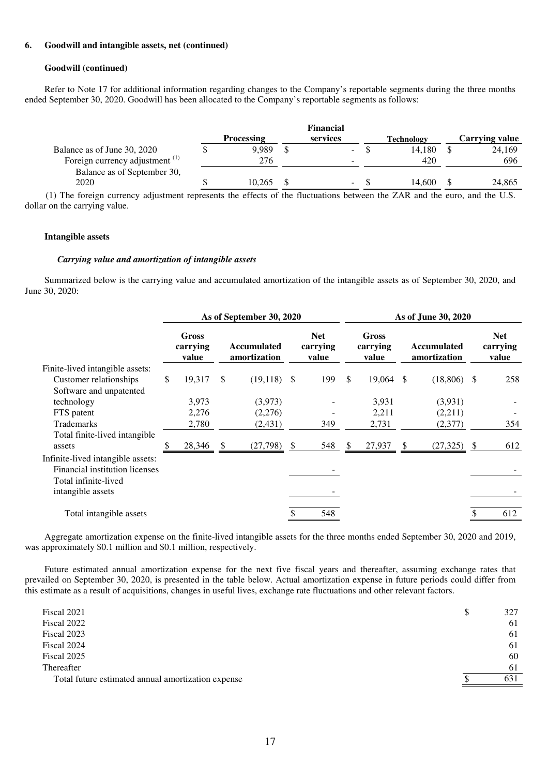#### **6. Goodwill and intangible assets, net (continued)**

#### **Goodwill (continued)**

Refer to Note 17 for additional information regarding changes to the Company's reportable segments during the three months ended September 30, 2020. Goodwill has been allocated to the Company's reportable segments as follows:

|                                            |                   | Financial |                   |                |
|--------------------------------------------|-------------------|-----------|-------------------|----------------|
|                                            | <b>Processing</b> | services  | <b>Technology</b> | Carrying value |
| Balance as of June 30, 2020                | 9.989             | $\sim$    | 14.180            | 24.169         |
| Foreign currency adjustment <sup>(1)</sup> | 276               |           | 420               | 696            |
| Balance as of September 30,                |                   |           |                   |                |
| 2020                                       | 10.265            | $\sim$    | 14.600            | 24,865         |

(1) The foreign currency adjustment represents the effects of the fluctuations between the ZAR and the euro, and the U.S. dollar on the carrying value.

#### **Intangible assets**

#### *Carrying value and amortization of intangible assets*

Summarized below is the carrying value and accumulated amortization of the intangible assets as of September 30, 2020, and June 30, 2020:

|                                   | As of September 30, 2020 |                            |          |                             |                                 |               |                                   | As of June 30, 2020 |                                    |    |                                 |
|-----------------------------------|--------------------------|----------------------------|----------|-----------------------------|---------------------------------|---------------|-----------------------------------|---------------------|------------------------------------|----|---------------------------------|
|                                   |                          | Gross<br>carrying<br>value |          | Accumulated<br>amortization | <b>Net</b><br>carrying<br>value |               | <b>Gross</b><br>carrying<br>value |                     | <b>Accumulated</b><br>amortization |    | <b>Net</b><br>carrying<br>value |
| Finite-lived intangible assets:   |                          |                            |          |                             |                                 |               |                                   |                     |                                    |    |                                 |
| Customer relationships            | \$                       | 19,317                     | \$       | $(19,118)$ \$               | 199                             | <sup>\$</sup> | 19,064 \$                         |                     | $(18,806)$ \$                      |    | 258                             |
| Software and unpatented           |                          |                            |          |                             |                                 |               |                                   |                     |                                    |    |                                 |
| technology                        |                          | 3,973                      |          | (3,973)                     |                                 |               | 3,931                             |                     | (3,931)                            |    |                                 |
| FTS patent                        |                          | 2,276                      |          | (2,276)                     |                                 |               | 2,211                             |                     | (2,211)                            |    |                                 |
| <b>Trademarks</b>                 |                          | 2,780                      |          | (2, 431)                    | 349                             |               | 2,731                             |                     | (2,377)                            |    | 354                             |
| Total finite-lived intangible     |                          |                            |          |                             |                                 |               |                                   |                     |                                    |    |                                 |
| assets                            |                          | 28,346                     | <b>S</b> | $(27,798)$ \$               | 548                             | -S            | 27,937                            | <sup>S</sup>        | (27, 325)                          | -S | 612                             |
| Infinite-lived intangible assets: |                          |                            |          |                             |                                 |               |                                   |                     |                                    |    |                                 |
| Financial institution licenses    |                          |                            |          |                             |                                 |               |                                   |                     |                                    |    |                                 |
| Total infinite-lived              |                          |                            |          |                             |                                 |               |                                   |                     |                                    |    |                                 |
| intangible assets                 |                          |                            |          |                             |                                 |               |                                   |                     |                                    |    |                                 |
| Total intangible assets           |                          |                            |          |                             | 548                             |               |                                   |                     |                                    |    | 612                             |

Aggregate amortization expense on the finite-lived intangible assets for the three months ended September 30, 2020 and 2019, was approximately \$0.1 million and \$0.1 million, respectively.

Future estimated annual amortization expense for the next five fiscal years and thereafter, assuming exchange rates that prevailed on September 30, 2020, is presented in the table below. Actual amortization expense in future periods could differ from this estimate as a result of acquisitions, changes in useful lives, exchange rate fluctuations and other relevant factors.

|   | 631 |
|---|-----|
|   | 61  |
|   | 60  |
|   | 61  |
|   | 61  |
|   | 61  |
| S | 327 |
|   |     |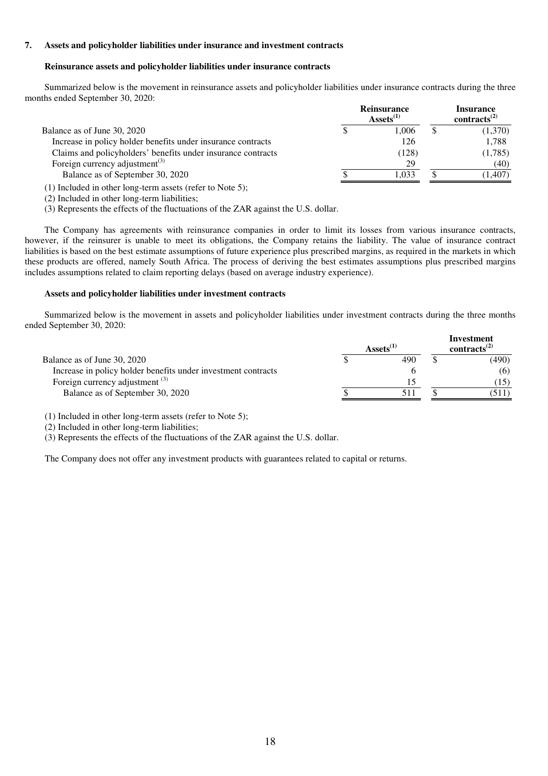### **7. Assets and policyholder liabilities under insurance and investment contracts**

#### **Reinsurance assets and policyholder liabilities under insurance contracts**

Summarized below is the movement in reinsurance assets and policyholder liabilities under insurance contracts during the three months ended September 30, 2020:

|                                                                                             | <b>Reinsurance</b><br>$\text{Assets}^{(1)}$ | <b>Insurance</b><br>contracts <sup><math>(2)</math></sup> |
|---------------------------------------------------------------------------------------------|---------------------------------------------|-----------------------------------------------------------|
| Balance as of June 30, 2020                                                                 | 1.006                                       | (1,370)                                                   |
| Increase in policy holder benefits under insurance contracts                                | 126                                         | 1,788                                                     |
| Claims and policyholders' benefits under insurance contracts                                | (128)                                       | (1,785)                                                   |
| Foreign currency adjustment <sup>(3)</sup>                                                  | 29                                          | (40)                                                      |
| Balance as of September 30, 2020                                                            | 1.033                                       | (1,407)                                                   |
| $\mathcal{L}$ and the set of the set of the set of $\mathcal{L}$ . The set of $\mathcal{L}$ |                                             |                                                           |

(1) Included in other long-term assets (refer to Note 5);

(2) Included in other long-term liabilities;

(3) Represents the effects of the fluctuations of the ZAR against the U.S. dollar.

The Company has agreements with reinsurance companies in order to limit its losses from various insurance contracts, however, if the reinsurer is unable to meet its obligations, the Company retains the liability. The value of insurance contract liabilities is based on the best estimate assumptions of future experience plus prescribed margins, as required in the markets in which these products are offered, namely South Africa. The process of deriving the best estimates assumptions plus prescribed margins includes assumptions related to claim reporting delays (based on average industry experience).

#### **Assets and policyholder liabilities under investment contracts**

Summarized below is the movement in assets and policyholder liabilities under investment contracts during the three months ended September 30, 2020:

|                                                               | $\text{Assets}^{(1)}$ | Investment<br>contracts <sup><math>(2)</math></sup> |
|---------------------------------------------------------------|-----------------------|-----------------------------------------------------|
| Balance as of June 30, 2020                                   | 490                   | (490)                                               |
| Increase in policy holder benefits under investment contracts |                       | (6)                                                 |
| Foreign currency adjustment $^{(3)}$                          |                       | 15)                                                 |
| Balance as of September 30, 2020                              |                       | 511)                                                |

(1) Included in other long-term assets (refer to Note 5);

(2) Included in other long-term liabilities;

(3) Represents the effects of the fluctuations of the ZAR against the U.S. dollar.

The Company does not offer any investment products with guarantees related to capital or returns.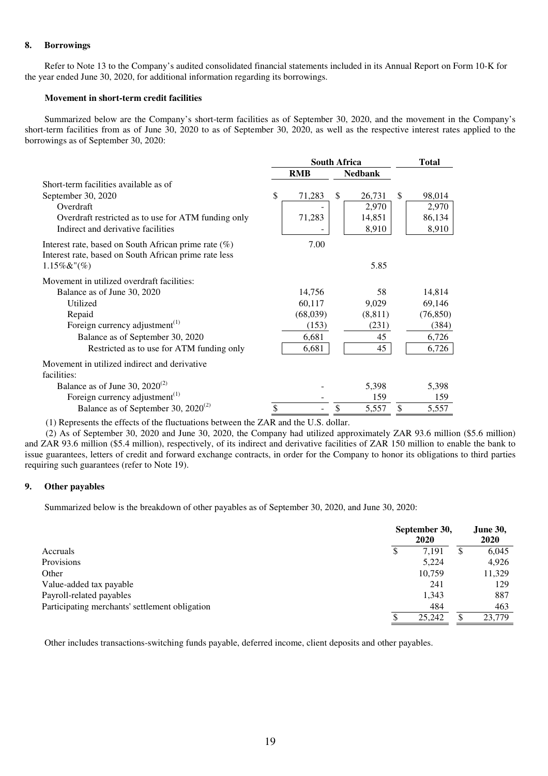### **8. Borrowings**

Refer to Note 13 to the Company's audited consolidated financial statements included in its Annual Report on Form 10-K for the year ended June 30, 2020, for additional information regarding its borrowings.

### **Movement in short-term credit facilities**

Summarized below are the Company's short-term facilities as of September 30, 2020, and the movement in the Company's short-term facilities from as of June 30, 2020 to as of September 30, 2020, as well as the respective interest rates applied to the borrowings as of September 30, 2020:

|                                                                                                                  | <b>South Africa</b> |            |    | Total          |               |           |
|------------------------------------------------------------------------------------------------------------------|---------------------|------------|----|----------------|---------------|-----------|
|                                                                                                                  |                     | <b>RMB</b> |    | <b>Nedbank</b> |               |           |
| Short-term facilities available as of                                                                            |                     |            |    |                |               |           |
| September 30, 2020                                                                                               | \$                  | 71,283     | \$ | 26,731         | <sup>\$</sup> | 98,014    |
| Overdraft                                                                                                        |                     |            |    | 2,970          |               | 2,970     |
| Overdraft restricted as to use for ATM funding only                                                              |                     | 71,283     |    | 14,851         |               | 86,134    |
| Indirect and derivative facilities                                                                               |                     |            |    | 8,910          |               | 8,910     |
| Interest rate, based on South African prime rate $(\%)$<br>Interest rate, based on South African prime rate less |                     | 7.00       |    |                |               |           |
| $1.15\%$ &"(%)                                                                                                   |                     |            |    | 5.85           |               |           |
| Movement in utilized overdraft facilities:                                                                       |                     |            |    |                |               |           |
| Balance as of June 30, 2020                                                                                      |                     | 14,756     |    | 58             |               | 14,814    |
| Utilized                                                                                                         |                     | 60,117     |    | 9,029          |               | 69,146    |
| Repaid                                                                                                           |                     | (68,039)   |    | (8, 811)       |               | (76, 850) |
| Foreign currency adjustment <sup><math>(1)</math></sup>                                                          |                     | (153)      |    | (231)          |               | (384)     |
| Balance as of September 30, 2020                                                                                 |                     | 6,681      |    | 45             |               | 6,726     |
| Restricted as to use for ATM funding only                                                                        |                     | 6,681      |    | 45             |               | 6,726     |
| Movement in utilized indirect and derivative                                                                     |                     |            |    |                |               |           |
| facilities:                                                                                                      |                     |            |    |                |               |           |
| Balance as of June 30, $2020^{(2)}$                                                                              |                     |            |    | 5,398          |               | 5,398     |
| Foreign currency adjustment $(1)$                                                                                |                     |            |    | 159            |               | 159       |
| Balance as of September 30, $2020^{(2)}$                                                                         | \$                  |            | \$ | 5,557          | \$            | 5,557     |

(1) Represents the effects of the fluctuations between the ZAR and the U.S. dollar.

(2) As of September 30, 2020 and June 30, 2020, the Company had utilized approximately ZAR 93.6 million (\$5.6 million) and ZAR 93.6 million (\$5.4 million), respectively, of its indirect and derivative facilities of ZAR 150 million to enable the bank to issue guarantees, letters of credit and forward exchange contracts, in order for the Company to honor its obligations to third parties requiring such guarantees (refer to Note 19).

#### **9. Other payables**

Summarized below is the breakdown of other payables as of September 30, 2020, and June 30, 2020:

|                                                | September 30,<br>2020 |   | <b>June 30,</b><br>2020 |
|------------------------------------------------|-----------------------|---|-------------------------|
| Accruals                                       | \$<br>7,191           | S | 6,045                   |
| Provisions                                     | 5,224                 |   | 4,926                   |
| Other                                          | 10.759                |   | 11,329                  |
| Value-added tax payable                        | 241                   |   | 129                     |
| Payroll-related payables                       | 1,343                 |   | 887                     |
| Participating merchants' settlement obligation | 484                   |   | 463                     |
|                                                | \$<br>25,242          | S | 23,779                  |

Other includes transactions-switching funds payable, deferred income, client deposits and other payables.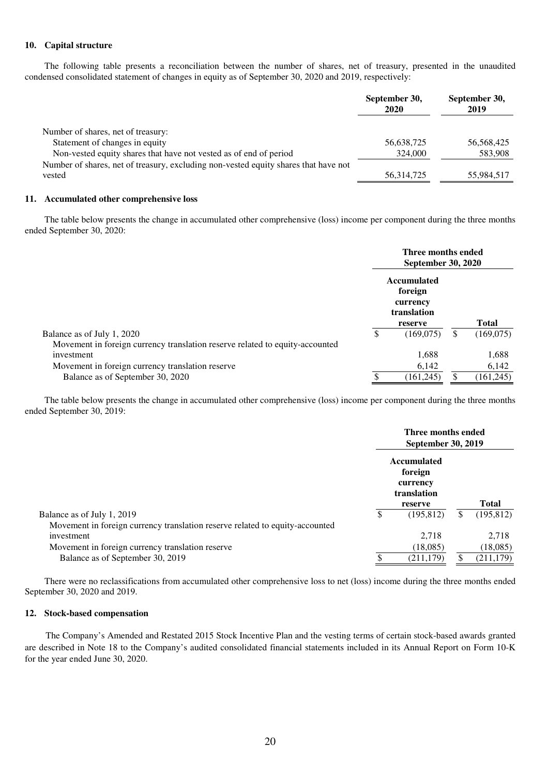#### **10. Capital structure**

The following table presents a reconciliation between the number of shares, net of treasury, presented in the unaudited condensed consolidated statement of changes in equity as of September 30, 2020 and 2019, respectively:

|                                                                                     | September 30,<br>2020 | September 30,<br>2019 |
|-------------------------------------------------------------------------------------|-----------------------|-----------------------|
| Number of shares, net of treasury:                                                  |                       |                       |
| Statement of changes in equity                                                      | 56,638,725            | 56,568,425            |
| Non-vested equity shares that have not vested as of end of period                   | 324,000               | 583,908               |
| Number of shares, net of treasury, excluding non-vested equity shares that have not |                       |                       |
| vested                                                                              | 56, 314, 725          | 55,984,517            |

#### **11. Accumulated other comprehensive loss**

The table below presents the change in accumulated other comprehensive (loss) income per component during the three months ended September 30, 2020:

|                                                                              |     | Three months ended<br><b>September 30, 2020</b>                     |     |              |
|------------------------------------------------------------------------------|-----|---------------------------------------------------------------------|-----|--------------|
|                                                                              |     | <b>Accumulated</b><br>foreign<br>currency<br>translation<br>reserve |     | <b>Total</b> |
| Balance as of July 1, 2020                                                   | \$. | (169,075)                                                           | \$. | (169,075)    |
| Movement in foreign currency translation reserve related to equity-accounted |     |                                                                     |     |              |
| investment                                                                   |     | 1,688                                                               |     | 1,688        |
| Movement in foreign currency translation reserve                             |     | 6,142                                                               |     | 6,142        |
| Balance as of September 30, 2020                                             |     | (161, 245)                                                          | \$  | (161, 245)   |

The table below presents the change in accumulated other comprehensive (loss) income per component during the three months ended September 30, 2019:

|                                                                              | Three months ended<br><b>September 30, 2019</b>   |    |              |
|------------------------------------------------------------------------------|---------------------------------------------------|----|--------------|
|                                                                              | Accumulated<br>foreign<br>currency<br>translation |    |              |
|                                                                              | reserve                                           |    | <b>Total</b> |
| Balance as of July 1, 2019                                                   | (195, 812)                                        | \$ | (195, 812)   |
| Movement in foreign currency translation reserve related to equity-accounted |                                                   |    |              |
| investment                                                                   | 2,718                                             |    | 2,718        |
| Movement in foreign currency translation reserve                             | (18,085)                                          |    | (18,085)     |
| Balance as of September 30, 2019                                             | (211, 179)                                        |    | (211, 179)   |
|                                                                              |                                                   |    |              |

There were no reclassifications from accumulated other comprehensive loss to net (loss) income during the three months ended September 30, 2020 and 2019.

#### **12. Stock-based compensation**

The Company's Amended and Restated 2015 Stock Incentive Plan and the vesting terms of certain stock-based awards granted are described in Note 18 to the Company's audited consolidated financial statements included in its Annual Report on Form 10-K for the year ended June 30, 2020.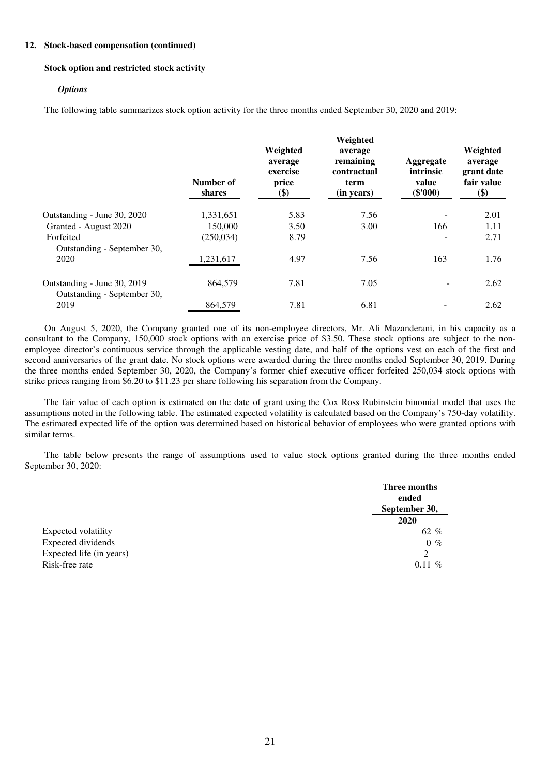#### **12. Stock-based compensation (continued)**

#### **Stock option and restricted stock activity**

#### *Options*

The following table summarizes stock option activity for the three months ended September 30, 2020 and 2019:

|                                                            | Number of<br>shares | Weighted<br>average<br>exercise<br>price<br>\$) | Weighted<br>average<br>remaining<br>contractual<br>term<br>(in years) | Aggregate<br>intrinsic<br>value<br>$(\$'000)$ | Weighted<br>average<br>grant date<br>fair value<br>\$) |
|------------------------------------------------------------|---------------------|-------------------------------------------------|-----------------------------------------------------------------------|-----------------------------------------------|--------------------------------------------------------|
| Outstanding - June 30, 2020                                | 1,331,651           | 5.83                                            | 7.56                                                                  |                                               | 2.01                                                   |
| Granted - August 2020                                      | 150.000             | 3.50                                            | 3.00                                                                  | 166                                           | 1.11                                                   |
| Forfeited                                                  | (250, 034)          | 8.79                                            |                                                                       |                                               | 2.71                                                   |
| Outstanding - September 30,<br>2020                        | 1,231,617           | 4.97                                            | 7.56                                                                  | 163                                           | 1.76                                                   |
| Outstanding - June 30, 2019<br>Outstanding - September 30, | 864,579             | 7.81                                            | 7.05                                                                  |                                               | 2.62                                                   |
| 2019                                                       | 864,579             | 7.81                                            | 6.81                                                                  |                                               | 2.62                                                   |

On August 5, 2020, the Company granted one of its non-employee directors, Mr. Ali Mazanderani, in his capacity as a consultant to the Company, 150,000 stock options with an exercise price of \$3.50. These stock options are subject to the nonemployee director's continuous service through the applicable vesting date, and half of the options vest on each of the first and second anniversaries of the grant date. No stock options were awarded during the three months ended September 30, 2019. During the three months ended September 30, 2020, the Company's former chief executive officer forfeited 250,034 stock options with strike prices ranging from \$6.20 to \$11.23 per share following his separation from the Company.

The fair value of each option is estimated on the date of grant using the Cox Ross Rubinstein binomial model that uses the assumptions noted in the following table. The estimated expected volatility is calculated based on the Company's 750-day volatility. The estimated expected life of the option was determined based on historical behavior of employees who were granted options with similar terms.

The table below presents the range of assumptions used to value stock options granted during the three months ended September 30, 2020:

|                          | Three months<br>ended<br>September 30, |
|--------------------------|----------------------------------------|
|                          | 2020                                   |
| Expected volatility      | 62 %                                   |
| Expected dividends       | $0 \%$                                 |
| Expected life (in years) | 2                                      |
| Risk-free rate           | $0.11\%$                               |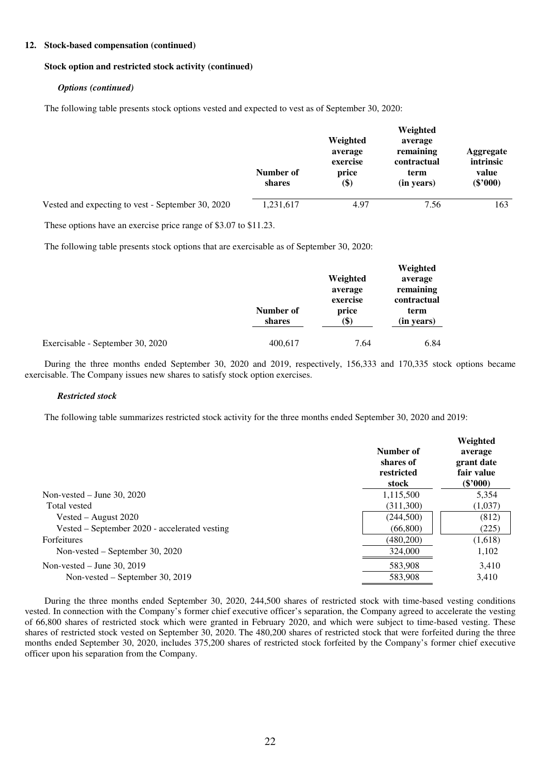#### **12. Stock-based compensation (continued)**

#### **Stock option and restricted stock activity (continued)**

#### *Options (continued)*

The following table presents stock options vested and expected to vest as of September 30, 2020:

|                                                   | Number of<br>shares | Weighted<br>average<br>exercise<br>price<br>\$) | Weighted<br>average<br>remaining<br>contractual<br>term<br>(in years) | Aggregate<br>intrinsic<br>value<br>$(\$'000)$ |
|---------------------------------------------------|---------------------|-------------------------------------------------|-----------------------------------------------------------------------|-----------------------------------------------|
| Vested and expecting to vest - September 30, 2020 | 1,231,617           | 4.97                                            | 7.56                                                                  | 163                                           |
|                                                   |                     |                                                 |                                                                       |                                               |

These options have an exercise price range of \$3.07 to \$11.23.

The following table presents stock options that are exercisable as of September 30, 2020:

|                                  | Number of<br>shares | Weighted<br>average<br>exercise<br>price<br>(\$) | Weighted<br>average<br>remaining<br>contractual<br>term<br>(in years) |
|----------------------------------|---------------------|--------------------------------------------------|-----------------------------------------------------------------------|
| Exercisable - September 30, 2020 | 400,617             | 7.64                                             | 6.84                                                                  |

During the three months ended September 30, 2020 and 2019, respectively, 156,333 and 170,335 stock options became exercisable. The Company issues new shares to satisfy stock option exercises.

#### *Restricted stock*

The following table summarizes restricted stock activity for the three months ended September 30, 2020 and 2019:

|                                               | Number of<br>shares of<br>restricted<br>stock | Weighted<br>average<br>grant date<br>fair value<br>$(\$'000)$ |
|-----------------------------------------------|-----------------------------------------------|---------------------------------------------------------------|
| Non-vested $-$ June 30, 2020                  | 1,115,500                                     | 5,354                                                         |
| Total vested                                  | (311,300)                                     | (1,037)                                                       |
| Vested – August $2020$                        | (244,500)                                     | (812)                                                         |
| Vested – September 2020 - accelerated vesting | (66,800)                                      | (225)                                                         |
| <b>Forfeitures</b>                            | (480, 200)                                    | (1,618)                                                       |
| Non-vested – September 30, 2020               | 324,000                                       | 1,102                                                         |
| Non-vested $-$ June 30, 2019                  | 583,908                                       | 3,410                                                         |
| Non-vested – September 30, 2019               | 583,908                                       | 3,410                                                         |

During the three months ended September 30, 2020, 244,500 shares of restricted stock with time-based vesting conditions vested. In connection with the Company's former chief executive officer's separation, the Company agreed to accelerate the vesting of 66,800 shares of restricted stock which were granted in February 2020, and which were subject to time-based vesting. These shares of restricted stock vested on September 30, 2020. The 480,200 shares of restricted stock that were forfeited during the three months ended September 30, 2020, includes 375,200 shares of restricted stock forfeited by the Company's former chief executive officer upon his separation from the Company.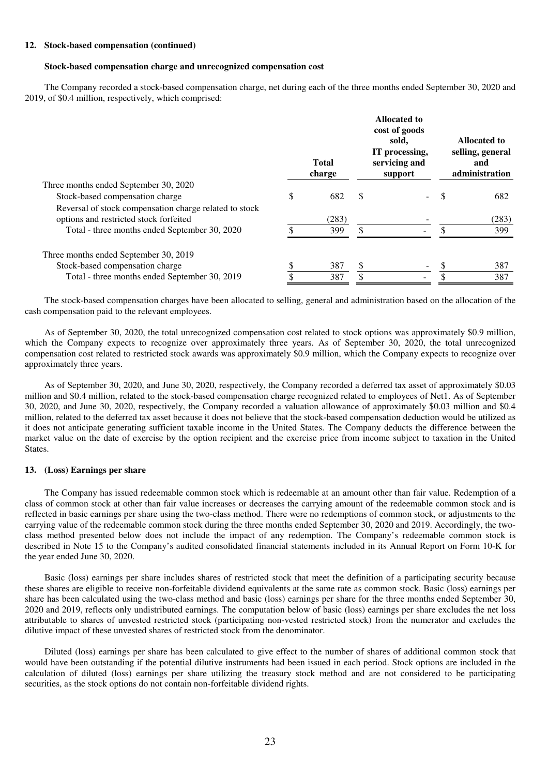#### **12. Stock-based compensation (continued)**

#### **Stock-based compensation charge and unrecognized compensation cost**

The Company recorded a stock-based compensation charge, net during each of the three months ended September 30, 2020 and 2019, of \$0.4 million, respectively, which comprised:

|                                                                                                  | <b>Total</b><br>charge |    | <b>Allocated to</b><br>cost of goods<br>sold,<br>IT processing,<br>servicing and<br>support |   | Allocated to<br>selling, general<br>and<br>administration |
|--------------------------------------------------------------------------------------------------|------------------------|----|---------------------------------------------------------------------------------------------|---|-----------------------------------------------------------|
| Three months ended September 30, 2020                                                            |                        |    |                                                                                             |   |                                                           |
| Stock-based compensation charge                                                                  | \$<br>682              | S  |                                                                                             | S | 682                                                       |
| Reversal of stock compensation charge related to stock<br>options and restricted stock forfeited | (283)                  |    |                                                                                             |   | (283)                                                     |
| Total - three months ended September 30, 2020                                                    | 399                    | \$ |                                                                                             |   | 399                                                       |
| Three months ended September 30, 2019                                                            |                        |    |                                                                                             |   |                                                           |
| Stock-based compensation charge                                                                  | 387                    | \$ |                                                                                             |   | 387                                                       |
| Total - three months ended September 30, 2019                                                    | 387                    | \$ |                                                                                             |   | 387                                                       |
|                                                                                                  |                        |    |                                                                                             |   |                                                           |

The stock-based compensation charges have been allocated to selling, general and administration based on the allocation of the cash compensation paid to the relevant employees.

As of September 30, 2020, the total unrecognized compensation cost related to stock options was approximately \$0.9 million, which the Company expects to recognize over approximately three years. As of September 30, 2020, the total unrecognized compensation cost related to restricted stock awards was approximately \$0.9 million, which the Company expects to recognize over approximately three years.

As of September 30, 2020, and June 30, 2020, respectively, the Company recorded a deferred tax asset of approximately \$0.03 million and \$0.4 million, related to the stock-based compensation charge recognized related to employees of Net1. As of September 30, 2020, and June 30, 2020, respectively, the Company recorded a valuation allowance of approximately \$0.03 million and \$0.4 million, related to the deferred tax asset because it does not believe that the stock-based compensation deduction would be utilized as it does not anticipate generating sufficient taxable income in the United States. The Company deducts the difference between the market value on the date of exercise by the option recipient and the exercise price from income subject to taxation in the United States.

#### **13. (Loss) Earnings per share**

The Company has issued redeemable common stock which is redeemable at an amount other than fair value. Redemption of a class of common stock at other than fair value increases or decreases the carrying amount of the redeemable common stock and is reflected in basic earnings per share using the two-class method. There were no redemptions of common stock, or adjustments to the carrying value of the redeemable common stock during the three months ended September 30, 2020 and 2019. Accordingly, the twoclass method presented below does not include the impact of any redemption. The Company's redeemable common stock is described in Note 15 to the Company's audited consolidated financial statements included in its Annual Report on Form 10-K for the year ended June 30, 2020.

Basic (loss) earnings per share includes shares of restricted stock that meet the definition of a participating security because these shares are eligible to receive non-forfeitable dividend equivalents at the same rate as common stock. Basic (loss) earnings per share has been calculated using the two-class method and basic (loss) earnings per share for the three months ended September 30, 2020 and 2019, reflects only undistributed earnings. The computation below of basic (loss) earnings per share excludes the net loss attributable to shares of unvested restricted stock (participating non-vested restricted stock) from the numerator and excludes the dilutive impact of these unvested shares of restricted stock from the denominator.

Diluted (loss) earnings per share has been calculated to give effect to the number of shares of additional common stock that would have been outstanding if the potential dilutive instruments had been issued in each period. Stock options are included in the calculation of diluted (loss) earnings per share utilizing the treasury stock method and are not considered to be participating securities, as the stock options do not contain non-forfeitable dividend rights.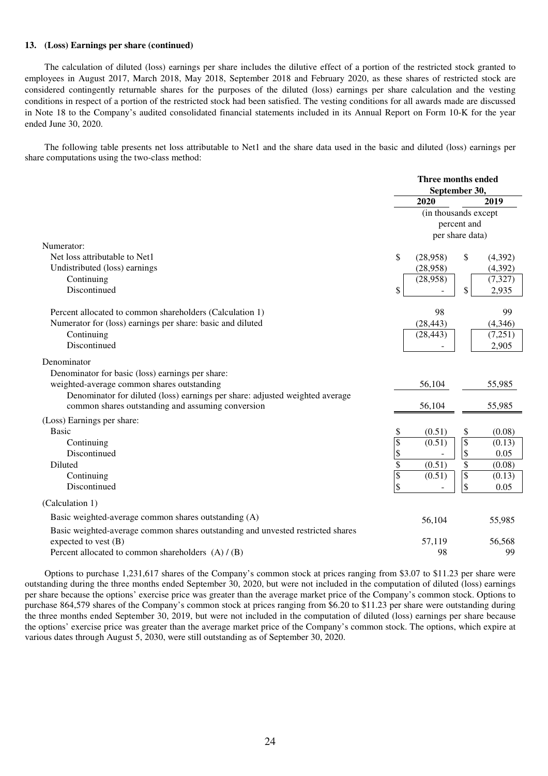#### **13. (Loss) Earnings per share (continued)**

The calculation of diluted (loss) earnings per share includes the dilutive effect of a portion of the restricted stock granted to employees in August 2017, March 2018, May 2018, September 2018 and February 2020, as these shares of restricted stock are considered contingently returnable shares for the purposes of the diluted (loss) earnings per share calculation and the vesting conditions in respect of a portion of the restricted stock had been satisfied. The vesting conditions for all awards made are discussed in Note 18 to the Company's audited consolidated financial statements included in its Annual Report on Form 10-K for the year ended June 30, 2020.

The following table presents net loss attributable to Net1 and the share data used in the basic and diluted (loss) earnings per share computations using the two-class method:

|                                                                                 |                         | Three months ended<br>September 30, |                 |          |  |
|---------------------------------------------------------------------------------|-------------------------|-------------------------------------|-----------------|----------|--|
|                                                                                 |                         | 2020                                |                 | 2019     |  |
|                                                                                 |                         | (in thousands except                |                 |          |  |
|                                                                                 |                         |                                     | percent and     |          |  |
|                                                                                 |                         | per share data)                     |                 |          |  |
| Numerator:                                                                      |                         |                                     |                 |          |  |
| Net loss attributable to Net1                                                   | \$                      | (28,958)                            | \$              | (4,392)  |  |
| Undistributed (loss) earnings                                                   |                         | (28,958)                            |                 | (4, 392) |  |
| Continuing                                                                      |                         | (28,958)                            |                 | (7, 327) |  |
| Discontinued                                                                    | \$                      |                                     | \$              | 2,935    |  |
| Percent allocated to common shareholders (Calculation 1)                        |                         | 98                                  |                 | 99       |  |
| Numerator for (loss) earnings per share: basic and diluted                      |                         | (28, 443)                           |                 | (4,346)  |  |
| Continuing                                                                      |                         | (28, 443)                           |                 | (7,251)  |  |
| Discontinued                                                                    |                         |                                     |                 | 2,905    |  |
| Denominator                                                                     |                         |                                     |                 |          |  |
| Denominator for basic (loss) earnings per share:                                |                         |                                     |                 |          |  |
| weighted-average common shares outstanding                                      |                         | 56,104                              |                 | 55,985   |  |
| Denominator for diluted (loss) earnings per share: adjusted weighted average    |                         |                                     |                 |          |  |
| common shares outstanding and assuming conversion                               |                         | 56,104                              |                 | 55,985   |  |
| (Loss) Earnings per share:                                                      |                         |                                     |                 |          |  |
| <b>Basic</b>                                                                    | \$                      | (0.51)                              | \$              | (0.08)   |  |
| Continuing                                                                      | $\mathbb{S}$            | (0.51)                              | $\overline{\$}$ | (0.13)   |  |
| Discontinued                                                                    | \$                      |                                     | \$              | 0.05     |  |
| Diluted                                                                         | $\overline{\$}$         | (0.51)                              | $\overline{\$}$ | (0.08)   |  |
| Continuing                                                                      | $\sqrt[6]{\frac{1}{2}}$ | (0.51)                              | $\overline{\$}$ | (0.13)   |  |
| Discontinued                                                                    | \$                      |                                     | \$              | 0.05     |  |
| (Calculation 1)                                                                 |                         |                                     |                 |          |  |
| Basic weighted-average common shares outstanding (A)                            |                         | 56,104                              |                 | 55,985   |  |
| Basic weighted-average common shares outstanding and unvested restricted shares |                         |                                     |                 |          |  |
| expected to vest $(B)$                                                          |                         | 57,119                              |                 | 56,568   |  |
| Percent allocated to common shareholders $(A) / (B)$                            |                         | 98                                  |                 | 99       |  |

Options to purchase 1,231,617 shares of the Company's common stock at prices ranging from \$3.07 to \$11.23 per share were outstanding during the three months ended September 30, 2020, but were not included in the computation of diluted (loss) earnings per share because the options' exercise price was greater than the average market price of the Company's common stock. Options to purchase 864,579 shares of the Company's common stock at prices ranging from \$6.20 to \$11.23 per share were outstanding during the three months ended September 30, 2019, but were not included in the computation of diluted (loss) earnings per share because the options' exercise price was greater than the average market price of the Company's common stock. The options, which expire at various dates through August 5, 2030, were still outstanding as of September 30, 2020.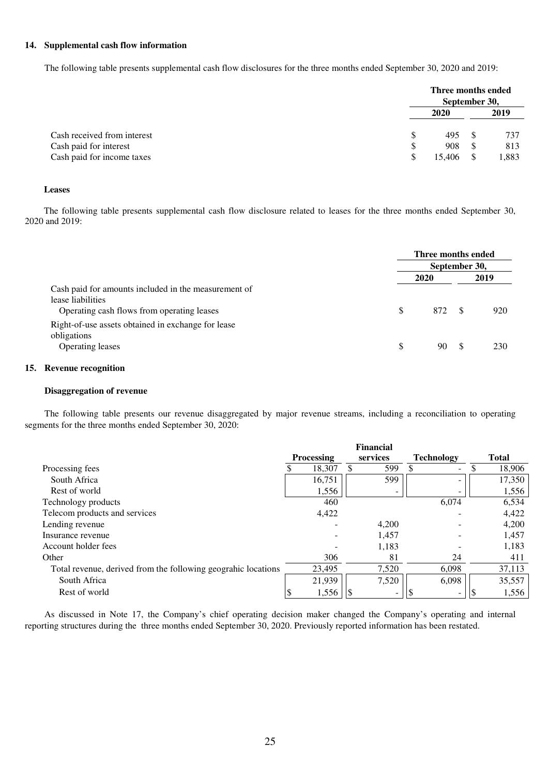### **14. Supplemental cash flow information**

The following table presents supplemental cash flow disclosures for the three months ended September 30, 2020 and 2019:

|                             | Three months ended<br>September 30, |  |       |  |
|-----------------------------|-------------------------------------|--|-------|--|
|                             | 2020                                |  | 2019  |  |
| Cash received from interest | \$<br>495                           |  | 737   |  |
| Cash paid for interest      | \$<br>908                           |  | 813   |  |
| Cash paid for income taxes  | \$<br>15.406                        |  | 1,883 |  |

#### **Leases**

The following table presents supplemental cash flow disclosure related to leases for the three months ended September 30, 2020 and 2019:

|                                                                                                                         |    | Three months ended |     |      |
|-------------------------------------------------------------------------------------------------------------------------|----|--------------------|-----|------|
|                                                                                                                         |    | September 30,      |     |      |
|                                                                                                                         |    | 2020               |     | 2019 |
| Cash paid for amounts included in the measurement of<br>lease liabilities<br>Operating cash flows from operating leases | S  | 872                |     | 920  |
| Right-of-use assets obtained in exchange for lease<br>obligations                                                       |    |                    |     |      |
| Operating leases                                                                                                        | \$ | 90                 | -SS | 230  |

### **15. Revenue recognition**

#### **Disaggregation of revenue**

The following table presents our revenue disaggregated by major revenue streams, including a reconciliation to operating segments for the three months ended September 30, 2020:

|                                                               | <b>Financial</b>  |        |          |       |                                |  |              |
|---------------------------------------------------------------|-------------------|--------|----------|-------|--------------------------------|--|--------------|
|                                                               | <b>Processing</b> |        | services |       | <b>Technology</b>              |  | <b>Total</b> |
| Processing fees                                               |                   | 18,307 |          | 599   | \$<br>$\overline{\phantom{a}}$ |  | 18,906       |
| South Africa                                                  |                   | 16,751 |          | 599   |                                |  | 17,350       |
| Rest of world                                                 |                   | 1,556  |          |       | $\overline{\phantom{0}}$       |  | 1,556        |
| Technology products                                           |                   | 460    |          |       | 6,074                          |  | 6,534        |
| Telecom products and services                                 |                   | 4,422  |          |       |                                |  | 4,422        |
| Lending revenue                                               |                   |        |          | 4,200 |                                |  | 4,200        |
| Insurance revenue                                             |                   |        |          | 1,457 |                                |  | 1,457        |
| Account holder fees                                           |                   |        |          | 1,183 |                                |  | 1,183        |
| Other                                                         |                   | 306    |          | 81    | 24                             |  | 411          |
| Total revenue, derived from the following geograhic locations |                   | 23.495 |          | 7,520 | 6,098                          |  | 37,113       |
| South Africa                                                  |                   | 21,939 |          | 7,520 | 6,098                          |  | 35,557       |
| Rest of world                                                 |                   | 1,556  |          |       | -                              |  | 1,556        |

As discussed in Note 17, the Company's chief operating decision maker changed the Company's operating and internal reporting structures during the three months ended September 30, 2020. Previously reported information has been restated.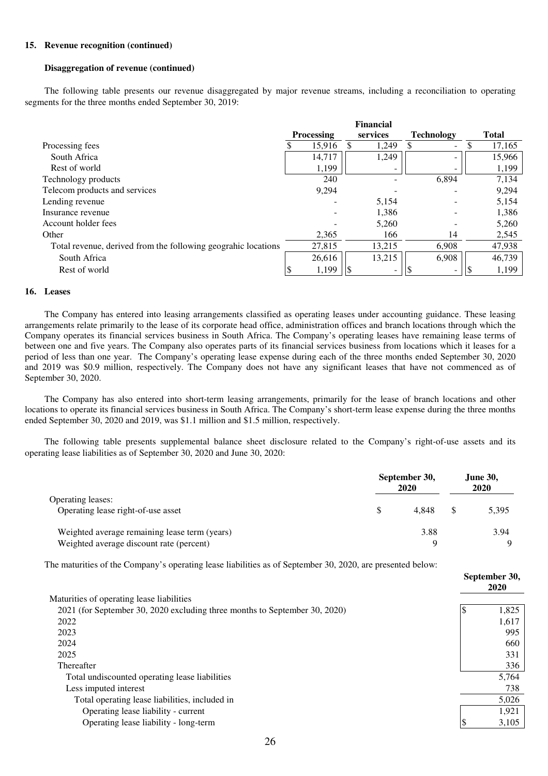#### **15. Revenue recognition (continued)**

#### **Disaggregation of revenue (continued)**

The following table presents our revenue disaggregated by major revenue streams, including a reconciliation to operating segments for the three months ended September 30, 2019:

|                                                               | <b>Financial</b> |                   |  |          |                          |   |              |
|---------------------------------------------------------------|------------------|-------------------|--|----------|--------------------------|---|--------------|
|                                                               |                  | <b>Processing</b> |  | services | <b>Technology</b>        |   | <b>Total</b> |
| Processing fees                                               |                  | 15,916            |  | 1,249    | $\overline{\phantom{0}}$ | Ф | 17,165       |
| South Africa                                                  |                  | 14,717            |  | 1,249    |                          |   | 15,966       |
| Rest of world                                                 |                  | 1,199             |  |          |                          |   | 1,199        |
| Technology products                                           |                  | 240               |  |          | 6,894                    |   | 7,134        |
| Telecom products and services                                 |                  | 9,294             |  |          |                          |   | 9,294        |
| Lending revenue                                               |                  |                   |  | 5,154    |                          |   | 5,154        |
| Insurance revenue                                             |                  |                   |  | 1,386    |                          |   | 1,386        |
| Account holder fees                                           |                  |                   |  | 5,260    |                          |   | 5,260        |
| Other                                                         |                  | 2,365             |  | 166      | 14                       |   | 2,545        |
| Total revenue, derived from the following geograhic locations |                  | 27,815            |  | 13,215   | 6,908                    |   | 47,938       |
| South Africa                                                  |                  | 26,616            |  | 13,215   | 6,908                    |   | 46,739       |
| Rest of world                                                 |                  | 1,199             |  |          |                          |   | 1,199        |

#### **16. Leases**

The Company has entered into leasing arrangements classified as operating leases under accounting guidance. These leasing arrangements relate primarily to the lease of its corporate head office, administration offices and branch locations through which the Company operates its financial services business in South Africa. The Company's operating leases have remaining lease terms of between one and five years. The Company also operates parts of its financial services business from locations which it leases for a period of less than one year. The Company's operating lease expense during each of the three months ended September 30, 2020 and 2019 was \$0.9 million, respectively. The Company does not have any significant leases that have not commenced as of September 30, 2020.

The Company has also entered into short-term leasing arrangements, primarily for the lease of branch locations and other locations to operate its financial services business in South Africa. The Company's short-term lease expense during the three months ended September 30, 2020 and 2019, was \$1.1 million and \$1.5 million, respectively.

The following table presents supplemental balance sheet disclosure related to the Company's right-of-use assets and its operating lease liabilities as of September 30, 2020 and June 30, 2020:

|                                               | September 30,<br>2020 |       |  | <b>June 30,</b><br>2020 |  |  |
|-----------------------------------------------|-----------------------|-------|--|-------------------------|--|--|
| <b>Operating leases:</b>                      |                       |       |  |                         |  |  |
| Operating lease right-of-use asset            |                       | 4.848 |  | 5,395                   |  |  |
| Weighted average remaining lease term (years) |                       | 3.88  |  | 3.94                    |  |  |
| Weighted average discount rate (percent)      |                       | Q     |  |                         |  |  |

The maturities of the Company's operating lease liabilities as of September 30, 2020, are presented below:

|                                                                            | September 30,<br>2020 |       |  |
|----------------------------------------------------------------------------|-----------------------|-------|--|
| Maturities of operating lease liabilities                                  |                       |       |  |
| 2021 (for September 30, 2020 excluding three months to September 30, 2020) | - 10                  | 1.825 |  |
| 2022                                                                       |                       | 1,617 |  |
| 2023                                                                       |                       | 995   |  |
| 2024                                                                       |                       | 660   |  |
| 2025                                                                       |                       | 331   |  |
| Thereafter                                                                 |                       | 336   |  |
| Total undiscounted operating lease liabilities                             |                       | 5,764 |  |
| Less imputed interest                                                      |                       | 738   |  |
| Total operating lease liabilities, included in                             |                       | 5,026 |  |
| Operating lease liability - current                                        |                       | 1,921 |  |
| Operating lease liability - long-term                                      |                       | 3,105 |  |
|                                                                            |                       |       |  |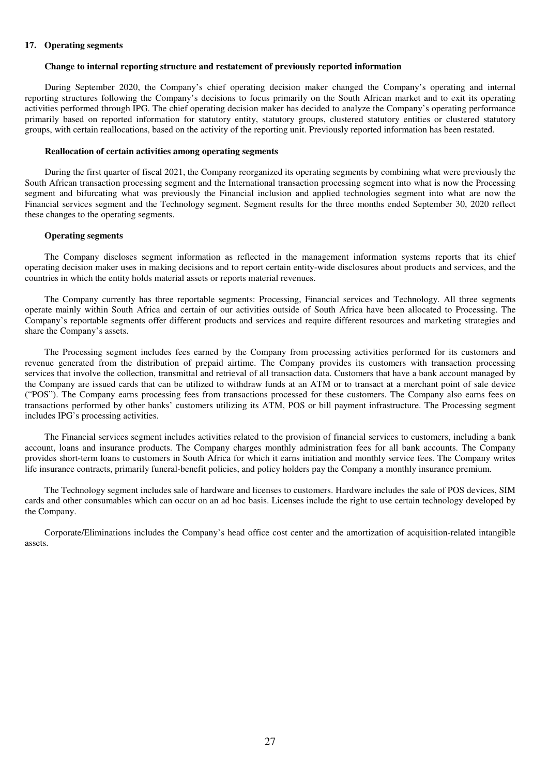#### **17. Operating segments**

#### **Change to internal reporting structure and restatement of previously reported information**

During September 2020, the Company's chief operating decision maker changed the Company's operating and internal reporting structures following the Company's decisions to focus primarily on the South African market and to exit its operating activities performed through IPG. The chief operating decision maker has decided to analyze the Company's operating performance primarily based on reported information for statutory entity, statutory groups, clustered statutory entities or clustered statutory groups, with certain reallocations, based on the activity of the reporting unit. Previously reported information has been restated.

#### **Reallocation of certain activities among operating segments**

During the first quarter of fiscal 2021, the Company reorganized its operating segments by combining what were previously the South African transaction processing segment and the International transaction processing segment into what is now the Processing segment and bifurcating what was previously the Financial inclusion and applied technologies segment into what are now the Financial services segment and the Technology segment. Segment results for the three months ended September 30, 2020 reflect these changes to the operating segments.

#### **Operating segments**

The Company discloses segment information as reflected in the management information systems reports that its chief operating decision maker uses in making decisions and to report certain entity-wide disclosures about products and services, and the countries in which the entity holds material assets or reports material revenues.

The Company currently has three reportable segments: Processing, Financial services and Technology. All three segments operate mainly within South Africa and certain of our activities outside of South Africa have been allocated to Processing. The Company's reportable segments offer different products and services and require different resources and marketing strategies and share the Company's assets.

The Processing segment includes fees earned by the Company from processing activities performed for its customers and revenue generated from the distribution of prepaid airtime. The Company provides its customers with transaction processing services that involve the collection, transmittal and retrieval of all transaction data. Customers that have a bank account managed by the Company are issued cards that can be utilized to withdraw funds at an ATM or to transact at a merchant point of sale device ("POS"). The Company earns processing fees from transactions processed for these customers. The Company also earns fees on transactions performed by other banks' customers utilizing its ATM, POS or bill payment infrastructure. The Processing segment includes IPG's processing activities.

The Financial services segment includes activities related to the provision of financial services to customers, including a bank account, loans and insurance products. The Company charges monthly administration fees for all bank accounts. The Company provides short-term loans to customers in South Africa for which it earns initiation and monthly service fees. The Company writes life insurance contracts, primarily funeral-benefit policies, and policy holders pay the Company a monthly insurance premium.

The Technology segment includes sale of hardware and licenses to customers. Hardware includes the sale of POS devices, SIM cards and other consumables which can occur on an ad hoc basis. Licenses include the right to use certain technology developed by the Company.

Corporate/Eliminations includes the Company's head office cost center and the amortization of acquisition-related intangible assets.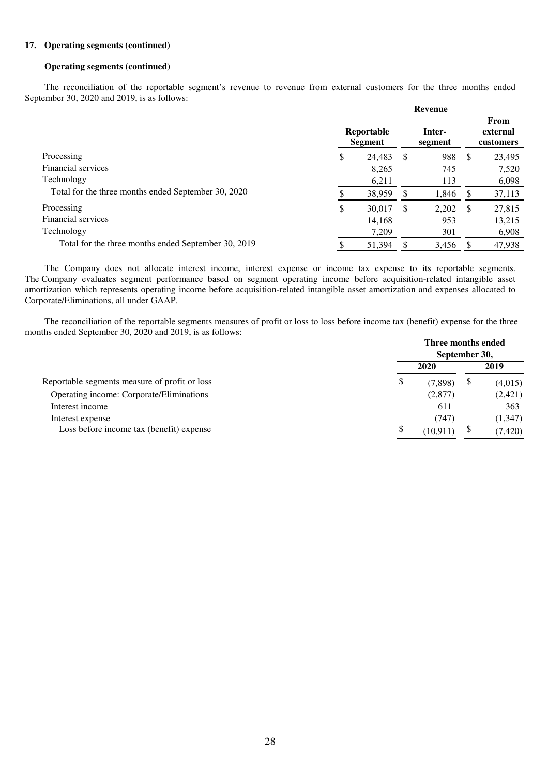#### **17. Operating segments (continued)**

#### **Operating segments (continued)**

The reconciliation of the reportable segment's revenue to revenue from external customers for the three months ended September 30, 2020 and 2019, is as follows:

|                                                     | Revenue                      |        |    |                   |               |                               |
|-----------------------------------------------------|------------------------------|--------|----|-------------------|---------------|-------------------------------|
|                                                     | Reportable<br><b>Segment</b> |        |    | Inter-<br>segment |               | From<br>external<br>customers |
| Processing                                          | \$                           | 24,483 | S  | 988               | <sup>\$</sup> | 23,495                        |
| Financial services                                  |                              | 8,265  |    | 745               |               | 7,520                         |
| Technology                                          |                              | 6,211  |    | 113               |               | 6,098                         |
| Total for the three months ended September 30, 2020 |                              | 38,959 | S  | 1,846             |               | 37,113                        |
| Processing                                          | \$                           | 30,017 | \$ | 2,202             | - \$          | 27,815                        |
| Financial services                                  |                              | 14,168 |    | 953               |               | 13,215                        |
| Technology                                          |                              | 7,209  |    | 301               |               | 6,908                         |
| Total for the three months ended September 30, 2019 |                              | 51,394 | S  | 3,456             |               | 47,938                        |

The Company does not allocate interest income, interest expense or income tax expense to its reportable segments. The Company evaluates segment performance based on segment operating income before acquisition-related intangible asset amortization which represents operating income before acquisition-related intangible asset amortization and expenses allocated to Corporate/Eliminations, all under GAAP.

The reconciliation of the reportable segments measures of profit or loss to loss before income tax (benefit) expense for the three months ended September 30, 2020 and 2019, is as follows:

|                                               | Three months ended<br>September 30, |          |          |
|-----------------------------------------------|-------------------------------------|----------|----------|
|                                               | 2020                                |          | 2019     |
| Reportable segments measure of profit or loss | \$                                  | (7,898)  | (4,015)  |
| Operating income: Corporate/Eliminations      |                                     | (2,877)  | (2,421)  |
| Interest income                               |                                     | 611      | 363      |
| Interest expense                              |                                     | (747     | (1, 347) |
| Loss before income tax (benefit) expense      |                                     | (10.911) | (7, 420) |
|                                               |                                     |          |          |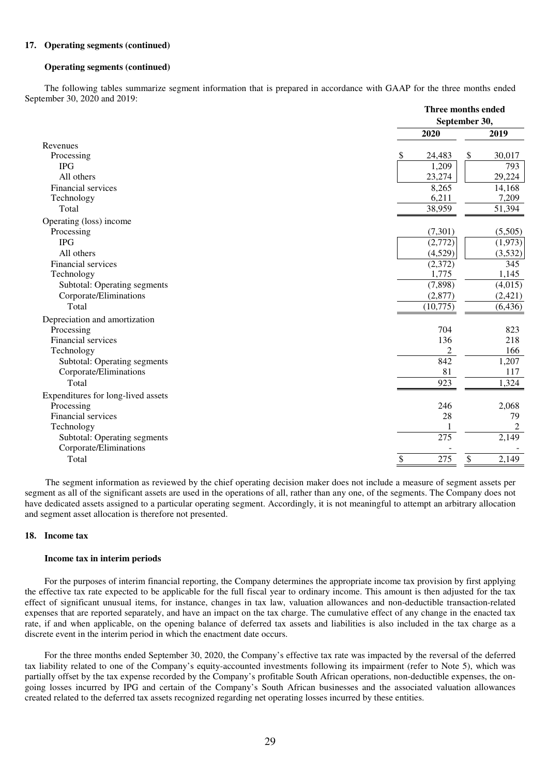#### **17. Operating segments (continued)**

#### **Operating segments (continued)**

The following tables summarize segment information that is prepared in accordance with GAAP for the three months ended September 30, 2020 and 2019:

|                                     |              | Three months ended |  |
|-------------------------------------|--------------|--------------------|--|
|                                     |              | September 30,      |  |
|                                     | 2020         | 2019               |  |
| Revenues                            |              |                    |  |
| Processing                          | 24,483<br>\$ | 30,017<br>\$       |  |
| <b>IPG</b>                          | 1,209        | 793                |  |
| All others                          | 23,274       | 29,224             |  |
| Financial services                  | 8,265        | 14,168             |  |
| Technology                          | 6,211        | 7,209              |  |
| Total                               | 38,959       | 51,394             |  |
| Operating (loss) income             |              |                    |  |
| Processing                          | (7,301)      | (5,505)            |  |
| <b>IPG</b>                          | (2,772)      | (1,973)            |  |
| All others                          | (4,529)      | (3,532)            |  |
| Financial services                  | (2,372)      | 345                |  |
| Technology                          | 1,775        | 1,145              |  |
| <b>Subtotal: Operating segments</b> | (7, 898)     | (4,015)            |  |
| Corporate/Eliminations              | (2,877)      | (2, 421)           |  |
| Total                               | (10,775)     | (6, 436)           |  |
| Depreciation and amortization       |              |                    |  |
| Processing                          | 704          | 823                |  |
| Financial services                  | 136          | 218                |  |
| Technology                          | 2            | 166                |  |
| <b>Subtotal: Operating segments</b> | 842          | 1,207              |  |
| Corporate/Eliminations              | 81           | 117                |  |
| Total                               | 923          | 1,324              |  |
| Expenditures for long-lived assets  |              |                    |  |
| Processing                          | 246          | 2,068              |  |
| Financial services                  | 28           | 79                 |  |
| Technology                          |              | $\overline{c}$     |  |
| <b>Subtotal: Operating segments</b> | 275          | 2,149              |  |
| Corporate/Eliminations              |              |                    |  |
| Total                               | 275<br>\$    | 2,149<br>\$        |  |
|                                     |              |                    |  |

The segment information as reviewed by the chief operating decision maker does not include a measure of segment assets per segment as all of the significant assets are used in the operations of all, rather than any one, of the segments. The Company does not have dedicated assets assigned to a particular operating segment. Accordingly, it is not meaningful to attempt an arbitrary allocation and segment asset allocation is therefore not presented.

#### **18. Income tax**

#### **Income tax in interim periods**

For the purposes of interim financial reporting, the Company determines the appropriate income tax provision by first applying the effective tax rate expected to be applicable for the full fiscal year to ordinary income. This amount is then adjusted for the tax effect of significant unusual items, for instance, changes in tax law, valuation allowances and non-deductible transaction-related expenses that are reported separately, and have an impact on the tax charge. The cumulative effect of any change in the enacted tax rate, if and when applicable, on the opening balance of deferred tax assets and liabilities is also included in the tax charge as a discrete event in the interim period in which the enactment date occurs.

For the three months ended September 30, 2020, the Company's effective tax rate was impacted by the reversal of the deferred tax liability related to one of the Company's equity-accounted investments following its impairment (refer to Note 5), which was partially offset by the tax expense recorded by the Company's profitable South African operations, non-deductible expenses, the ongoing losses incurred by IPG and certain of the Company's South African businesses and the associated valuation allowances created related to the deferred tax assets recognized regarding net operating losses incurred by these entities.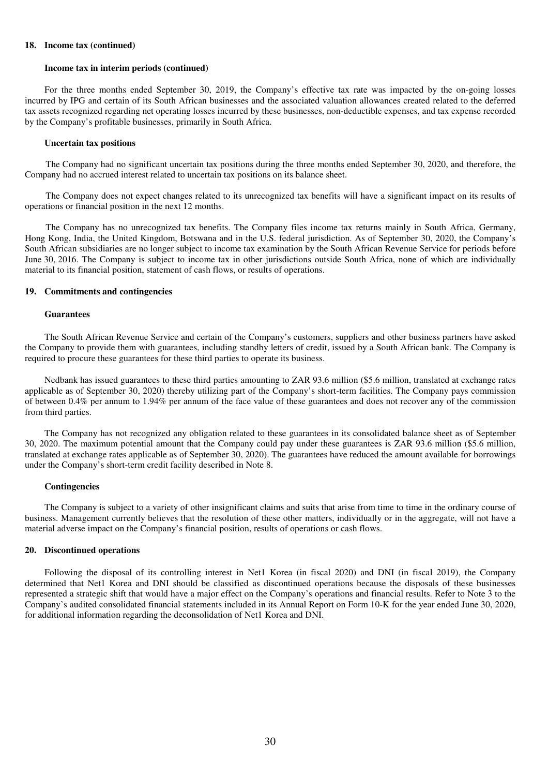#### **18. Income tax (continued)**

#### **Income tax in interim periods (continued)**

For the three months ended September 30, 2019, the Company's effective tax rate was impacted by the on-going losses incurred by IPG and certain of its South African businesses and the associated valuation allowances created related to the deferred tax assets recognized regarding net operating losses incurred by these businesses, non-deductible expenses, and tax expense recorded by the Company's profitable businesses, primarily in South Africa.

#### **Uncertain tax positions**

The Company had no significant uncertain tax positions during the three months ended September 30, 2020, and therefore, the Company had no accrued interest related to uncertain tax positions on its balance sheet.

The Company does not expect changes related to its unrecognized tax benefits will have a significant impact on its results of operations or financial position in the next 12 months.

The Company has no unrecognized tax benefits. The Company files income tax returns mainly in South Africa, Germany, Hong Kong, India, the United Kingdom, Botswana and in the U.S. federal jurisdiction. As of September 30, 2020, the Company's South African subsidiaries are no longer subject to income tax examination by the South African Revenue Service for periods before June 30, 2016. The Company is subject to income tax in other jurisdictions outside South Africa, none of which are individually material to its financial position, statement of cash flows, or results of operations.

#### **19. Commitments and contingencies**

#### **Guarantees**

The South African Revenue Service and certain of the Company's customers, suppliers and other business partners have asked the Company to provide them with guarantees, including standby letters of credit, issued by a South African bank. The Company is required to procure these guarantees for these third parties to operate its business.

Nedbank has issued guarantees to these third parties amounting to ZAR 93.6 million (\$5.6 million, translated at exchange rates applicable as of September 30, 2020) thereby utilizing part of the Company's short-term facilities. The Company pays commission of between 0.4% per annum to 1.94% per annum of the face value of these guarantees and does not recover any of the commission from third parties.

The Company has not recognized any obligation related to these guarantees in its consolidated balance sheet as of September 30, 2020. The maximum potential amount that the Company could pay under these guarantees is ZAR 93.6 million (\$5.6 million, translated at exchange rates applicable as of September 30, 2020). The guarantees have reduced the amount available for borrowings under the Company's short-term credit facility described in Note 8.

#### **Contingencies**

The Company is subject to a variety of other insignificant claims and suits that arise from time to time in the ordinary course of business. Management currently believes that the resolution of these other matters, individually or in the aggregate, will not have a material adverse impact on the Company's financial position, results of operations or cash flows.

#### **20. Discontinued operations**

Following the disposal of its controlling interest in Net1 Korea (in fiscal 2020) and DNI (in fiscal 2019), the Company determined that Net1 Korea and DNI should be classified as discontinued operations because the disposals of these businesses represented a strategic shift that would have a major effect on the Company's operations and financial results. Refer to Note 3 to the Company's audited consolidated financial statements included in its Annual Report on Form 10-K for the year ended June 30, 2020, for additional information regarding the deconsolidation of Net1 Korea and DNI.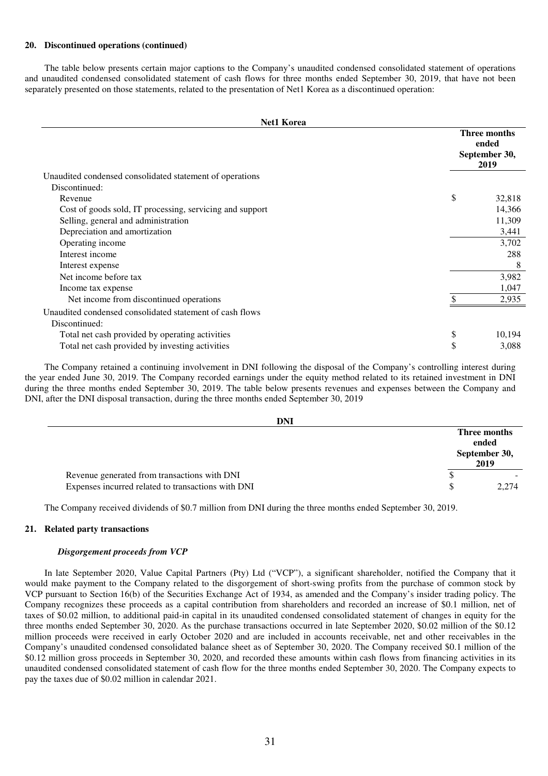#### **20. Discontinued operations (continued)**

The table below presents certain major captions to the Company's unaudited condensed consolidated statement of operations and unaudited condensed consolidated statement of cash flows for three months ended September 30, 2019, that have not been separately presented on those statements, related to the presentation of Net1 Korea as a discontinued operation:

| <b>Net1 Korea</b>                                        |                                                |        |
|----------------------------------------------------------|------------------------------------------------|--------|
|                                                          | Three months<br>ended<br>September 30,<br>2019 |        |
| Unaudited condensed consolidated statement of operations |                                                |        |
| Discontinued:                                            |                                                |        |
| Revenue                                                  | \$                                             | 32,818 |
| Cost of goods sold, IT processing, servicing and support |                                                | 14,366 |
| Selling, general and administration                      |                                                | 11,309 |
| Depreciation and amortization                            |                                                | 3,441  |
| Operating income                                         |                                                | 3,702  |
| Interest income                                          |                                                | 288    |
| Interest expense                                         |                                                | 8      |
| Net income before tax                                    |                                                | 3,982  |
| Income tax expense                                       |                                                | 1,047  |
| Net income from discontinued operations                  |                                                | 2,935  |
| Unaudited condensed consolidated statement of cash flows |                                                |        |
| Discontinued:                                            |                                                |        |
| Total net cash provided by operating activities          | \$                                             | 10,194 |
| Total net cash provided by investing activities          | \$                                             | 3,088  |

The Company retained a continuing involvement in DNI following the disposal of the Company's controlling interest during the year ended June 30, 2019. The Company recorded earnings under the equity method related to its retained investment in DNI during the three months ended September 30, 2019. The table below presents revenues and expenses between the Company and DNI, after the DNI disposal transaction, during the three months ended September 30, 2019

| <b>DNI</b>                                         |                                                |       |
|----------------------------------------------------|------------------------------------------------|-------|
|                                                    | Three months<br>ended<br>September 30,<br>2019 |       |
| Revenue generated from transactions with DNI       | ◡                                              |       |
| Expenses incurred related to transactions with DNI | S                                              | 2.274 |

The Company received dividends of \$0.7 million from DNI during the three months ended September 30, 2019.

#### **21. Related party transactions**

#### *Disgorgement proceeds from VCP*

In late September 2020, Value Capital Partners (Pty) Ltd ("VCP"), a significant shareholder, notified the Company that it would make payment to the Company related to the disgorgement of short-swing profits from the purchase of common stock by VCP pursuant to Section 16(b) of the Securities Exchange Act of 1934, as amended and the Company's insider trading policy. The Company recognizes these proceeds as a capital contribution from shareholders and recorded an increase of \$0.1 million, net of taxes of \$0.02 million, to additional paid-in capital in its unaudited condensed consolidated statement of changes in equity for the three months ended September 30, 2020. As the purchase transactions occurred in late September 2020, \$0.02 million of the \$0.12 million proceeds were received in early October 2020 and are included in accounts receivable, net and other receivables in the Company's unaudited condensed consolidated balance sheet as of September 30, 2020. The Company received \$0.1 million of the \$0.12 million gross proceeds in September 30, 2020, and recorded these amounts within cash flows from financing activities in its unaudited condensed consolidated statement of cash flow for the three months ended September 30, 2020. The Company expects to pay the taxes due of \$0.02 million in calendar 2021.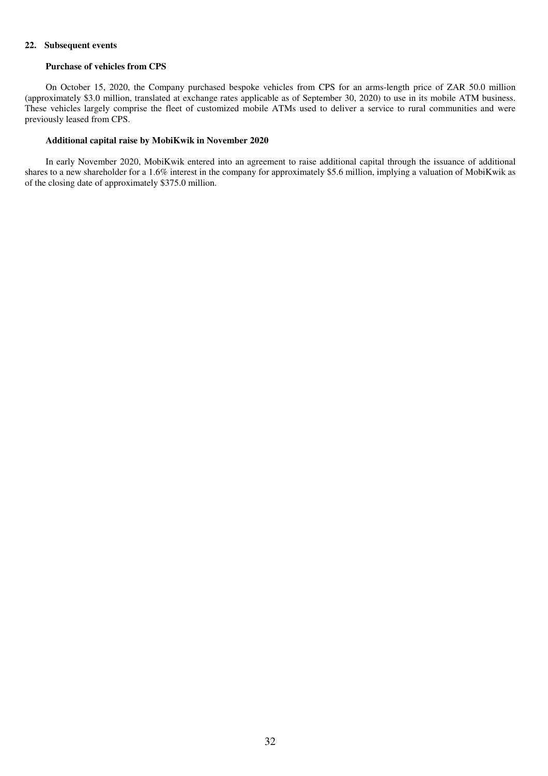#### **22. Subsequent events**

#### **Purchase of vehicles from CPS**

On October 15, 2020, the Company purchased bespoke vehicles from CPS for an arms-length price of ZAR 50.0 million (approximately \$3.0 million, translated at exchange rates applicable as of September 30, 2020) to use in its mobile ATM business. These vehicles largely comprise the fleet of customized mobile ATMs used to deliver a service to rural communities and were previously leased from CPS.

#### **Additional capital raise by MobiKwik in November 2020**

In early November 2020, MobiKwik entered into an agreement to raise additional capital through the issuance of additional shares to a new shareholder for a 1.6% interest in the company for approximately \$5.6 million, implying a valuation of MobiKwik as of the closing date of approximately \$375.0 million.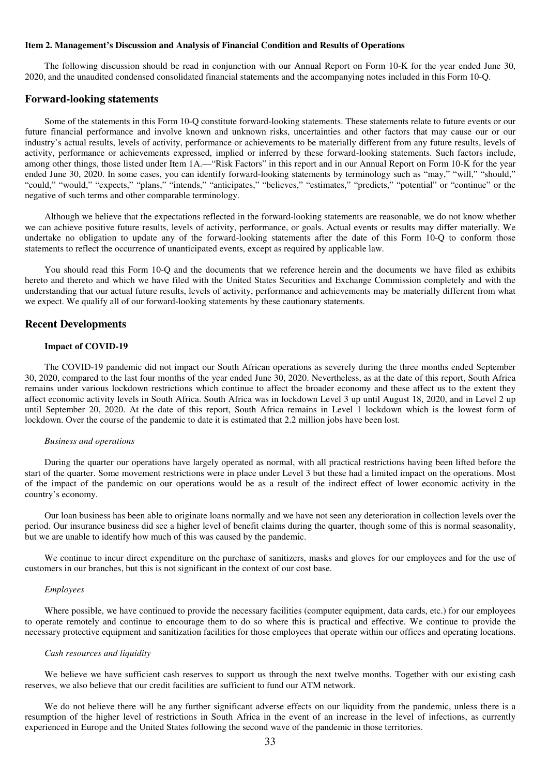#### **Item 2. Management's Discussion and Analysis of Financial Condition and Results of Operations**

The following discussion should be read in conjunction with our Annual Report on Form 10-K for the year ended June 30, 2020, and the unaudited condensed consolidated financial statements and the accompanying notes included in this Form 10-Q.

### **Forward-looking statements**

Some of the statements in this Form 10-Q constitute forward-looking statements. These statements relate to future events or our future financial performance and involve known and unknown risks, uncertainties and other factors that may cause our or our industry's actual results, levels of activity, performance or achievements to be materially different from any future results, levels of activity, performance or achievements expressed, implied or inferred by these forward-looking statements. Such factors include, among other things, those listed under Item 1A.—"Risk Factors" in this report and in our Annual Report on Form 10-K for the year ended June 30, 2020. In some cases, you can identify forward-looking statements by terminology such as "may," "will," "should," "could," "would," "expects," "plans," "intends," "anticipates," "believes," "estimates," "predicts," "potential" or "continue" or the negative of such terms and other comparable terminology.

Although we believe that the expectations reflected in the forward-looking statements are reasonable, we do not know whether we can achieve positive future results, levels of activity, performance, or goals. Actual events or results may differ materially. We undertake no obligation to update any of the forward-looking statements after the date of this Form 10-Q to conform those statements to reflect the occurrence of unanticipated events, except as required by applicable law.

You should read this Form 10-Q and the documents that we reference herein and the documents we have filed as exhibits hereto and thereto and which we have filed with the United States Securities and Exchange Commission completely and with the understanding that our actual future results, levels of activity, performance and achievements may be materially different from what we expect. We qualify all of our forward-looking statements by these cautionary statements.

#### **Recent Developments**

#### **Impact of COVID-19**

The COVID-19 pandemic did not impact our South African operations as severely during the three months ended September 30, 2020, compared to the last four months of the year ended June 30, 2020. Nevertheless, as at the date of this report, South Africa remains under various lockdown restrictions which continue to affect the broader economy and these affect us to the extent they affect economic activity levels in South Africa. South Africa was in lockdown Level 3 up until August 18, 2020, and in Level 2 up until September 20, 2020. At the date of this report, South Africa remains in Level 1 lockdown which is the lowest form of lockdown. Over the course of the pandemic to date it is estimated that 2.2 million jobs have been lost.

#### *Business and operations*

During the quarter our operations have largely operated as normal, with all practical restrictions having been lifted before the start of the quarter. Some movement restrictions were in place under Level 3 but these had a limited impact on the operations. Most of the impact of the pandemic on our operations would be as a result of the indirect effect of lower economic activity in the country's economy.

Our loan business has been able to originate loans normally and we have not seen any deterioration in collection levels over the period. Our insurance business did see a higher level of benefit claims during the quarter, though some of this is normal seasonality, but we are unable to identify how much of this was caused by the pandemic.

We continue to incur direct expenditure on the purchase of sanitizers, masks and gloves for our employees and for the use of customers in our branches, but this is not significant in the context of our cost base.

#### *Employees*

Where possible, we have continued to provide the necessary facilities (computer equipment, data cards, etc.) for our employees to operate remotely and continue to encourage them to do so where this is practical and effective. We continue to provide the necessary protective equipment and sanitization facilities for those employees that operate within our offices and operating locations.

#### *Cash resources and liquidity*

We believe we have sufficient cash reserves to support us through the next twelve months. Together with our existing cash reserves, we also believe that our credit facilities are sufficient to fund our ATM network.

We do not believe there will be any further significant adverse effects on our liquidity from the pandemic, unless there is a resumption of the higher level of restrictions in South Africa in the event of an increase in the level of infections, as currently experienced in Europe and the United States following the second wave of the pandemic in those territories.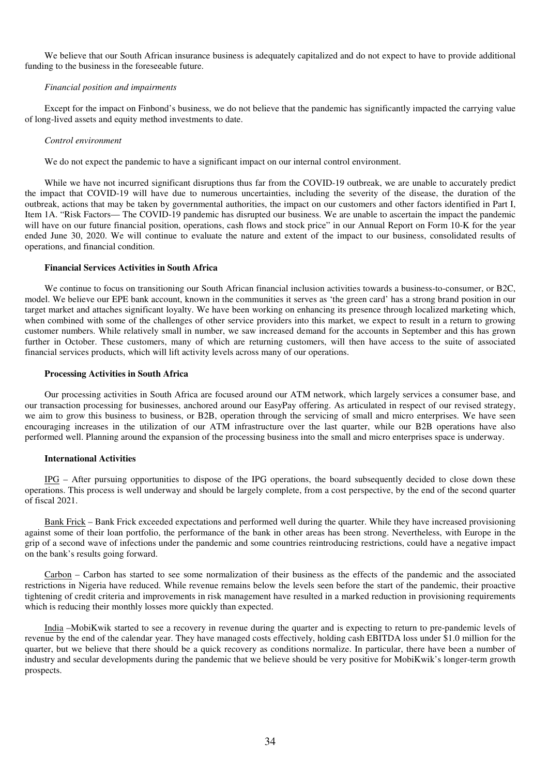We believe that our South African insurance business is adequately capitalized and do not expect to have to provide additional funding to the business in the foreseeable future.

#### *Financial position and impairments*

Except for the impact on Finbond's business, we do not believe that the pandemic has significantly impacted the carrying value of long-lived assets and equity method investments to date.

#### *Control environment*

We do not expect the pandemic to have a significant impact on our internal control environment.

While we have not incurred significant disruptions thus far from the COVID-19 outbreak, we are unable to accurately predict the impact that COVID-19 will have due to numerous uncertainties, including the severity of the disease, the duration of the outbreak, actions that may be taken by governmental authorities, the impact on our customers and other factors identified in Part I, Item 1A. "Risk Factors— The COVID-19 pandemic has disrupted our business. We are unable to ascertain the impact the pandemic will have on our future financial position, operations, cash flows and stock price" in our Annual Report on Form 10-K for the year ended June 30, 2020. We will continue to evaluate the nature and extent of the impact to our business, consolidated results of operations, and financial condition.

#### **Financial Services Activities in South Africa**

We continue to focus on transitioning our South African financial inclusion activities towards a business-to-consumer, or B2C, model. We believe our EPE bank account, known in the communities it serves as 'the green card' has a strong brand position in our target market and attaches significant loyalty. We have been working on enhancing its presence through localized marketing which, when combined with some of the challenges of other service providers into this market, we expect to result in a return to growing customer numbers. While relatively small in number, we saw increased demand for the accounts in September and this has grown further in October. These customers, many of which are returning customers, will then have access to the suite of associated financial services products, which will lift activity levels across many of our operations.

#### **Processing Activities in South Africa**

Our processing activities in South Africa are focused around our ATM network, which largely services a consumer base, and our transaction processing for businesses, anchored around our EasyPay offering. As articulated in respect of our revised strategy, we aim to grow this business to business, or B2B, operation through the servicing of small and micro enterprises. We have seen encouraging increases in the utilization of our ATM infrastructure over the last quarter, while our B2B operations have also performed well. Planning around the expansion of the processing business into the small and micro enterprises space is underway.

### **International Activities**

IPG – After pursuing opportunities to dispose of the IPG operations, the board subsequently decided to close down these operations. This process is well underway and should be largely complete, from a cost perspective, by the end of the second quarter of fiscal 2021.

Bank Frick – Bank Frick exceeded expectations and performed well during the quarter. While they have increased provisioning against some of their loan portfolio, the performance of the bank in other areas has been strong. Nevertheless, with Europe in the grip of a second wave of infections under the pandemic and some countries reintroducing restrictions, could have a negative impact on the bank's results going forward.

Carbon – Carbon has started to see some normalization of their business as the effects of the pandemic and the associated restrictions in Nigeria have reduced. While revenue remains below the levels seen before the start of the pandemic, their proactive tightening of credit criteria and improvements in risk management have resulted in a marked reduction in provisioning requirements which is reducing their monthly losses more quickly than expected.

India –MobiKwik started to see a recovery in revenue during the quarter and is expecting to return to pre-pandemic levels of revenue by the end of the calendar year. They have managed costs effectively, holding cash EBITDA loss under \$1.0 million for the quarter, but we believe that there should be a quick recovery as conditions normalize. In particular, there have been a number of industry and secular developments during the pandemic that we believe should be very positive for MobiKwik's longer-term growth prospects.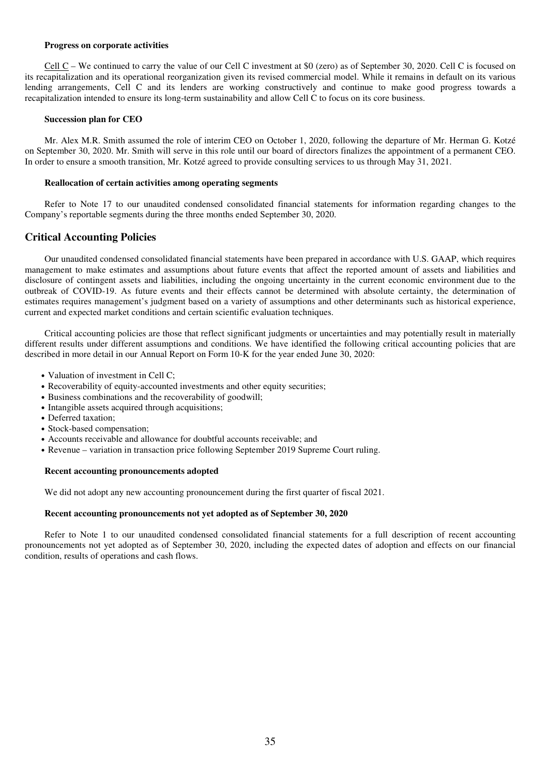#### **Progress on corporate activities**

Cell C – We continued to carry the value of our Cell C investment at \$0 (zero) as of September 30, 2020. Cell C is focused on its recapitalization and its operational reorganization given its revised commercial model. While it remains in default on its various lending arrangements, Cell C and its lenders are working constructively and continue to make good progress towards a recapitalization intended to ensure its long-term sustainability and allow Cell C to focus on its core business.

#### **Succession plan for CEO**

Mr. Alex M.R. Smith assumed the role of interim CEO on October 1, 2020, following the departure of Mr. Herman G. Kotzé on September 30, 2020. Mr. Smith will serve in this role until our board of directors finalizes the appointment of a permanent CEO. In order to ensure a smooth transition, Mr. Kotzé agreed to provide consulting services to us through May 31, 2021.

#### **Reallocation of certain activities among operating segments**

Refer to Note 17 to our unaudited condensed consolidated financial statements for information regarding changes to the Company's reportable segments during the three months ended September 30, 2020.

### **Critical Accounting Policies**

Our unaudited condensed consolidated financial statements have been prepared in accordance with U.S. GAAP, which requires management to make estimates and assumptions about future events that affect the reported amount of assets and liabilities and disclosure of contingent assets and liabilities, including the ongoing uncertainty in the current economic environment due to the outbreak of COVID-19. As future events and their effects cannot be determined with absolute certainty, the determination of estimates requires management's judgment based on a variety of assumptions and other determinants such as historical experience, current and expected market conditions and certain scientific evaluation techniques.

Critical accounting policies are those that reflect significant judgments or uncertainties and may potentially result in materially different results under different assumptions and conditions. We have identified the following critical accounting policies that are described in more detail in our Annual Report on Form 10-K for the year ended June 30, 2020:

- Valuation of investment in Cell C:
- Recoverability of equity-accounted investments and other equity securities;
- Business combinations and the recoverability of goodwill;
- Intangible assets acquired through acquisitions;
- Deferred taxation:
- Stock-based compensation;
- Accounts receivable and allowance for doubtful accounts receivable; and
- Revenue variation in transaction price following September 2019 Supreme Court ruling.

### **Recent accounting pronouncements adopted**

We did not adopt any new accounting pronouncement during the first quarter of fiscal 2021.

### **Recent accounting pronouncements not yet adopted as of September 30, 2020**

Refer to Note 1 to our unaudited condensed consolidated financial statements for a full description of recent accounting pronouncements not yet adopted as of September 30, 2020, including the expected dates of adoption and effects on our financial condition, results of operations and cash flows.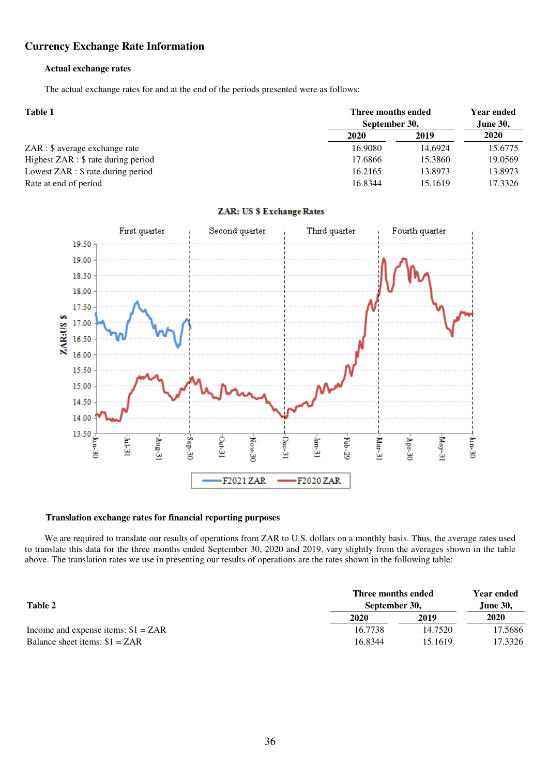### **Currency Exchange Rate Information Information**

#### **Actual exchange rates**

The actual exchange rates for and at the end of the periods presented were as follows:

| <b>Table 1</b>                        |         | Three months ended |         |
|---------------------------------------|---------|--------------------|---------|
|                                       |         | September 30,      |         |
|                                       | 2020    | 2019               | 2020    |
| ZAR : \$ average exchange rate        | 16.9080 | 14.6924            | 15.6775 |
| Highest $ZAR :$ \$ rate during period | 17.6866 | 15.3860            | 19.0569 |
| Lowest $ZAR :$ \$ rate during period  | 16.2165 | 13.8973            | 13.8973 |
| Rate at end of period                 | 16.8344 | 15.1619            | 17.3326 |



### ZAR: US \$ Exchange Rates

#### **Translation exchange rates for financial financial reporting purposes**

We are required to translate our results of operations from ZAR to U.S. dollars on a monthly basis. Thus, the average rates used to translate this data for the three months ended September 30, 2020 and 2019, vary slightly from the averages shown in the table above. The translation rates we use in presenting our results of operations are the rates shown in the following table:

|                                      | Three months ended | <b>Year ended</b> |                 |
|--------------------------------------|--------------------|-------------------|-----------------|
| Table 2                              | September 30.      |                   | <b>June 30,</b> |
|                                      | 2020               | 2019              | 2020            |
| Income and expense items: $$1 = ZAR$ | 16.7738            | 14.7520           | 17.5686         |
| Balance sheet items: $$1 = ZAR$      | 16.8344            | 15.1619           | 17.3326         |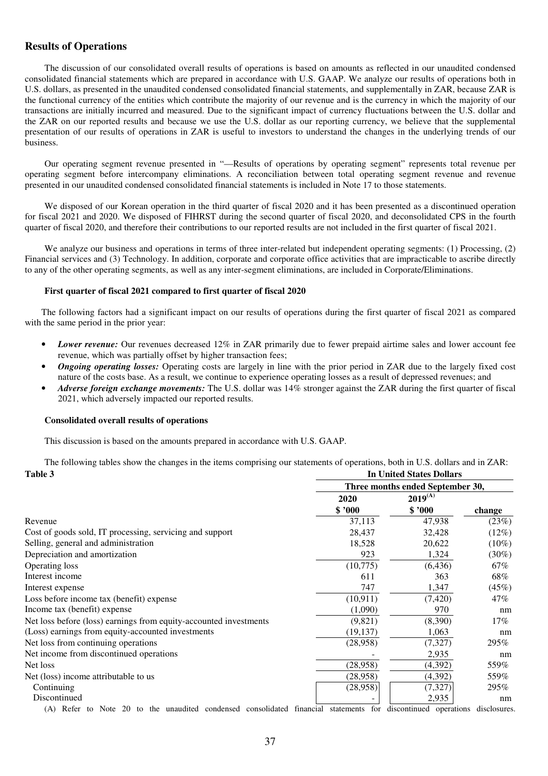### **Results of Operations**

The discussion of our consolidated overall results of operations is based on amounts as reflected in our unaudited condensed consolidated financial statements which are prepared in accordance with U.S. GAAP. We analyze our results of operations both in U.S. dollars, as presented in the unaudited condensed consolidated financial statements, and supplementally in ZAR, because ZAR is the functional currency of the entities which contribute the majority of our revenue and is the currency in which the majority of our transactions are initially incurred and measured. Due to the significant impact of currency fluctuations between the U.S. dollar and the ZAR on our reported results and because we use the U.S. dollar as our reporting currency, we believe that the supplemental presentation of our results of operations in ZAR is useful to investors to understand the changes in the underlying trends of our business.

Our operating segment revenue presented in "—Results of operations by operating segment" represents total revenue per operating segment before intercompany eliminations. A reconciliation between total operating segment revenue and revenue presented in our unaudited condensed consolidated financial statements is included in Note 17 to those statements.

We disposed of our Korean operation in the third quarter of fiscal 2020 and it has been presented as a discontinued operation for fiscal 2021 and 2020. We disposed of FIHRST during the second quarter of fiscal 2020, and deconsolidated CPS in the fourth quarter of fiscal 2020, and therefore their contributions to our reported results are not included in the first quarter of fiscal 2021.

We analyze our business and operations in terms of three inter-related but independent operating segments: (1) Processing, (2) Financial services and (3) Technology. In addition, corporate and corporate office activities that are impracticable to ascribe directly to any of the other operating segments, as well as any inter-segment eliminations, are included in Corporate/Eliminations.

#### **First quarter of fiscal 2021 compared to first quarter of fiscal 2020**

The following factors had a significant impact on our results of operations during the first quarter of fiscal 2021 as compared with the same period in the prior year:

- *Lower revenue:* Our revenues decreased 12% in ZAR primarily due to fewer prepaid airtime sales and lower account fee revenue, which was partially offset by higher transaction fees;
- *Ongoing operating losses:* Operating costs are largely in line with the prior period in ZAR due to the largely fixed cost nature of the costs base. As a result, we continue to experience operating losses as a result of depressed revenues; and
- *Adverse foreign exchange movements:* The U.S. dollar was 14% stronger against the ZAR during the first quarter of fiscal 2021, which adversely impacted our reported results.

#### **Consolidated overall results of operations**

This discussion is based on the amounts prepared in accordance with U.S. GAAP.

The following tables show the changes in the items comprising our statements of operations, both in U.S. dollars and in ZAR: **Table 3** In United States Dollars **In United States Dollars** 

| Tabie d                                                           |                                  | III UHIRU STARS DONAIS |          |  |  |
|-------------------------------------------------------------------|----------------------------------|------------------------|----------|--|--|
|                                                                   | Three months ended September 30, |                        |          |  |  |
|                                                                   | 2020                             | $2019^{(A)}$           |          |  |  |
|                                                                   | \$3000                           | \$3000                 | change   |  |  |
| Revenue                                                           | 37,113                           | 47,938                 | (23%)    |  |  |
| Cost of goods sold, IT processing, servicing and support          | 28,437                           | 32,428                 | $(12\%)$ |  |  |
| Selling, general and administration                               | 18,528                           | 20,622                 | $(10\%)$ |  |  |
| Depreciation and amortization                                     | 923                              | 1,324                  | $(30\%)$ |  |  |
| <b>Operating loss</b>                                             | (10,775)                         | (6, 436)               | 67%      |  |  |
| Interest income                                                   | 611                              | 363                    | 68%      |  |  |
| Interest expense                                                  | 747                              | 1,347                  | (45%)    |  |  |
| Loss before income tax (benefit) expense                          | (10, 911)                        | (7, 420)               | 47%      |  |  |
| Income tax (benefit) expense                                      | (1,090)                          | 970                    | nm       |  |  |
| Net loss before (loss) earnings from equity-accounted investments | (9,821)                          | (8,390)                | $17\%$   |  |  |
| (Loss) earnings from equity-accounted investments                 | (19, 137)                        | 1,063                  | nm       |  |  |
| Net loss from continuing operations                               | (28,958)                         | (7, 327)               | 295%     |  |  |
| Net income from discontinued operations                           |                                  | 2,935                  | nm       |  |  |
| Net loss                                                          | (28,958)                         | (4,392)                | 559%     |  |  |
| Net (loss) income attributable to us                              | (28,958)                         | (4,392)                | 559%     |  |  |
| Continuing                                                        | (28,958)                         | (7, 327)               | 295%     |  |  |
| Discontinued                                                      |                                  | 2,935                  | nm       |  |  |
| $1!$ , $1!$ , $1!$ , $1!$<br>1:1:1:1                              | .                                |                        |          |  |  |

(A) Refer to Note 20 to the unaudited condensed consolidated financial statements for discontinued operations disclosures.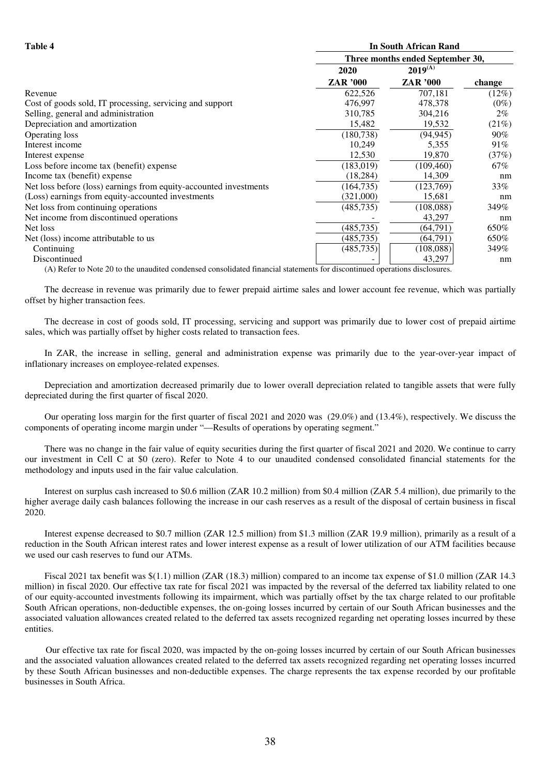| m<br>я |  |
|--------|--|
|--------|--|

| Table 4                                                           |                                  | <b>In South African Rand</b> |         |  |  |
|-------------------------------------------------------------------|----------------------------------|------------------------------|---------|--|--|
|                                                                   | Three months ended September 30, |                              |         |  |  |
|                                                                   | 2020                             | $2019^{(A)}$                 |         |  |  |
|                                                                   | ZAR '000                         | <b>ZAR</b> '000              | change  |  |  |
| Revenue                                                           | 622,526                          | 707,181                      | (12%)   |  |  |
| Cost of goods sold, IT processing, servicing and support          | 476,997                          | 478,378                      | $(0\%)$ |  |  |
| Selling, general and administration                               | 310,785                          | 304,216                      | $2\%$   |  |  |
| Depreciation and amortization                                     | 15,482                           | 19,532                       | (21%)   |  |  |
| Operating loss                                                    | (180, 738)                       | (94, 945)                    | $90\%$  |  |  |
| Interest income                                                   | 10,249                           | 5,355                        | 91%     |  |  |
| Interest expense                                                  | 12,530                           | 19,870                       | (37%)   |  |  |
| Loss before income tax (benefit) expense                          | (183, 019)                       | (109, 460)                   | 67%     |  |  |
| Income tax (benefit) expense                                      | (18, 284)                        | 14,309                       | nm      |  |  |
| Net loss before (loss) earnings from equity-accounted investments | (164, 735)                       | (123,769)                    | 33%     |  |  |
| (Loss) earnings from equity-accounted investments                 | (321,000)                        | 15,681                       | nm      |  |  |
| Net loss from continuing operations                               | (485, 735)                       | (108,088)                    | 349%    |  |  |
| Net income from discontinued operations                           |                                  | 43,297                       | nm      |  |  |
| Net loss                                                          | (485, 735)                       | (64, 791)                    | 650%    |  |  |
| Net (loss) income attributable to us                              | (485, 735)                       | (64, 791)                    | 650%    |  |  |
| Continuing                                                        | (485, 735)                       | (108,088)                    | 349%    |  |  |
| Discontinued                                                      |                                  | 43,297                       | nm      |  |  |

(A) Refer to Note 20 to the unaudited condensed consolidated financial statements for discontinued operations disclosures.

The decrease in revenue was primarily due to fewer prepaid airtime sales and lower account fee revenue, which was partially offset by higher transaction fees.

The decrease in cost of goods sold, IT processing, servicing and support was primarily due to lower cost of prepaid airtime sales, which was partially offset by higher costs related to transaction fees.

In ZAR, the increase in selling, general and administration expense was primarily due to the year-over-year impact of inflationary increases on employee-related expenses.

Depreciation and amortization decreased primarily due to lower overall depreciation related to tangible assets that were fully depreciated during the first quarter of fiscal 2020.

Our operating loss margin for the first quarter of fiscal 2021 and 2020 was (29.0%) and (13.4%), respectively. We discuss the components of operating income margin under "—Results of operations by operating segment."

There was no change in the fair value of equity securities during the first quarter of fiscal 2021 and 2020. We continue to carry our investment in Cell C at \$0 (zero). Refer to Note 4 to our unaudited condensed consolidated financial statements for the methodology and inputs used in the fair value calculation.

Interest on surplus cash increased to \$0.6 million (ZAR 10.2 million) from \$0.4 million (ZAR 5.4 million), due primarily to the higher average daily cash balances following the increase in our cash reserves as a result of the disposal of certain business in fiscal 2020.

Interest expense decreased to \$0.7 million (ZAR 12.5 million) from \$1.3 million (ZAR 19.9 million), primarily as a result of a reduction in the South African interest rates and lower interest expense as a result of lower utilization of our ATM facilities because we used our cash reserves to fund our ATMs.

Fiscal 2021 tax benefit was \$(1.1) million (ZAR (18.3) million) compared to an income tax expense of \$1.0 million (ZAR 14.3 million) in fiscal 2020. Our effective tax rate for fiscal 2021 was impacted by the reversal of the deferred tax liability related to one of our equity-accounted investments following its impairment, which was partially offset by the tax charge related to our profitable South African operations, non-deductible expenses, the on-going losses incurred by certain of our South African businesses and the associated valuation allowances created related to the deferred tax assets recognized regarding net operating losses incurred by these entities.

Our effective tax rate for fiscal 2020, was impacted by the on-going losses incurred by certain of our South African businesses and the associated valuation allowances created related to the deferred tax assets recognized regarding net operating losses incurred by these South African businesses and non-deductible expenses. The charge represents the tax expense recorded by our profitable businesses in South Africa.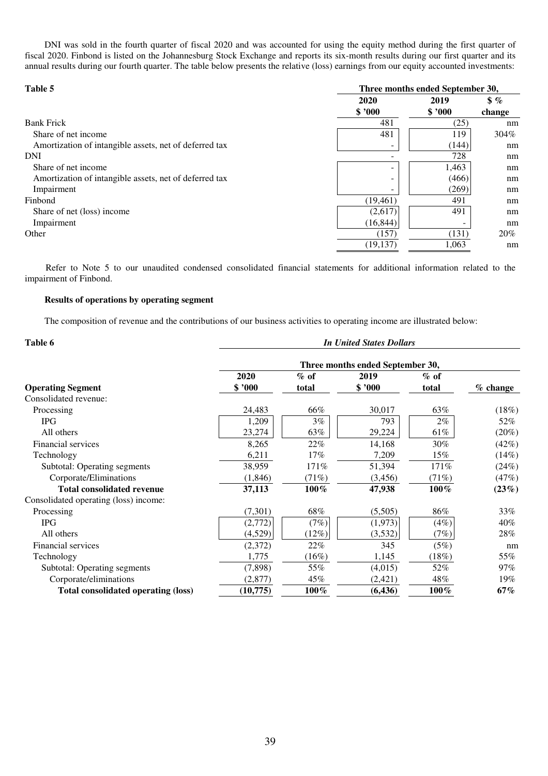DNI was sold in the fourth quarter of fiscal 2020 and was accounted for using the equity method during the first quarter of fiscal 2020. Finbond is listed on the Johannesburg Stock Exchange and reports its six-month results during our first quarter and its annual results during our fourth quarter. The table below presents the relative (loss) earnings from our equity accounted investments:

| Table 5                                                |           | Three months ended September 30, |               |  |
|--------------------------------------------------------|-----------|----------------------------------|---------------|--|
|                                                        | 2020      | 2019                             | $\frac{1}{2}$ |  |
|                                                        | \$'000    | \$3000                           | change        |  |
| <b>Bank Frick</b>                                      | 481       | (25)                             | nm            |  |
| Share of net income                                    | 481       | 119                              | 304%          |  |
| Amortization of intangible assets, net of deferred tax | -         | (144)                            | nm            |  |
| DNI                                                    |           | 728                              | nm            |  |
| Share of net income                                    | -         | 1,463                            | nm            |  |
| Amortization of intangible assets, net of deferred tax | ۰         | (466)                            | nm            |  |
| Impairment                                             |           | (269)                            | nm            |  |
| Finbond                                                | (19, 461) | 491                              | nm            |  |
| Share of net (loss) income                             | (2,617)   | 491                              | nm            |  |
| Impairment                                             | (16, 844) | ۰                                | nm            |  |
| Other                                                  | (157)     | (131)                            | 20%           |  |
|                                                        | (19, 137) | 1.063                            | nm            |  |

Refer to Note 5 to our unaudited condensed consolidated financial statements for additional information related to the impairment of Finbond.

#### **Results of operations by operating segment**

The composition of revenue and the contributions of our business activities to operating income are illustrated below:

| Table 6<br><b>In United States Dollars</b> |                                  |         |          |         |            |
|--------------------------------------------|----------------------------------|---------|----------|---------|------------|
|                                            | Three months ended September 30, |         |          |         |            |
|                                            | 2020                             | $%$ of  | 2019     | $%$ of  |            |
| <b>Operating Segment</b>                   | \$ '000                          | total   | \$ 7000  | total   | $%$ change |
| Consolidated revenue:                      |                                  |         |          |         |            |
| Processing                                 | 24,483                           | 66%     | 30,017   | 63%     | (18%)      |
| <b>IPG</b>                                 | 1,209                            | $3\%$   | 793      | $2\%$   | 52%        |
| All others                                 | 23,274                           | 63%     | 29,224   | 61%     | (20%)      |
| Financial services                         | 8,265                            | 22%     | 14,168   | $30\%$  | (42%)      |
| Technology                                 | 6,211                            | 17%     | 7,209    | 15%     | (14%)      |
| Subtotal: Operating segments               | 38,959                           | 171%    | 51,394   | 171%    | (24%)      |
| Corporate/Eliminations                     | (1,846)                          | (71%)   | (3,456)  | (71%)   | (47%)      |
| <b>Total consolidated revenue</b>          | 37,113                           | $100\%$ | 47,938   | $100\%$ | (23%)      |
| Consolidated operating (loss) income:      |                                  |         |          |         |            |
| Processing                                 | (7,301)                          | 68%     | (5,505)  | 86%     | 33%        |
| <b>IPG</b>                                 | (2,772)                          | (7%)    | (1,973)  | (4%)    | 40%        |
| All others                                 | (4,529)                          | (12%)   | (3,532)  | (7%)    | 28%        |
| Financial services                         | (2,372)                          | 22%     | 345      | (5%)    | nm         |
| Technology                                 | 1,775                            | (16%)   | 1,145    | (18%)   | 55%        |
| Subtotal: Operating segments               | (7,898)                          | 55%     | (4,015)  | 52%     | $97\%$     |
| Corporate/eliminations                     | (2,877)                          | 45%     | (2,421)  | 48%     | $19\%$     |
| <b>Total consolidated operating (loss)</b> | (10, 775)                        | $100\%$ | (6, 436) | 100%    | 67%        |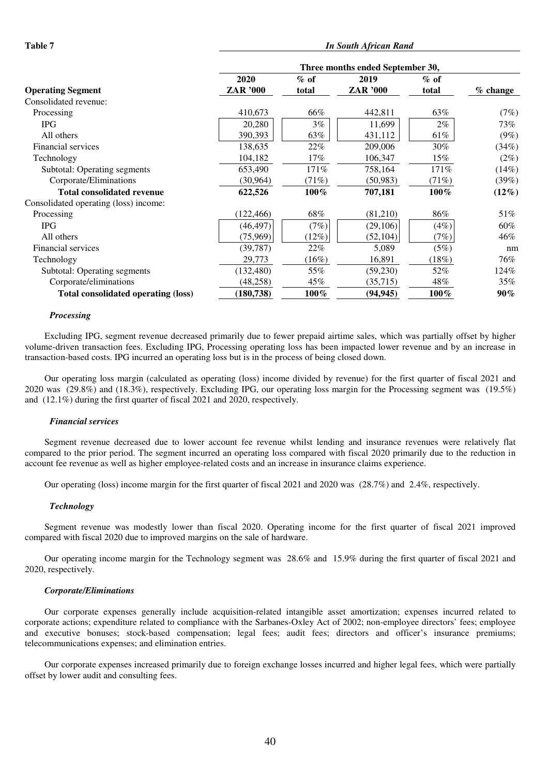|                                       | Three months ended September 30, |         |           |         |            |
|---------------------------------------|----------------------------------|---------|-----------|---------|------------|
|                                       | 2020                             | $\%$ of | 2019      | $%$ of  |            |
| <b>Operating Segment</b>              | ZAR '000                         | total   | ZAR '000  | total   | $%$ change |
| Consolidated revenue:                 |                                  |         |           |         |            |
| Processing                            | 410,673                          | 66%     | 442,811   | 63%     | (7%)       |
| <b>IPG</b>                            | 20,280                           | $3\%$   | 11,699    | $2\%$   | 73%        |
| All others                            | 390,393                          | 63%     | 431,112   | 61%     | $(9\%)$    |
| Financial services                    | 138,635                          | 22%     | 209,006   | $30\%$  | (34%)      |
| Technology                            | 104,182                          | 17%     | 106,347   | $15\%$  | $(2\%)$    |
| Subtotal: Operating segments          | 653,490                          | 171%    | 758,164   | 171%    | (14%)      |
| Corporate/Eliminations                | (30, 964)                        | (71%)   | (50, 983) | (71%)   | (39%)      |
| <b>Total consolidated revenue</b>     | 622,526                          | $100\%$ | 707,181   | $100\%$ | $(12\%)$   |
| Consolidated operating (loss) income: |                                  |         |           |         |            |
| Processing                            | (122, 466)                       | 68%     | (81,210)  | 86%     | 51%        |
| <b>IPG</b>                            | (46, 497)                        | (7%)    | (29, 106) | $(4\%)$ | 60%        |
| All others                            | (75,969)                         | (12%)   | (52, 104) | (7%)    | 46%        |
| Financial services                    | (39, 787)                        | 22%     | 5,089     | (5%)    | nm         |
| Technology                            | 29,773                           | (16%)   | 16,891    | (18%)   | 76%        |
| Subtotal: Operating segments          | (132, 480)                       | 55%     | (59, 230) | 52%     | 124%       |
| Corporate/eliminations                | (48, 258)                        | 45%     | (35,715)  | 48%     | 35%        |
| Total consolidated operating (loss)   | (180, 738)                       | 100%    | (94, 945) | 100%    | $90\%$     |

#### *Processing*

Excluding IPG, segment revenue decreased primarily due to fewer prepaid airtime sales, which was partially offset by higher volume-driven transaction fees. Excluding IPG, Processing operating loss has been impacted lower revenue and by an increase in transaction-based costs. IPG incurred an operating loss but is in the process of being closed down.

Our operating loss margin (calculated as operating (loss) income divided by revenue) for the first quarter of fiscal 2021 and 2020 was (29.8%) and (18.3%), respectively. Excluding IPG, our operating loss margin for the Processing segment was (19.5%) and (12.1%) during the first quarter of fiscal 2021 and 2020, respectively.

#### *Financial services*

Segment revenue decreased due to lower account fee revenue whilst lending and insurance revenues were relatively flat compared to the prior period. The segment incurred an operating loss compared with fiscal 2020 primarily due to the reduction in account fee revenue as well as higher employee-related costs and an increase in insurance claims experience.

Our operating (loss) income margin for the first quarter of fiscal 2021 and 2020 was (28.7%) and 2.4%, respectively.

#### *Technology*

Segment revenue was modestly lower than fiscal 2020. Operating income for the first quarter of fiscal 2021 improved compared with fiscal 2020 due to improved margins on the sale of hardware.

Our operating income margin for the Technology segment was 28.6% and 15.9% during the first quarter of fiscal 2021 and 2020, respectively.

#### *Corporate/Eliminations*

Our corporate expenses generally include acquisition-related intangible asset amortization; expenses incurred related to corporate actions; expenditure related to compliance with the Sarbanes-Oxley Act of 2002; non-employee directors' fees; employee and executive bonuses; stock-based compensation; legal fees; audit fees; directors and officer's insurance premiums; telecommunications expenses; and elimination entries.

Our corporate expenses increased primarily due to foreign exchange losses incurred and higher legal fees, which were partially offset by lower audit and consulting fees.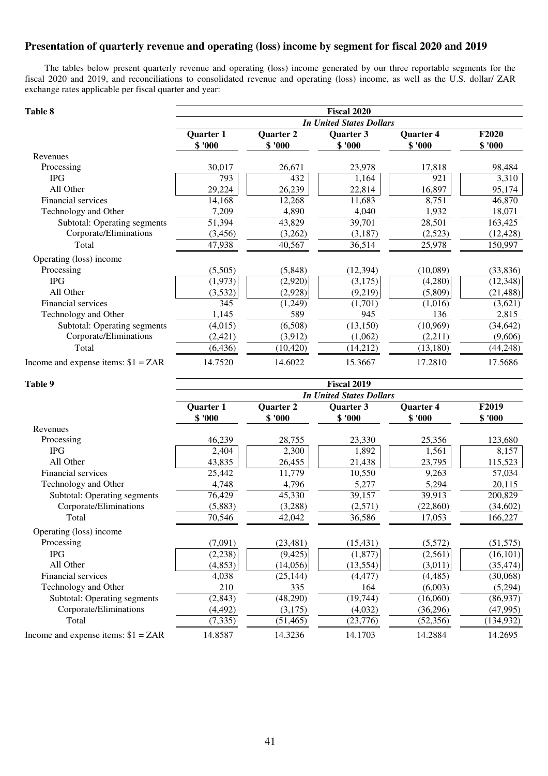### **Presentation of quarterly revenue and operating (loss) income by segment for fiscal 2020 and 2019**

The tables below present quarterly revenue and operating (loss) income generated by our three reportable segments for the fiscal 2020 and 2019, and reconciliations to consolidated revenue and operating (loss) income, as well as the U.S. dollar/ ZAR exchange rates applicable per fiscal quarter and year:

### Table 8 **Fiscal 2020** *In United States Dollars*  **Quarter 1 Quarter 2 Quarter 3 Quarter 4 F2020 \$ '000 \$ '000 \$ '000 \$ '000 \$ '000**  Revenues Processing 26,017 26,671 23,978 17,818 98,484 IPG 23  $|$  793  $|$  432  $|$  1,164 921 3,310 All Other 29,224 | 26,239 | 22,814 | 16,897 | 95,174 Financial services 14,168  $\overline{12,268}$  11,683  $\overline{11,683}$  8,751 46,870 Technology and Other 7,209 4,890 4,040 1,932 18,071 Subtotal: Operating segments 51,394 43,829 39,701 28,501 163,425 Corporate/Eliminations (3,456) (3,262) (3,187) (2,523) (12,428) Total 150,997 47,938 40,567 36,514 25,978 150,997 Operating (loss) income Processing (5,505) (5,848) (12,394) (10,089) (33,836) IPG  $(1,973)$   $(3,175)$   $(3,175)$   $(4,280)$   $(12,348)$ All Other (3,532) (2,928) (2,928) (9,219) (5,809) (21,488) Financial services  $\overline{345}$   $\overline{(1,249)}$   $\overline{(1,701)}$   $\overline{(1,016)}$   $\overline{(1,016)}$   $\overline{(3,621)}$ Technology and Other 1,145 589 945 136 2,815 Subtotal: Operating segments (4,015) (6,508) (13,150) (10,969) (34,642) Corporate/Eliminations (2,421) (3,912) (1,062) (2,211) (9,606) Total (6,436) (10,420) (14,212) (13,180) (44,248) Income and expense items:  $$1 = ZAR$  14.7520 14.6022 15.3667 17.2810 17.5686

| Table 9                              | <b>Fiscal 2019</b><br><b>In United States Dollars</b> |                     |                     |                      |                        |  |
|--------------------------------------|-------------------------------------------------------|---------------------|---------------------|----------------------|------------------------|--|
|                                      |                                                       |                     |                     |                      |                        |  |
|                                      | Quarter 1<br>\$'000                                   | Quarter 2<br>\$'000 | Quarter 3<br>\$'000 | Quarter 4<br>\$ '000 | <b>F2019</b><br>\$'000 |  |
| Revenues                             |                                                       |                     |                     |                      |                        |  |
| Processing                           | 46,239                                                | 28,755              | 23,330              | 25,356               | 123,680                |  |
| <b>IPG</b>                           | 2,404                                                 | 2,300               | 1,892               | 1,561                | 8,157                  |  |
| All Other                            | 43,835                                                | 26,455              | 21,438              | 23,795               | 115,523                |  |
| Financial services                   | 25,442                                                | 11,779              | 10,550              | 9,263                | 57,034                 |  |
| Technology and Other                 | 4,748                                                 | 4,796               | 5,277               | 5,294                | 20,115                 |  |
| Subtotal: Operating segments         | 76,429                                                | 45,330              | 39,157              | 39,913               | 200,829                |  |
| Corporate/Eliminations               | (5,883)                                               | (3,288)             | (2,571)             | (22, 860)            | (34,602)               |  |
| Total                                | 70,546                                                | 42,042              | 36,586              | 17,053               | 166,227                |  |
| Operating (loss) income              |                                                       |                     |                     |                      |                        |  |
| Processing                           | (7,091)                                               | (23, 481)           | (15, 431)           | (5,572)              | (51, 575)              |  |
| <b>IPG</b>                           | (2, 238)                                              | (9, 425)            | (1,877)             | (2,561)              | (16, 101)              |  |
| All Other                            | (4, 853)                                              | (14,056)            | (13, 554)           | (3,011)              | (35, 474)              |  |
| Financial services                   | 4,038                                                 | (25, 144)           | (4, 477)            | (4, 485)             | (30,068)               |  |
| Technology and Other                 | 210                                                   | 335                 | 164                 | (6,003)              | (5,294)                |  |
| Subtotal: Operating segments         | (2, 843)                                              | (48,290)            | (19,744)            | (16,060)             | (86,937)               |  |
| Corporate/Eliminations               | (4, 492)                                              | (3,175)             | (4,032)             | (36,296)             | (47,995)               |  |
| Total                                | (7, 335)                                              | (51, 465)           | (23,776)            | (52, 356)            | (134, 932)             |  |
| Income and expense items: $$1 = ZAR$ | 14.8587                                               | 14.3236             | 14.1703             | 14.2884              | 14.2695                |  |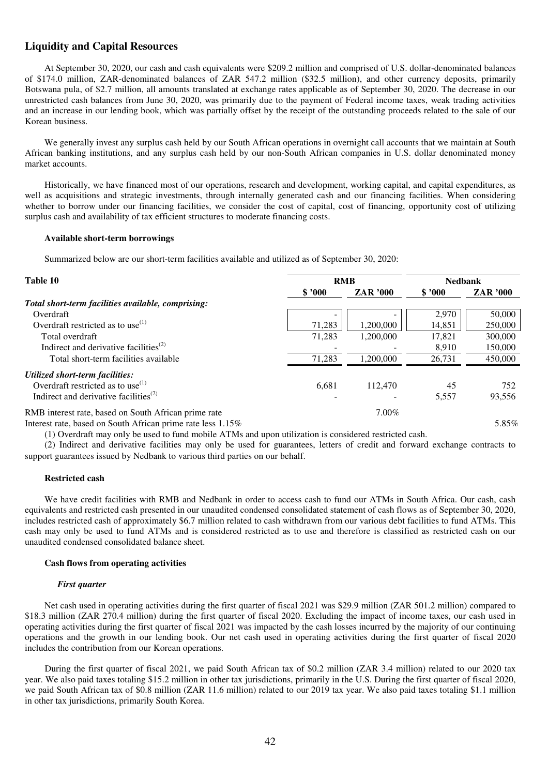### **Liquidity and Capital Resources**

At September 30, 2020, our cash and cash equivalents were \$209.2 million and comprised of U.S. dollar-denominated balances of \$174.0 million, ZAR-denominated balances of ZAR 547.2 million (\$32.5 million), and other currency deposits, primarily Botswana pula, of \$2.7 million, all amounts translated at exchange rates applicable as of September 30, 2020. The decrease in our unrestricted cash balances from June 30, 2020, was primarily due to the payment of Federal income taxes, weak trading activities and an increase in our lending book, which was partially offset by the receipt of the outstanding proceeds related to the sale of our Korean business.

We generally invest any surplus cash held by our South African operations in overnight call accounts that we maintain at South African banking institutions, and any surplus cash held by our non-South African companies in U.S. dollar denominated money market accounts.

Historically, we have financed most of our operations, research and development, working capital, and capital expenditures, as well as acquisitions and strategic investments, through internally generated cash and our financing facilities. When considering whether to borrow under our financing facilities, we consider the cost of capital, cost of financing, opportunity cost of utilizing surplus cash and availability of tax efficient structures to moderate financing costs.

#### **Available short-term borrowings**

Summarized below are our short-term facilities available and utilized as of September 30, 2020:

| Table 10                                                       | <b>RMB</b> |                 | <b>Nedbank</b> |                      |
|----------------------------------------------------------------|------------|-----------------|----------------|----------------------|
|                                                                | \$3000     | <b>ZAR</b> '000 | \$3000         | <b>ZAR</b> '000      |
| Total short-term facilities available, comprising:             |            |                 |                |                      |
| Overdraft                                                      |            |                 | 2,970          | 50,000               |
| Overdraft restricted as to use <sup>(1)</sup>                  | 71,283     | 1.200.000       | 14,851         | 250,000              |
| Total overdraft                                                | 71.283     | 1,200,000       | 17,821         | 300,000              |
| Indirect and derivative facilities <sup>(2)</sup>              |            |                 | 8.910          | 150,000              |
| Total short-term facilities available                          | 71,283     | 1.200.000       | 26,731         | 450,000              |
| Utilized short-term facilities:                                |            |                 |                |                      |
| Overdraft restricted as to use <sup><math>(1)</math></sup>     | 6.681      | 112,470         | 45             | 752                  |
| Indirect and derivative facilities <sup><math>(2)</math></sup> |            |                 | 5,557          | 93,556               |
| RMB interest rate, based on South African prime rate           |            | $7.00\%$        |                |                      |
|                                                                |            |                 |                | $\sim$ $\sim$ $\sim$ |

Interest rate, based on South African prime rate less  $1.15\%$  5.85% 5.85%

(1) Overdraft may only be used to fund mobile ATMs and upon utilization is considered restricted cash.

(2) Indirect and derivative facilities may only be used for guarantees, letters of credit and forward exchange contracts to support guarantees issued by Nedbank to various third parties on our behalf.

#### **Restricted cash**

We have credit facilities with RMB and Nedbank in order to access cash to fund our ATMs in South Africa. Our cash, cash equivalents and restricted cash presented in our unaudited condensed consolidated statement of cash flows as of September 30, 2020, includes restricted cash of approximately \$6.7 million related to cash withdrawn from our various debt facilities to fund ATMs. This cash may only be used to fund ATMs and is considered restricted as to use and therefore is classified as restricted cash on our unaudited condensed consolidated balance sheet.

#### **Cash flows from operating activities**

#### *First quarter*

Net cash used in operating activities during the first quarter of fiscal 2021 was \$29.9 million (ZAR 501.2 million) compared to \$18.3 million (ZAR 270.4 million) during the first quarter of fiscal 2020. Excluding the impact of income taxes, our cash used in operating activities during the first quarter of fiscal 2021 was impacted by the cash losses incurred by the majority of our continuing operations and the growth in our lending book. Our net cash used in operating activities during the first quarter of fiscal 2020 includes the contribution from our Korean operations.

During the first quarter of fiscal 2021, we paid South African tax of \$0.2 million (ZAR 3.4 million) related to our 2020 tax year. We also paid taxes totaling \$15.2 million in other tax jurisdictions, primarily in the U.S. During the first quarter of fiscal 2020, we paid South African tax of \$0.8 million (ZAR 11.6 million) related to our 2019 tax year. We also paid taxes totaling \$1.1 million in other tax jurisdictions, primarily South Korea.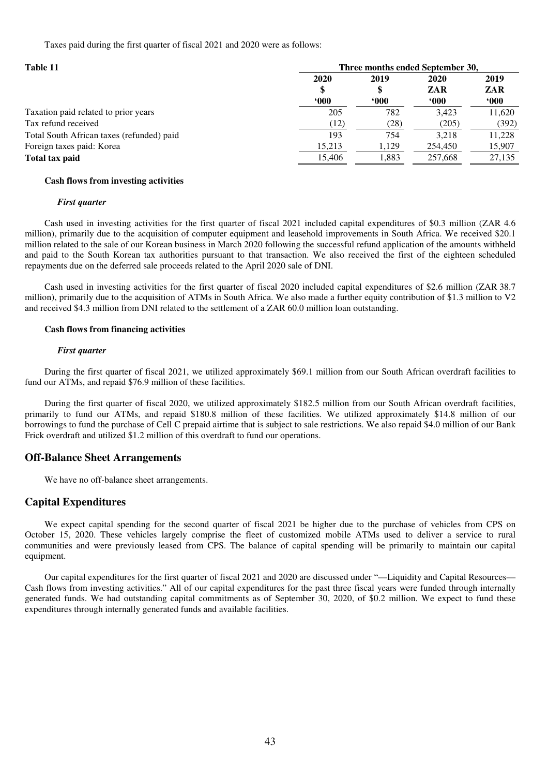Taxes paid during the first quarter of fiscal 2021 and 2020 were as follows:

| Table 11                                  | Three months ended September 30, |        |         |             |  |
|-------------------------------------------|----------------------------------|--------|---------|-------------|--|
|                                           | 2020                             | 2019   | 2020    | 2019        |  |
|                                           |                                  | \$     | ZAR     | ZAR         |  |
|                                           | 600                              | $000*$ | 600     | $600^\circ$ |  |
| Taxation paid related to prior years      | 205                              | 782    | 3.423   | 11,620      |  |
| Tax refund received                       | (12)                             | (28)   | (205)   | (392)       |  |
| Total South African taxes (refunded) paid | 193                              | 754    | 3.218   | 11,228      |  |
| Foreign taxes paid: Korea                 | 15.213                           | 1,129  | 254,450 | 15,907      |  |
| Total tax paid                            | 15,406                           | 1,883  | 257.668 | 27,135      |  |

#### **Cash flows from investing activities**

#### *First quarter*

Cash used in investing activities for the first quarter of fiscal 2021 included capital expenditures of \$0.3 million (ZAR 4.6 million), primarily due to the acquisition of computer equipment and leasehold improvements in South Africa. We received \$20.1 million related to the sale of our Korean business in March 2020 following the successful refund application of the amounts withheld and paid to the South Korean tax authorities pursuant to that transaction. We also received the first of the eighteen scheduled repayments due on the deferred sale proceeds related to the April 2020 sale of DNI.

Cash used in investing activities for the first quarter of fiscal 2020 included capital expenditures of \$2.6 million (ZAR 38.7 million), primarily due to the acquisition of ATMs in South Africa. We also made a further equity contribution of \$1.3 million to V2 and received \$4.3 million from DNI related to the settlement of a ZAR 60.0 million loan outstanding.

#### **Cash flows from financing activities**

#### *First quarter*

During the first quarter of fiscal 2021, we utilized approximately \$69.1 million from our South African overdraft facilities to fund our ATMs, and repaid \$76.9 million of these facilities.

During the first quarter of fiscal 2020, we utilized approximately \$182.5 million from our South African overdraft facilities, primarily to fund our ATMs, and repaid \$180.8 million of these facilities. We utilized approximately \$14.8 million of our borrowings to fund the purchase of Cell C prepaid airtime that is subject to sale restrictions. We also repaid \$4.0 million of our Bank Frick overdraft and utilized \$1.2 million of this overdraft to fund our operations.

#### **Off-Balance Sheet Arrangements**

We have no off-balance sheet arrangements.

### **Capital Expenditures**

We expect capital spending for the second quarter of fiscal 2021 be higher due to the purchase of vehicles from CPS on October 15, 2020. These vehicles largely comprise the fleet of customized mobile ATMs used to deliver a service to rural communities and were previously leased from CPS. The balance of capital spending will be primarily to maintain our capital equipment.

Our capital expenditures for the first quarter of fiscal 2021 and 2020 are discussed under "—Liquidity and Capital Resources— Cash flows from investing activities." All of our capital expenditures for the past three fiscal years were funded through internally generated funds. We had outstanding capital commitments as of September 30, 2020, of \$0.2 million. We expect to fund these expenditures through internally generated funds and available facilities.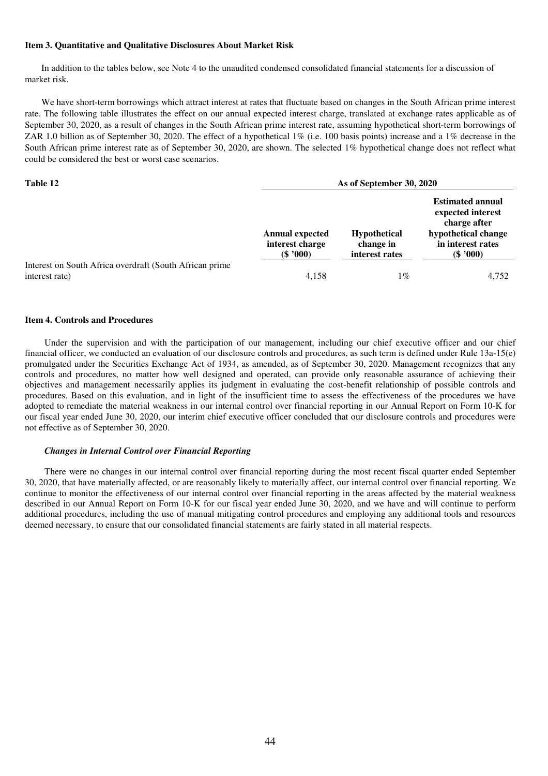#### **Item 3. Quantitative and Qualitative Disclosures About Market Risk**

In addition to the tables below, see Note 4 to the unaudited condensed consolidated financial statements for a discussion of market risk.

We have short-term borrowings which attract interest at rates that fluctuate based on changes in the South African prime interest rate. The following table illustrates the effect on our annual expected interest charge, translated at exchange rates applicable as of September 30, 2020, as a result of changes in the South African prime interest rate, assuming hypothetical short-term borrowings of ZAR 1.0 billion as of September 30, 2020. The effect of a hypothetical 1% (i.e. 100 basis points) increase and a 1% decrease in the South African prime interest rate as of September 30, 2020, are shown. The selected 1% hypothetical change does not reflect what could be considered the best or worst case scenarios.

| Table 12                                                | As of September 30, 2020                                |                                                    |                                                                                                                        |  |
|---------------------------------------------------------|---------------------------------------------------------|----------------------------------------------------|------------------------------------------------------------------------------------------------------------------------|--|
|                                                         | <b>Annual expected</b><br>interest charge<br>$(\$'000)$ | <b>Hypothetical</b><br>change in<br>interest rates | <b>Estimated annual</b><br>expected interest<br>charge after<br>hypothetical change<br>in interest rates<br>$(\$'000)$ |  |
| Interest on South Africa overdraft (South African prime |                                                         |                                                    |                                                                                                                        |  |
| interest rate)                                          | 4,158                                                   | 1%                                                 | 4.752                                                                                                                  |  |

#### **Item 4. Controls and Procedures**

Under the supervision and with the participation of our management, including our chief executive officer and our chief financial officer, we conducted an evaluation of our disclosure controls and procedures, as such term is defined under Rule 13a-15(e) promulgated under the Securities Exchange Act of 1934, as amended, as of September 30, 2020. Management recognizes that any controls and procedures, no matter how well designed and operated, can provide only reasonable assurance of achieving their objectives and management necessarily applies its judgment in evaluating the cost-benefit relationship of possible controls and procedures. Based on this evaluation, and in light of the insufficient time to assess the effectiveness of the procedures we have adopted to remediate the material weakness in our internal control over financial reporting in our Annual Report on Form 10-K for our fiscal year ended June 30, 2020, our interim chief executive officer concluded that our disclosure controls and procedures were not effective as of September 30, 2020.

#### *Changes in Internal Control over Financial Reporting*

There were no changes in our internal control over financial reporting during the most recent fiscal quarter ended September 30, 2020, that have materially affected, or are reasonably likely to materially affect, our internal control over financial reporting. We continue to monitor the effectiveness of our internal control over financial reporting in the areas affected by the material weakness described in our Annual Report on Form 10-K for our fiscal year ended June 30, 2020, and we have and will continue to perform additional procedures, including the use of manual mitigating control procedures and employing any additional tools and resources deemed necessary, to ensure that our consolidated financial statements are fairly stated in all material respects.